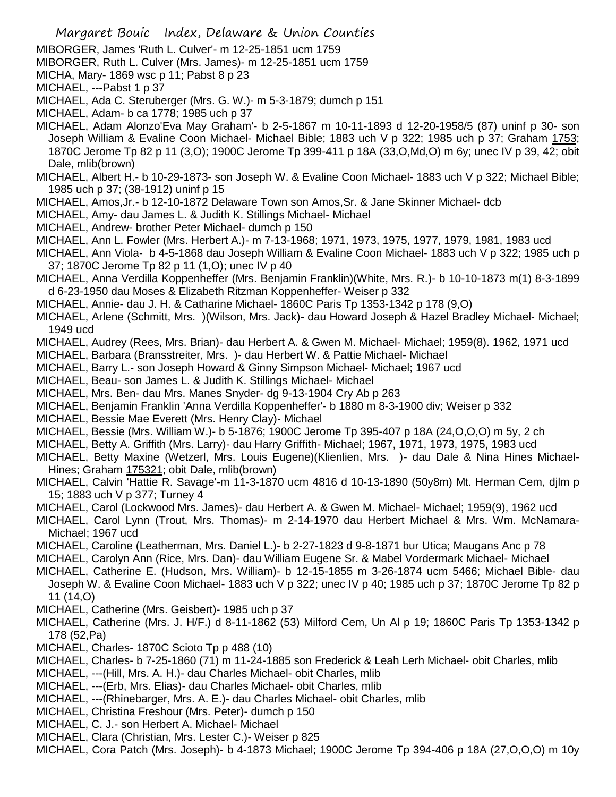- MIBORGER, James 'Ruth L. Culver'- m 12-25-1851 ucm 1759
- MIBORGER, Ruth L. Culver (Mrs. James)- m 12-25-1851 ucm 1759
- MICHA, Mary- 1869 wsc p 11; Pabst 8 p 23
- MICHAEL, ---Pabst 1 p 37
- MICHAEL, Ada C. Steruberger (Mrs. G. W.)- m 5-3-1879; dumch p 151
- MICHAEL, Adam- b ca 1778; 1985 uch p 37
- MICHAEL, Adam Alonzo'Eva May Graham'- b 2-5-1867 m 10-11-1893 d 12-20-1958/5 (87) uninf p 30- son Joseph William & Evaline Coon Michael- Michael Bible; 1883 uch V p 322; 1985 uch p 37; Graham 1753; 1870C Jerome Tp 82 p 11 (3,O); 1900C Jerome Tp 399-411 p 18A (33,O,Md,O) m 6y; unec IV p 39, 42; obit Dale, mlib(brown)
- MICHAEL, Albert H.- b 10-29-1873- son Joseph W. & Evaline Coon Michael- 1883 uch V p 322; Michael Bible; 1985 uch p 37; (38-1912) uninf p 15
- MICHAEL, Amos,Jr.- b 12-10-1872 Delaware Town son Amos,Sr. & Jane Skinner Michael- dcb
- MICHAEL, Amy- dau James L. & Judith K. Stillings Michael- Michael
- MICHAEL, Andrew- brother Peter Michael- dumch p 150
- MICHAEL, Ann L. Fowler (Mrs. Herbert A.)- m 7-13-1968; 1971, 1973, 1975, 1977, 1979, 1981, 1983 ucd
- MICHAEL, Ann Viola- b 4-5-1868 dau Joseph William & Evaline Coon Michael- 1883 uch V p 322; 1985 uch p 37; 1870C Jerome Tp 82 p 11 (1,O); unec IV p 40
- MICHAEL, Anna Verdilla Koppenheffer (Mrs. Benjamin Franklin)(White, Mrs. R.)- b 10-10-1873 m(1) 8-3-1899 d 6-23-1950 dau Moses & Elizabeth Ritzman Koppenheffer- Weiser p 332
- MICHAEL, Annie- dau J. H. & Catharine Michael- 1860C Paris Tp 1353-1342 p 178 (9,O)
- MICHAEL, Arlene (Schmitt, Mrs. )(Wilson, Mrs. Jack)- dau Howard Joseph & Hazel Bradley Michael- Michael; 1949 ucd
- MICHAEL, Audrey (Rees, Mrs. Brian)- dau Herbert A. & Gwen M. Michael- Michael; 1959(8). 1962, 1971 ucd
- MICHAEL, Barbara (Bransstreiter, Mrs. )- dau Herbert W. & Pattie Michael- Michael
- MICHAEL, Barry L.- son Joseph Howard & Ginny Simpson Michael- Michael; 1967 ucd
- MICHAEL, Beau- son James L. & Judith K. Stillings Michael- Michael
- MICHAEL, Mrs. Ben- dau Mrs. Manes Snyder- dg 9-13-1904 Cry Ab p 263
- MICHAEL, Benjamin Franklin 'Anna Verdilla Koppenheffer'- b 1880 m 8-3-1900 div; Weiser p 332
- MICHAEL, Bessie Mae Everett (Mrs. Henry Clay)- Michael
- MICHAEL, Bessie (Mrs. William W.)- b 5-1876; 1900C Jerome Tp 395-407 p 18A (24,O,O,O) m 5y, 2 ch
- MICHAEL, Betty A. Griffith (Mrs. Larry)- dau Harry Griffith- Michael; 1967, 1971, 1973, 1975, 1983 ucd
- MICHAEL, Betty Maxine (Wetzerl, Mrs. Louis Eugene)(Klienlien, Mrs. )- dau Dale & Nina Hines Michael-Hines; Graham 175321; obit Dale, mlib(brown)
- MICHAEL, Calvin 'Hattie R. Savage'-m 11-3-1870 ucm 4816 d 10-13-1890 (50y8m) Mt. Herman Cem, djlm p 15; 1883 uch V p 377; Turney 4
- MICHAEL, Carol (Lockwood Mrs. James)- dau Herbert A. & Gwen M. Michael- Michael; 1959(9), 1962 ucd
- MICHAEL, Carol Lynn (Trout, Mrs. Thomas)- m 2-14-1970 dau Herbert Michael & Mrs. Wm. McNamara-Michael; 1967 ucd
- MICHAEL, Caroline (Leatherman, Mrs. Daniel L.)- b 2-27-1823 d 9-8-1871 bur Utica; Maugans Anc p 78
- MICHAEL, Carolyn Ann (Rice, Mrs. Dan)- dau William Eugene Sr. & Mabel Vordermark Michael- Michael
- MICHAEL, Catherine E. (Hudson, Mrs. William)- b 12-15-1855 m 3-26-1874 ucm 5466; Michael Bible- dau Joseph W. & Evaline Coon Michael- 1883 uch V p 322; unec IV p 40; 1985 uch p 37; 1870C Jerome Tp 82 p 11 (14,O)
- MICHAEL, Catherine (Mrs. Geisbert)- 1985 uch p 37
- MICHAEL, Catherine (Mrs. J. H/F.) d 8-11-1862 (53) Milford Cem, Un Al p 19; 1860C Paris Tp 1353-1342 p 178 (52,Pa)
- MICHAEL, Charles- 1870C Scioto Tp p 488 (10)
- MICHAEL, Charles- b 7-25-1860 (71) m 11-24-1885 son Frederick & Leah Lerh Michael- obit Charles, mlib
- MICHAEL, ---(Hill, Mrs. A. H.)- dau Charles Michael- obit Charles, mlib
- MICHAEL, ---(Erb, Mrs. Elias)- dau Charles Michael- obit Charles, mlib
- MICHAEL, ---(Rhinebarger, Mrs. A. E.)- dau Charles Michael- obit Charles, mlib
- MICHAEL, Christina Freshour (Mrs. Peter)- dumch p 150
- MICHAEL, C. J.- son Herbert A. Michael- Michael
- MICHAEL, Clara (Christian, Mrs. Lester C.)- Weiser p 825
- MICHAEL, Cora Patch (Mrs. Joseph)- b 4-1873 Michael; 1900C Jerome Tp 394-406 p 18A (27,O,O,O) m 10y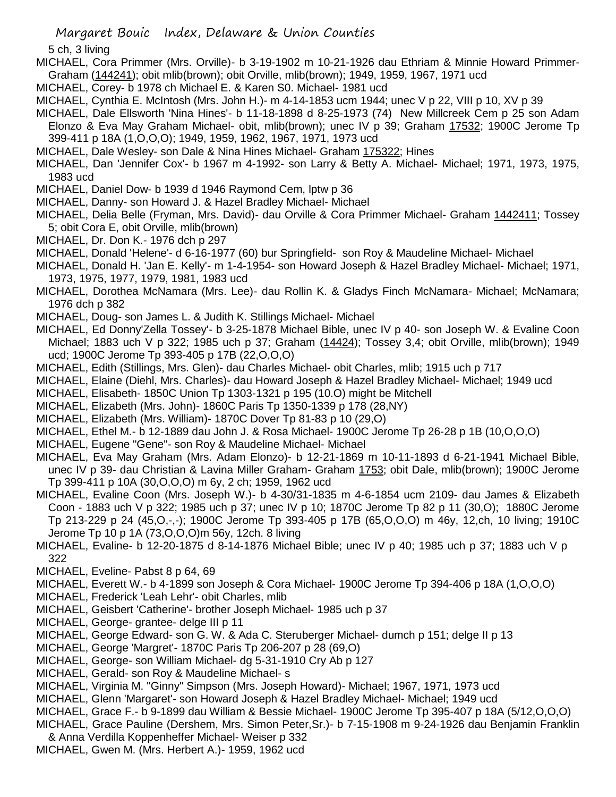5 ch, 3 living

- MICHAEL, Cora Primmer (Mrs. Orville)- b 3-19-1902 m 10-21-1926 dau Ethriam & Minnie Howard Primmer-Graham (144241); obit mlib(brown); obit Orville, mlib(brown); 1949, 1959, 1967, 1971 ucd
- MICHAEL, Corey- b 1978 ch Michael E. & Karen S0. Michael- 1981 ucd
- MICHAEL, Cynthia E. McIntosh (Mrs. John H.)- m 4-14-1853 ucm 1944; unec V p 22, VIII p 10, XV p 39
- MICHAEL, Dale Ellsworth 'Nina Hines'- b 11-18-1898 d 8-25-1973 (74) New Millcreek Cem p 25 son Adam Elonzo & Eva May Graham Michael- obit, mlib(brown); unec IV p 39; Graham 17532; 1900C Jerome Tp 399-411 p 18A (1,O,O,O); 1949, 1959, 1962, 1967, 1971, 1973 ucd
- MICHAEL, Dale Wesley- son Dale & Nina Hines Michael- Graham 175322; Hines
- MICHAEL, Dan 'Jennifer Cox'- b 1967 m 4-1992- son Larry & Betty A. Michael- Michael; 1971, 1973, 1975, 1983 ucd
- MICHAEL, Daniel Dow- b 1939 d 1946 Raymond Cem, lptw p 36
- MICHAEL, Danny- son Howard J. & Hazel Bradley Michael- Michael
- MICHAEL, Delia Belle (Fryman, Mrs. David)- dau Orville & Cora Primmer Michael- Graham 1442411; Tossey 5; obit Cora E, obit Orville, mlib(brown)
- MICHAEL, Dr. Don K.- 1976 dch p 297
- MICHAEL, Donald 'Helene'- d 6-16-1977 (60) bur Springfield- son Roy & Maudeline Michael- Michael
- MICHAEL, Donald H. 'Jan E. Kelly'- m 1-4-1954- son Howard Joseph & Hazel Bradley Michael- Michael; 1971, 1973, 1975, 1977, 1979, 1981, 1983 ucd
- MICHAEL, Dorothea McNamara (Mrs. Lee)- dau Rollin K. & Gladys Finch McNamara- Michael; McNamara; 1976 dch p 382
- MICHAEL, Doug- son James L. & Judith K. Stillings Michael- Michael
- MICHAEL, Ed Donny'Zella Tossey'- b 3-25-1878 Michael Bible, unec IV p 40- son Joseph W. & Evaline Coon Michael; 1883 uch V p 322; 1985 uch p 37; Graham (14424); Tossey 3,4; obit Orville, mlib(brown); 1949 ucd; 1900C Jerome Tp 393-405 p 17B (22,O,O,O)
- MICHAEL, Edith (Stillings, Mrs. Glen)- dau Charles Michael- obit Charles, mlib; 1915 uch p 717
- MICHAEL, Elaine (Diehl, Mrs. Charles)- dau Howard Joseph & Hazel Bradley Michael- Michael; 1949 ucd
- MICHAEL, Elisabeth- 1850C Union Tp 1303-1321 p 195 (10.O) might be Mitchell
- MICHAEL, Elizabeth (Mrs. John)- 1860C Paris Tp 1350-1339 p 178 (28,NY)
- MICHAEL, Elizabeth (Mrs. William)- 1870C Dover Tp 81-83 p 10 (29,O)
- MICHAEL, Ethel M.- b 12-1889 dau John J. & Rosa Michael- 1900C Jerome Tp 26-28 p 1B (10,O,O,O)
- MICHAEL, Eugene "Gene"- son Roy & Maudeline Michael- Michael
- MICHAEL, Eva May Graham (Mrs. Adam Elonzo)- b 12-21-1869 m 10-11-1893 d 6-21-1941 Michael Bible, unec IV p 39- dau Christian & Lavina Miller Graham- Graham 1753; obit Dale, mlib(brown); 1900C Jerome Tp 399-411 p 10A (30,O,O,O) m 6y, 2 ch; 1959, 1962 ucd
- MICHAEL, Evaline Coon (Mrs. Joseph W.)- b 4-30/31-1835 m 4-6-1854 ucm 2109- dau James & Elizabeth Coon - 1883 uch V p 322; 1985 uch p 37; unec IV p 10; 1870C Jerome Tp 82 p 11 (30,O); 1880C Jerome Tp 213-229 p 24 (45,O,-,-); 1900C Jerome Tp 393-405 p 17B (65,O,O,O) m 46y, 12,ch, 10 living; 1910C Jerome Tp 10 p 1A (73,O,O,O)m 56y, 12ch. 8 living
- MICHAEL, Evaline- b 12-20-1875 d 8-14-1876 Michael Bible; unec IV p 40; 1985 uch p 37; 1883 uch V p 322
- MICHAEL, Eveline- Pabst 8 p 64, 69
- MICHAEL, Everett W.- b 4-1899 son Joseph & Cora Michael- 1900C Jerome Tp 394-406 p 18A (1,O,O,O)
- MICHAEL, Frederick 'Leah Lehr'- obit Charles, mlib
- MICHAEL, Geisbert 'Catherine'- brother Joseph Michael- 1985 uch p 37
- MICHAEL, George- grantee- delge III p 11
- MICHAEL, George Edward- son G. W. & Ada C. Steruberger Michael- dumch p 151; delge II p 13
- MICHAEL, George 'Margret'- 1870C Paris Tp 206-207 p 28 (69,O)
- MICHAEL, George- son William Michael- dg 5-31-1910 Cry Ab p 127
- MICHAEL, Gerald- son Roy & Maudeline Michael- s
- MICHAEL, Virginia M. "Ginny" Simpson (Mrs. Joseph Howard)- Michael; 1967, 1971, 1973 ucd
- MICHAEL, Glenn 'Margaret'- son Howard Joseph & Hazel Bradley Michael- Michael; 1949 ucd
- MICHAEL, Grace F.- b 9-1899 dau William & Bessie Michael- 1900C Jerome Tp 395-407 p 18A (5/12,O,O,O)
- MICHAEL, Grace Pauline (Dershem, Mrs. Simon Peter,Sr.)- b 7-15-1908 m 9-24-1926 dau Benjamin Franklin
- & Anna Verdilla Koppenheffer Michael- Weiser p 332
- MICHAEL, Gwen M. (Mrs. Herbert A.)- 1959, 1962 ucd

Margaret Bouic Index, Delaware & Union Counties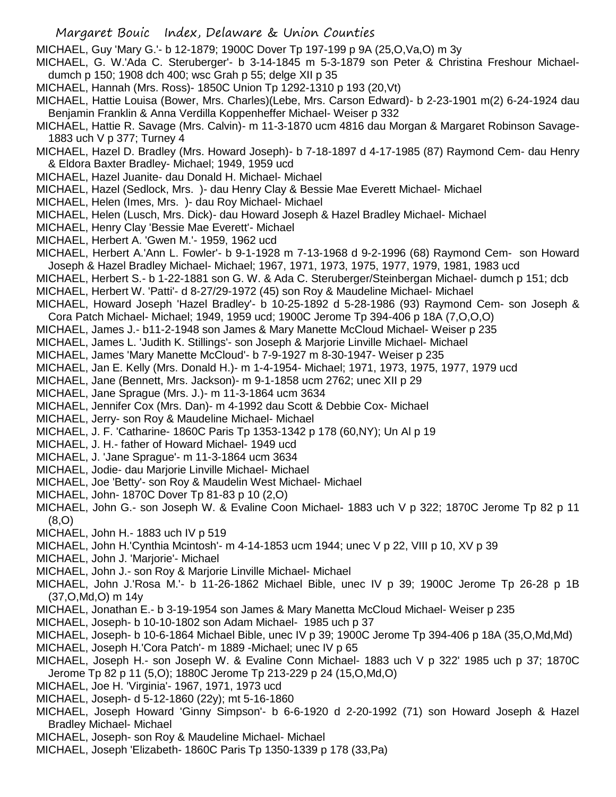- Margaret Bouic Index, Delaware & Union Counties
- MICHAEL, Guy 'Mary G.'- b 12-1879; 1900C Dover Tp 197-199 p 9A (25,O,Va,O) m 3y
- MICHAEL, G. W.'Ada C. Steruberger'- b 3-14-1845 m 5-3-1879 son Peter & Christina Freshour Michaeldumch p 150; 1908 dch 400; wsc Grah p 55; delge XII p 35
- MICHAEL, Hannah (Mrs. Ross)- 1850C Union Tp 1292-1310 p 193 (20,Vt)
- MICHAEL, Hattie Louisa (Bower, Mrs. Charles)(Lebe, Mrs. Carson Edward)- b 2-23-1901 m(2) 6-24-1924 dau Benjamin Franklin & Anna Verdilla Koppenheffer Michael- Weiser p 332
- MICHAEL, Hattie R. Savage (Mrs. Calvin)- m 11-3-1870 ucm 4816 dau Morgan & Margaret Robinson Savage-1883 uch V p 377; Turney 4
- MICHAEL, Hazel D. Bradley (Mrs. Howard Joseph)- b 7-18-1897 d 4-17-1985 (87) Raymond Cem- dau Henry & Eldora Baxter Bradley- Michael; 1949, 1959 ucd
- MICHAEL, Hazel Juanite- dau Donald H. Michael- Michael
- MICHAEL, Hazel (Sedlock, Mrs. )- dau Henry Clay & Bessie Mae Everett Michael- Michael
- MICHAEL, Helen (Imes, Mrs. )- dau Roy Michael- Michael
- MICHAEL, Helen (Lusch, Mrs. Dick)- dau Howard Joseph & Hazel Bradley Michael- Michael
- MICHAEL, Henry Clay 'Bessie Mae Everett'- Michael
- MICHAEL, Herbert A. 'Gwen M.'- 1959, 1962 ucd
- MICHAEL, Herbert A.'Ann L. Fowler'- b 9-1-1928 m 7-13-1968 d 9-2-1996 (68) Raymond Cem- son Howard Joseph & Hazel Bradley Michael- Michael; 1967, 1971, 1973, 1975, 1977, 1979, 1981, 1983 ucd
- MICHAEL, Herbert S.- b 1-22-1881 son G. W. & Ada C. Steruberger/Steinbergan Michael- dumch p 151; dcb
- MICHAEL, Herbert W. 'Patti'- d 8-27/29-1972 (45) son Roy & Maudeline Michael- Michael
- MICHAEL, Howard Joseph 'Hazel Bradley'- b 10-25-1892 d 5-28-1986 (93) Raymond Cem- son Joseph & Cora Patch Michael- Michael; 1949, 1959 ucd; 1900C Jerome Tp 394-406 p 18A (7,O,O,O)
- MICHAEL, James J.- b11-2-1948 son James & Mary Manette McCloud Michael- Weiser p 235
- MICHAEL, James L. 'Judith K. Stillings'- son Joseph & Marjorie Linville Michael- Michael
- MICHAEL, James 'Mary Manette McCloud'- b 7-9-1927 m 8-30-1947- Weiser p 235
- MICHAEL, Jan E. Kelly (Mrs. Donald H.)- m 1-4-1954- Michael; 1971, 1973, 1975, 1977, 1979 ucd
- MICHAEL, Jane (Bennett, Mrs. Jackson)- m 9-1-1858 ucm 2762; unec XII p 29
- MICHAEL, Jane Sprague (Mrs. J.)- m 11-3-1864 ucm 3634
- MICHAEL, Jennifer Cox (Mrs. Dan)- m 4-1992 dau Scott & Debbie Cox- Michael
- MICHAEL, Jerry- son Roy & Maudeline Michael- Michael
- MICHAEL, J. F. 'Catharine- 1860C Paris Tp 1353-1342 p 178 (60,NY); Un Al p 19
- MICHAEL, J. H.- father of Howard Michael- 1949 ucd
- MICHAEL, J. 'Jane Sprague'- m 11-3-1864 ucm 3634
- MICHAEL, Jodie- dau Marjorie Linville Michael- Michael
- MICHAEL, Joe 'Betty'- son Roy & Maudelin West Michael- Michael
- MICHAEL, John- 1870C Dover Tp 81-83 p 10 (2,O)
- MICHAEL, John G.- son Joseph W. & Evaline Coon Michael- 1883 uch V p 322; 1870C Jerome Tp 82 p 11 (8,O)
- MICHAEL, John H.- 1883 uch IV p 519
- MICHAEL, John H.'Cynthia Mcintosh'- m 4-14-1853 ucm 1944; unec V p 22, VIII p 10, XV p 39
- MICHAEL, John J. 'Marjorie'- Michael
- MICHAEL, John J.- son Roy & Marjorie Linville Michael- Michael
- MICHAEL, John J.'Rosa M.'- b 11-26-1862 Michael Bible, unec IV p 39; 1900C Jerome Tp 26-28 p 1B (37,O,Md,O) m 14y
- MICHAEL, Jonathan E.- b 3-19-1954 son James & Mary Manetta McCloud Michael- Weiser p 235
- MICHAEL, Joseph- b 10-10-1802 son Adam Michael- 1985 uch p 37
- MICHAEL, Joseph- b 10-6-1864 Michael Bible, unec IV p 39; 1900C Jerome Tp 394-406 p 18A (35,O,Md,Md)
- MICHAEL, Joseph H.'Cora Patch'- m 1889 -Michael; unec IV p 65
- MICHAEL, Joseph H.- son Joseph W. & Evaline Conn Michael- 1883 uch V p 322' 1985 uch p 37; 1870C
- Jerome Tp 82 p 11 (5,O); 1880C Jerome Tp 213-229 p 24 (15,O,Md,O)
- MICHAEL, Joe H. 'Virginia'- 1967, 1971, 1973 ucd
- MICHAEL, Joseph- d 5-12-1860 (22y); mt 5-16-1860
- MICHAEL, Joseph Howard 'Ginny Simpson'- b 6-6-1920 d 2-20-1992 (71) son Howard Joseph & Hazel Bradley Michael- Michael
- MICHAEL, Joseph- son Roy & Maudeline Michael- Michael
- MICHAEL, Joseph 'Elizabeth- 1860C Paris Tp 1350-1339 p 178 (33,Pa)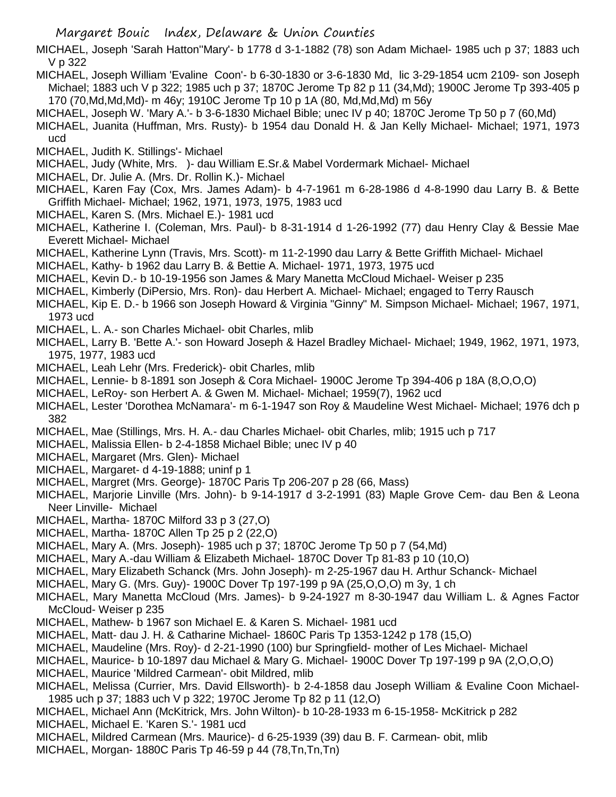MICHAEL, Joseph 'Sarah Hatton''Mary'- b 1778 d 3-1-1882 (78) son Adam Michael- 1985 uch p 37; 1883 uch V p 322

- MICHAEL, Joseph William 'Evaline Coon'- b 6-30-1830 or 3-6-1830 Md, lic 3-29-1854 ucm 2109- son Joseph Michael; 1883 uch V p 322; 1985 uch p 37; 1870C Jerome Tp 82 p 11 (34,Md); 1900C Jerome Tp 393-405 p 170 (70,Md,Md,Md)- m 46y; 1910C Jerome Tp 10 p 1A (80, Md,Md,Md) m 56y
- MICHAEL, Joseph W. 'Mary A.'- b 3-6-1830 Michael Bible; unec IV p 40; 1870C Jerome Tp 50 p 7 (60,Md)
- MICHAEL, Juanita (Huffman, Mrs. Rusty)- b 1954 dau Donald H. & Jan Kelly Michael- Michael; 1971, 1973 ucd
- MICHAEL, Judith K. Stillings'- Michael
- MICHAEL, Judy (White, Mrs. )- dau William E.Sr.& Mabel Vordermark Michael- Michael
- MICHAEL, Dr. Julie A. (Mrs. Dr. Rollin K.)- Michael
- MICHAEL, Karen Fay (Cox, Mrs. James Adam)- b 4-7-1961 m 6-28-1986 d 4-8-1990 dau Larry B. & Bette Griffith Michael- Michael; 1962, 1971, 1973, 1975, 1983 ucd
- MICHAEL, Karen S. (Mrs. Michael E.)- 1981 ucd
- MICHAEL, Katherine I. (Coleman, Mrs. Paul)- b 8-31-1914 d 1-26-1992 (77) dau Henry Clay & Bessie Mae Everett Michael- Michael
- MICHAEL, Katherine Lynn (Travis, Mrs. Scott)- m 11-2-1990 dau Larry & Bette Griffith Michael- Michael
- MICHAEL, Kathy- b 1962 dau Larry B. & Bettie A. Michael- 1971, 1973, 1975 ucd
- MICHAEL, Kevin D.- b 10-19-1956 son James & Mary Manetta McCloud Michael- Weiser p 235
- MICHAEL, Kimberly (DiPersio, Mrs. Ron)- dau Herbert A. Michael- Michael; engaged to Terry Rausch
- MICHAEL, Kip E. D.- b 1966 son Joseph Howard & Virginia "Ginny" M. Simpson Michael- Michael; 1967, 1971, 1973 ucd
- MICHAEL, L. A.- son Charles Michael- obit Charles, mlib
- MICHAEL, Larry B. 'Bette A.'- son Howard Joseph & Hazel Bradley Michael- Michael; 1949, 1962, 1971, 1973, 1975, 1977, 1983 ucd
- MICHAEL, Leah Lehr (Mrs. Frederick)- obit Charles, mlib
- MICHAEL, Lennie- b 8-1891 son Joseph & Cora Michael- 1900C Jerome Tp 394-406 p 18A (8,O,O,O)
- MICHAEL, LeRoy- son Herbert A. & Gwen M. Michael- Michael; 1959(7), 1962 ucd
- MICHAEL, Lester 'Dorothea McNamara'- m 6-1-1947 son Roy & Maudeline West Michael- Michael; 1976 dch p 382
- MICHAEL, Mae (Stillings, Mrs. H. A.- dau Charles Michael- obit Charles, mlib; 1915 uch p 717
- MICHAEL, Malissia Ellen- b 2-4-1858 Michael Bible; unec IV p 40
- MICHAEL, Margaret (Mrs. Glen)- Michael
- MICHAEL, Margaret- d 4-19-1888; uninf p 1
- MICHAEL, Margret (Mrs. George)- 1870C Paris Tp 206-207 p 28 (66, Mass)
- MICHAEL, Marjorie Linville (Mrs. John)- b 9-14-1917 d 3-2-1991 (83) Maple Grove Cem- dau Ben & Leona Neer Linville- Michael
- MICHAEL, Martha- 1870C Milford 33 p 3 (27,O)
- MICHAEL, Martha- 1870C Allen Tp 25 p 2 (22,O)
- MICHAEL, Mary A. (Mrs. Joseph)- 1985 uch p 37; 1870C Jerome Tp 50 p 7 (54,Md)
- MICHAEL, Mary A.-dau William & Elizabeth Michael- 1870C Dover Tp 81-83 p 10 (10,O)
- MICHAEL, Mary Elizabeth Schanck (Mrs. John Joseph)- m 2-25-1967 dau H. Arthur Schanck- Michael
- MICHAEL, Mary G. (Mrs. Guy)- 1900C Dover Tp 197-199 p 9A (25,O,O,O) m 3y, 1 ch
- MICHAEL, Mary Manetta McCloud (Mrs. James)- b 9-24-1927 m 8-30-1947 dau William L. & Agnes Factor McCloud- Weiser p 235
- MICHAEL, Mathew- b 1967 son Michael E. & Karen S. Michael- 1981 ucd
- MICHAEL, Matt- dau J. H. & Catharine Michael- 1860C Paris Tp 1353-1242 p 178 (15,O)
- MICHAEL, Maudeline (Mrs. Roy)- d 2-21-1990 (100) bur Springfield- mother of Les Michael- Michael
- MICHAEL, Maurice- b 10-1897 dau Michael & Mary G. Michael- 1900C Dover Tp 197-199 p 9A (2,O,O,O)
- MICHAEL, Maurice 'Mildred Carmean'- obit Mildred, mlib
- MICHAEL, Melissa (Currier, Mrs. David Ellsworth)- b 2-4-1858 dau Joseph William & Evaline Coon Michael-1985 uch p 37; 1883 uch V p 322; 1970C Jerome Tp 82 p 11 (12,O)
- MICHAEL, Michael Ann (McKitrick, Mrs. John Wilton)- b 10-28-1933 m 6-15-1958- McKitrick p 282
- MICHAEL, Michael E. 'Karen S.'- 1981 ucd
- MICHAEL, Mildred Carmean (Mrs. Maurice)- d 6-25-1939 (39) dau B. F. Carmean- obit, mlib
- MICHAEL, Morgan- 1880C Paris Tp 46-59 p 44 (78,Tn,Tn,Tn)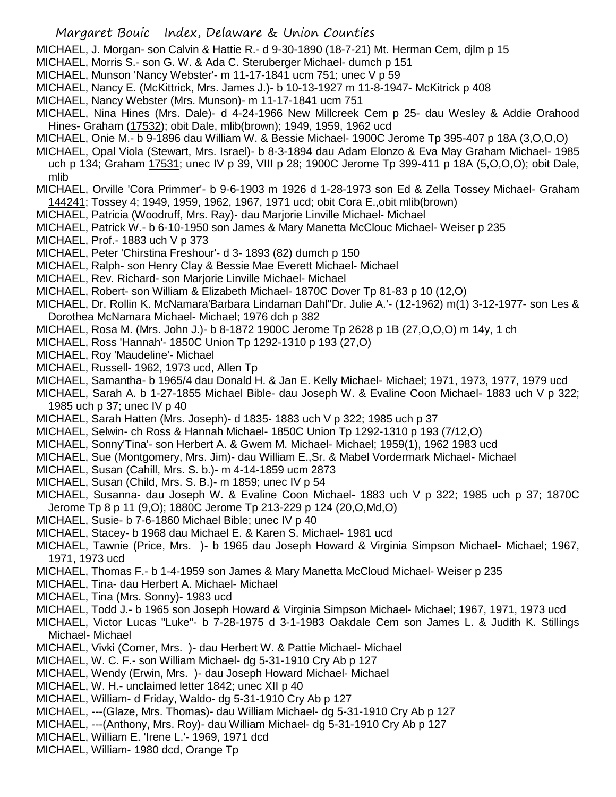- Margaret Bouic Index, Delaware & Union Counties
- MICHAEL, J. Morgan- son Calvin & Hattie R.- d 9-30-1890 (18-7-21) Mt. Herman Cem, djlm p 15
- MICHAEL, Morris S.- son G. W. & Ada C. Steruberger Michael- dumch p 151
- MICHAEL, Munson 'Nancy Webster'- m 11-17-1841 ucm 751; unec V p 59
- MICHAEL, Nancy E. (McKittrick, Mrs. James J.)- b 10-13-1927 m 11-8-1947- McKitrick p 408
- MICHAEL, Nancy Webster (Mrs. Munson)- m 11-17-1841 ucm 751
- MICHAEL, Nina Hines (Mrs. Dale)- d 4-24-1966 New Millcreek Cem p 25- dau Wesley & Addie Orahood Hines- Graham (17532); obit Dale, mlib(brown); 1949, 1959, 1962 ucd
- MICHAEL, Onie M.- b 9-1896 dau William W. & Bessie Michael- 1900C Jerome Tp 395-407 p 18A (3,O,O,O)
- MICHAEL, Opal Viola (Stewart, Mrs. Israel)- b 8-3-1894 dau Adam Elonzo & Eva May Graham Michael- 1985 uch p 134; Graham 17531; unec IV p 39, VIII p 28; 1900C Jerome Tp 399-411 p 18A (5,O,O,O); obit Dale, mlib
- MICHAEL, Orville 'Cora Primmer'- b 9-6-1903 m 1926 d 1-28-1973 son Ed & Zella Tossey Michael- Graham 144241; Tossey 4; 1949, 1959, 1962, 1967, 1971 ucd; obit Cora E.,obit mlib(brown)
- MICHAEL, Patricia (Woodruff, Mrs. Ray)- dau Marjorie Linville Michael- Michael
- MICHAEL, Patrick W.- b 6-10-1950 son James & Mary Manetta McClouc Michael- Weiser p 235
- MICHAEL, Prof.- 1883 uch V p 373
- MICHAEL, Peter 'Chirstina Freshour'- d 3- 1893 (82) dumch p 150
- MICHAEL, Ralph- son Henry Clay & Bessie Mae Everett Michael- Michael
- MICHAEL, Rev. Richard- son Marjorie Linville Michael- Michael
- MICHAEL, Robert- son William & Elizabeth Michael- 1870C Dover Tp 81-83 p 10 (12,O)
- MICHAEL, Dr. Rollin K. McNamara'Barbara Lindaman Dahl''Dr. Julie A.'- (12-1962) m(1) 3-12-1977- son Les & Dorothea McNamara Michael- Michael; 1976 dch p 382
- MICHAEL, Rosa M. (Mrs. John J.)- b 8-1872 1900C Jerome Tp 2628 p 1B (27,O,O,O) m 14y, 1 ch
- MICHAEL, Ross 'Hannah'- 1850C Union Tp 1292-1310 p 193 (27,O)
- MICHAEL, Roy 'Maudeline'- Michael
- MICHAEL, Russell- 1962, 1973 ucd, Allen Tp
- MICHAEL, Samantha- b 1965/4 dau Donald H. & Jan E. Kelly Michael- Michael; 1971, 1973, 1977, 1979 ucd
- MICHAEL, Sarah A. b 1-27-1855 Michael Bible- dau Joseph W. & Evaline Coon Michael- 1883 uch V p 322; 1985 uch p 37; unec IV p 40
- MICHAEL, Sarah Hatten (Mrs. Joseph)- d 1835- 1883 uch V p 322; 1985 uch p 37
- MICHAEL, Selwin- ch Ross & Hannah Michael- 1850C Union Tp 1292-1310 p 193 (7/12,O)
- MICHAEL, Sonny'Tina'- son Herbert A. & Gwem M. Michael- Michael; 1959(1), 1962 1983 ucd
- MICHAEL, Sue (Montgomery, Mrs. Jim)- dau William E.,Sr. & Mabel Vordermark Michael- Michael
- MICHAEL, Susan (Cahill, Mrs. S. b.)- m 4-14-1859 ucm 2873
- MICHAEL, Susan (Child, Mrs. S. B.)- m 1859; unec IV p 54
- MICHAEL, Susanna- dau Joseph W. & Evaline Coon Michael- 1883 uch V p 322; 1985 uch p 37; 1870C Jerome Tp 8 p 11 (9,O); 1880C Jerome Tp 213-229 p 124 (20,O,Md,O)
- MICHAEL, Susie- b 7-6-1860 Michael Bible; unec IV p 40
- MICHAEL, Stacey- b 1968 dau Michael E. & Karen S. Michael- 1981 ucd
- MICHAEL, Tawnie (Price, Mrs. )- b 1965 dau Joseph Howard & Virginia Simpson Michael- Michael; 1967, 1971, 1973 ucd
- MICHAEL, Thomas F.- b 1-4-1959 son James & Mary Manetta McCloud Michael- Weiser p 235
- MICHAEL, Tina- dau Herbert A. Michael- Michael
- MICHAEL, Tina (Mrs. Sonny)- 1983 ucd
- MICHAEL, Todd J.- b 1965 son Joseph Howard & Virginia Simpson Michael- Michael; 1967, 1971, 1973 ucd
- MICHAEL, Victor Lucas "Luke"- b 7-28-1975 d 3-1-1983 Oakdale Cem son James L. & Judith K. Stillings Michael- Michael
- MICHAEL, Vivki (Comer, Mrs. )- dau Herbert W. & Pattie Michael- Michael
- MICHAEL, W. C. F.- son William Michael- dg 5-31-1910 Cry Ab p 127
- MICHAEL, Wendy (Erwin, Mrs. )- dau Joseph Howard Michael- Michael
- MICHAEL, W. H.- unclaimed letter 1842; unec XII p 40
- MICHAEL, William- d Friday, Waldo- dg 5-31-1910 Cry Ab p 127
- MICHAEL, ---(Glaze, Mrs. Thomas)- dau William Michael- dg 5-31-1910 Cry Ab p 127
- MICHAEL, ---(Anthony, Mrs. Roy)- dau William Michael- dg 5-31-1910 Cry Ab p 127
- MICHAEL, William E. 'Irene L.'- 1969, 1971 dcd
- MICHAEL, William- 1980 dcd, Orange Tp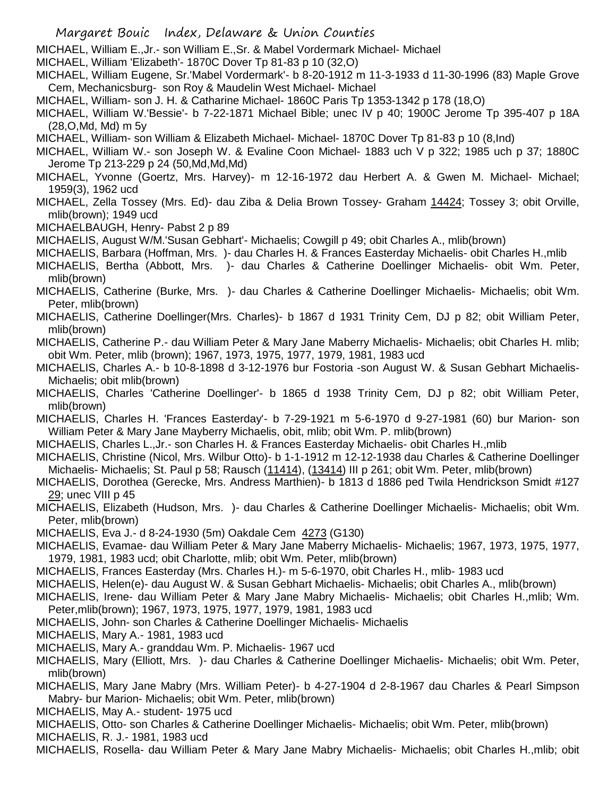MICHAEL, William E.,Jr.- son William E.,Sr. & Mabel Vordermark Michael- Michael

MICHAEL, William 'Elizabeth'- 1870C Dover Tp 81-83 p 10 (32,O)

- MICHAEL, William Eugene, Sr.'Mabel Vordermark'- b 8-20-1912 m 11-3-1933 d 11-30-1996 (83) Maple Grove Cem, Mechanicsburg- son Roy & Maudelin West Michael- Michael
- MICHAEL, William- son J. H. & Catharine Michael- 1860C Paris Tp 1353-1342 p 178 (18,O)
- MICHAEL, William W.'Bessie'- b 7-22-1871 Michael Bible; unec IV p 40; 1900C Jerome Tp 395-407 p 18A (28,O,Md, Md) m 5y
- MICHAEL, William- son William & Elizabeth Michael- Michael- 1870C Dover Tp 81-83 p 10 (8,Ind)
- MICHAEL, William W.- son Joseph W. & Evaline Coon Michael- 1883 uch V p 322; 1985 uch p 37; 1880C Jerome Tp 213-229 p 24 (50,Md,Md,Md)
- MICHAEL, Yvonne (Goertz, Mrs. Harvey)- m 12-16-1972 dau Herbert A. & Gwen M. Michael- Michael; 1959(3), 1962 ucd
- MICHAEL, Zella Tossey (Mrs. Ed)- dau Ziba & Delia Brown Tossey- Graham 14424; Tossey 3; obit Orville, mlib(brown); 1949 ucd
- MICHAELBAUGH, Henry- Pabst 2 p 89
- MICHAELIS, August W/M.'Susan Gebhart'- Michaelis; Cowgill p 49; obit Charles A., mlib(brown)
- MICHAELIS, Barbara (Hoffman, Mrs. )- dau Charles H. & Frances Easterday Michaelis- obit Charles H.,mlib
- MICHAELIS, Bertha (Abbott, Mrs. )- dau Charles & Catherine Doellinger Michaelis- obit Wm. Peter, mlib(brown)
- MICHAELIS, Catherine (Burke, Mrs. )- dau Charles & Catherine Doellinger Michaelis- Michaelis; obit Wm. Peter, mlib(brown)
- MICHAELIS, Catherine Doellinger(Mrs. Charles)- b 1867 d 1931 Trinity Cem, DJ p 82; obit William Peter, mlib(brown)
- MICHAELIS, Catherine P.- dau William Peter & Mary Jane Maberry Michaelis- Michaelis; obit Charles H. mlib; obit Wm. Peter, mlib (brown); 1967, 1973, 1975, 1977, 1979, 1981, 1983 ucd
- MICHAELIS, Charles A.- b 10-8-1898 d 3-12-1976 bur Fostoria -son August W. & Susan Gebhart Michaelis-Michaelis; obit mlib(brown)
- MICHAELIS, Charles 'Catherine Doellinger'- b 1865 d 1938 Trinity Cem, DJ p 82; obit William Peter, mlib(brown)
- MICHAELIS, Charles H. 'Frances Easterday'- b 7-29-1921 m 5-6-1970 d 9-27-1981 (60) bur Marion- son William Peter & Mary Jane Mayberry Michaelis, obit, mlib; obit Wm. P. mlib(brown)
- MICHAELIS, Charles L.,Jr.- son Charles H. & Frances Easterday Michaelis- obit Charles H.,mlib
- MICHAELIS, Christine (Nicol, Mrs. Wilbur Otto)- b 1-1-1912 m 12-12-1938 dau Charles & Catherine Doellinger Michaelis- Michaelis; St. Paul p 58; Rausch (11414), (13414) III p 261; obit Wm. Peter, mlib(brown)
- MICHAELIS, Dorothea (Gerecke, Mrs. Andress Marthien)- b 1813 d 1886 ped Twila Hendrickson Smidt #127 29; unec VIII p 45
- MICHAELIS, Elizabeth (Hudson, Mrs. )- dau Charles & Catherine Doellinger Michaelis- Michaelis; obit Wm. Peter, mlib(brown)
- MICHAELIS, Eva J.- d 8-24-1930 (5m) Oakdale Cem 4273 (G130)
- MICHAELIS, Evamae- dau William Peter & Mary Jane Maberry Michaelis- Michaelis; 1967, 1973, 1975, 1977, 1979, 1981, 1983 ucd; obit Charlotte, mlib; obit Wm. Peter, mlib(brown)
- MICHAELIS, Frances Easterday (Mrs. Charles H.)- m 5-6-1970, obit Charles H., mlib- 1983 ucd
- MICHAELIS, Helen(e)- dau August W. & Susan Gebhart Michaelis- Michaelis; obit Charles A., mlib(brown)
- MICHAELIS, Irene- dau William Peter & Mary Jane Mabry Michaelis- Michaelis; obit Charles H.,mlib; Wm. Peter,mlib(brown); 1967, 1973, 1975, 1977, 1979, 1981, 1983 ucd
- MICHAELIS, John- son Charles & Catherine Doellinger Michaelis- Michaelis
- MICHAELIS, Mary A.- 1981, 1983 ucd
- MICHAELIS, Mary A.- granddau Wm. P. Michaelis- 1967 ucd
- MICHAELIS, Mary (Elliott, Mrs. )- dau Charles & Catherine Doellinger Michaelis- Michaelis; obit Wm. Peter, mlib(brown)
- MICHAELIS, Mary Jane Mabry (Mrs. William Peter)- b 4-27-1904 d 2-8-1967 dau Charles & Pearl Simpson Mabry- bur Marion- Michaelis; obit Wm. Peter, mlib(brown)
- MICHAELIS, May A.- student- 1975 ucd
- MICHAELIS, Otto- son Charles & Catherine Doellinger Michaelis- Michaelis; obit Wm. Peter, mlib(brown)
- MICHAELIS, R. J.- 1981, 1983 ucd
- MICHAELIS, Rosella- dau William Peter & Mary Jane Mabry Michaelis- Michaelis; obit Charles H.,mlib; obit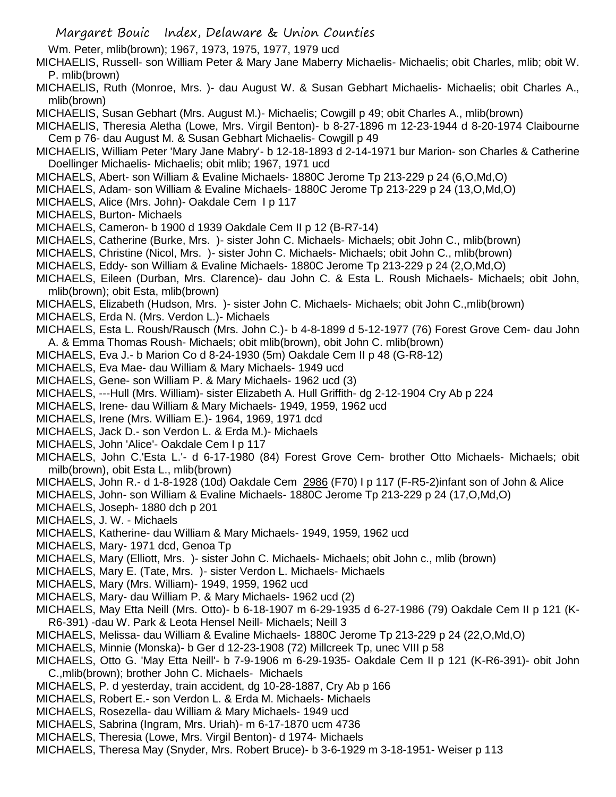Wm. Peter, mlib(brown); 1967, 1973, 1975, 1977, 1979 ucd

MICHAELIS, Russell- son William Peter & Mary Jane Maberry Michaelis- Michaelis; obit Charles, mlib; obit W. P. mlib(brown)

- MICHAELIS, Ruth (Monroe, Mrs. )- dau August W. & Susan Gebhart Michaelis- Michaelis; obit Charles A., mlib(brown)
- MICHAELIS, Susan Gebhart (Mrs. August M.)- Michaelis; Cowgill p 49; obit Charles A., mlib(brown)
- MICHAELIS, Theresia Aletha (Lowe, Mrs. Virgil Benton)- b 8-27-1896 m 12-23-1944 d 8-20-1974 Claibourne Cem p 76- dau August M. & Susan Gebhart Michaelis- Cowgill p 49
- MICHAELIS, William Peter 'Mary Jane Mabry'- b 12-18-1893 d 2-14-1971 bur Marion- son Charles & Catherine Doellinger Michaelis- Michaelis; obit mlib; 1967, 1971 ucd
- MICHAELS, Abert- son William & Evaline Michaels- 1880C Jerome Tp 213-229 p 24 (6,O,Md,O)
- MICHAELS, Adam- son William & Evaline Michaels- 1880C Jerome Tp 213-229 p 24 (13,O,Md,O)
- MICHAELS, Alice (Mrs. John)- Oakdale Cem I p 117
- MICHAELS, Burton- Michaels
- MICHAELS, Cameron- b 1900 d 1939 Oakdale Cem II p 12 (B-R7-14)
- MICHAELS, Catherine (Burke, Mrs. )- sister John C. Michaels- Michaels; obit John C., mlib(brown)
- MICHAELS, Christine (Nicol, Mrs. )- sister John C. Michaels- Michaels; obit John C., mlib(brown)
- MICHAELS, Eddy- son William & Evaline Michaels- 1880C Jerome Tp 213-229 p 24 (2,O,Md,O)
- MICHAELS, Eileen (Durban, Mrs. Clarence)- dau John C. & Esta L. Roush Michaels- Michaels; obit John, mlib(brown); obit Esta, mlib(brown)
- MICHAELS, Elizabeth (Hudson, Mrs. )- sister John C. Michaels- Michaels; obit John C.,mlib(brown)
- MICHAELS, Erda N. (Mrs. Verdon L.)- Michaels
- MICHAELS, Esta L. Roush/Rausch (Mrs. John C.)- b 4-8-1899 d 5-12-1977 (76) Forest Grove Cem- dau John A. & Emma Thomas Roush- Michaels; obit mlib(brown), obit John C. mlib(brown)
- MICHAELS, Eva J.- b Marion Co d 8-24-1930 (5m) Oakdale Cem II p 48 (G-R8-12)
- MICHAELS, Eva Mae- dau William & Mary Michaels- 1949 ucd
- MICHAELS, Gene- son William P. & Mary Michaels- 1962 ucd (3)
- MICHAELS, ---Hull (Mrs. William)- sister Elizabeth A. Hull Griffith- dg 2-12-1904 Cry Ab p 224
- MICHAELS, Irene- dau William & Mary Michaels- 1949, 1959, 1962 ucd
- MICHAELS, Irene (Mrs. William E.)- 1964, 1969, 1971 dcd
- MICHAELS, Jack D.- son Verdon L. & Erda M.)- Michaels
- MICHAELS, John 'Alice'- Oakdale Cem I p 117
- MICHAELS, John C.'Esta L.'- d 6-17-1980 (84) Forest Grove Cem- brother Otto Michaels- Michaels; obit milb(brown), obit Esta L., mlib(brown)
- MICHAELS, John R.- d 1-8-1928 (10d) Oakdale Cem 2986 (F70) I p 117 (F-R5-2)infant son of John & Alice
- MICHAELS, John- son William & Evaline Michaels- 1880C Jerome Tp 213-229 p 24 (17,O,Md,O)
- MICHAELS, Joseph- 1880 dch p 201
- MICHAELS, J. W. Michaels
- MICHAELS, Katherine- dau William & Mary Michaels- 1949, 1959, 1962 ucd
- MICHAELS, Mary- 1971 dcd, Genoa Tp
- MICHAELS, Mary (Elliott, Mrs. )- sister John C. Michaels- Michaels; obit John c., mlib (brown)
- MICHAELS, Mary E. (Tate, Mrs. )- sister Verdon L. Michaels- Michaels
- MICHAELS, Mary (Mrs. William)- 1949, 1959, 1962 ucd
- MICHAELS, Mary- dau William P. & Mary Michaels- 1962 ucd (2)
- MICHAELS, May Etta Neill (Mrs. Otto)- b 6-18-1907 m 6-29-1935 d 6-27-1986 (79) Oakdale Cem II p 121 (K-R6-391) -dau W. Park & Leota Hensel Neill- Michaels; Neill 3
- MICHAELS, Melissa- dau William & Evaline Michaels- 1880C Jerome Tp 213-229 p 24 (22,O,Md,O)
- MICHAELS, Minnie (Monska)- b Ger d 12-23-1908 (72) Millcreek Tp, unec VIII p 58
- MICHAELS, Otto G. 'May Etta Neill'- b 7-9-1906 m 6-29-1935- Oakdale Cem II p 121 (K-R6-391)- obit John C.,mlib(brown); brother John C. Michaels- Michaels
- MICHAELS, P. d yesterday, train accident, dg 10-28-1887, Cry Ab p 166
- MICHAELS, Robert E.- son Verdon L. & Erda M. Michaels- Michaels
- MICHAELS, Rosezella- dau William & Mary Michaels- 1949 ucd
- MICHAELS, Sabrina (Ingram, Mrs. Uriah)- m 6-17-1870 ucm 4736
- MICHAELS, Theresia (Lowe, Mrs. Virgil Benton)- d 1974- Michaels
- MICHAELS, Theresa May (Snyder, Mrs. Robert Bruce)- b 3-6-1929 m 3-18-1951- Weiser p 113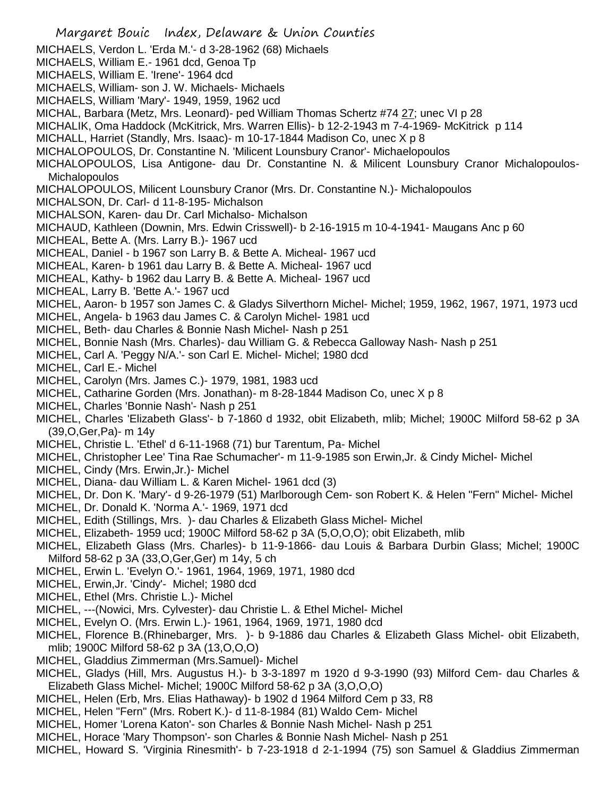- Margaret Bouic Index, Delaware & Union Counties MICHAELS, Verdon L. 'Erda M.'- d 3-28-1962 (68) Michaels MICHAELS, William E.- 1961 dcd, Genoa Tp MICHAELS, William E. 'Irene'- 1964 dcd MICHAELS, William- son J. W. Michaels- Michaels MICHAELS, William 'Mary'- 1949, 1959, 1962 ucd MICHAL, Barbara (Metz, Mrs. Leonard)- ped William Thomas Schertz #74 27; unec VI p 28 MICHALIK, Oma Haddock (McKitrick, Mrs. Warren Ellis)- b 12-2-1943 m 7-4-1969- McKitrick p 114 MICHALL, Harriet (Standly, Mrs. Isaac)- m 10-17-1844 Madison Co, unec X p 8 MICHALOPOULOS, Dr. Constantine N. 'Milicent Lounsbury Cranor'- Michaelopoulos MICHALOPOULOS, Lisa Antigone- dau Dr. Constantine N. & Milicent Lounsbury Cranor Michalopoulos-**Michalopoulos** MICHALOPOULOS, Milicent Lounsbury Cranor (Mrs. Dr. Constantine N.)- Michalopoulos MICHALSON, Dr. Carl- d 11-8-195- Michalson MICHALSON, Karen- dau Dr. Carl Michalso- Michalson MICHAUD, Kathleen (Downin, Mrs. Edwin Crisswell)- b 2-16-1915 m 10-4-1941- Maugans Anc p 60 MICHEAL, Bette A. (Mrs. Larry B.)- 1967 ucd MICHEAL, Daniel - b 1967 son Larry B. & Bette A. Micheal- 1967 ucd MICHEAL, Karen- b 1961 dau Larry B. & Bette A. Micheal- 1967 ucd MICHEAL, Kathy- b 1962 dau Larry B. & Bette A. Micheal- 1967 ucd MICHEAL, Larry B. 'Bette A.'- 1967 ucd MICHEL, Aaron- b 1957 son James C. & Gladys Silverthorn Michel- Michel; 1959, 1962, 1967, 1971, 1973 ucd MICHEL, Angela- b 1963 dau James C. & Carolyn Michel- 1981 ucd MICHEL, Beth- dau Charles & Bonnie Nash Michel- Nash p 251 MICHEL, Bonnie Nash (Mrs. Charles)- dau William G. & Rebecca Galloway Nash- Nash p 251 MICHEL, Carl A. 'Peggy N/A.'- son Carl E. Michel- Michel; 1980 dcd MICHEL, Carl E.- Michel MICHEL, Carolyn (Mrs. James C.)- 1979, 1981, 1983 ucd MICHEL, Catharine Gorden (Mrs. Jonathan)- m 8-28-1844 Madison Co, unec X p 8 MICHEL, Charles 'Bonnie Nash'- Nash p 251 MICHEL, Charles 'Elizabeth Glass'- b 7-1860 d 1932, obit Elizabeth, mlib; Michel; 1900C Milford 58-62 p 3A (39,O,Ger,Pa)- m 14y MICHEL, Christie L. 'Ethel' d 6-11-1968 (71) bur Tarentum, Pa- Michel MICHEL, Christopher Lee' Tina Rae Schumacher'- m 11-9-1985 son Erwin,Jr. & Cindy Michel- Michel MICHEL, Cindy (Mrs. Erwin,Jr.)- Michel MICHEL, Diana- dau William L. & Karen Michel- 1961 dcd (3) MICHEL, Dr. Don K. 'Mary'- d 9-26-1979 (51) Marlborough Cem- son Robert K. & Helen "Fern" Michel- Michel MICHEL, Dr. Donald K. 'Norma A.'- 1969, 1971 dcd MICHEL, Edith (Stillings, Mrs. )- dau Charles & Elizabeth Glass Michel- Michel MICHEL, Elizabeth- 1959 ucd; 1900C Milford 58-62 p 3A (5,O,O,O); obit Elizabeth, mlib MICHEL, Elizabeth Glass (Mrs. Charles)- b 11-9-1866- dau Louis & Barbara Durbin Glass; Michel; 1900C Milford 58-62 p 3A (33,O,Ger,Ger) m 14y, 5 ch MICHEL, Erwin L. 'Evelyn O.'- 1961, 1964, 1969, 1971, 1980 dcd MICHEL, Erwin,Jr. 'Cindy'- Michel; 1980 dcd MICHEL, Ethel (Mrs. Christie L.)- Michel MICHEL, ---(Nowici, Mrs. Cylvester)- dau Christie L. & Ethel Michel- Michel MICHEL, Evelyn O. (Mrs. Erwin L.)- 1961, 1964, 1969, 1971, 1980 dcd MICHEL, Florence B.(Rhinebarger, Mrs. )- b 9-1886 dau Charles & Elizabeth Glass Michel- obit Elizabeth, mlib; 1900C Milford 58-62 p 3A (13,O,O,O) MICHEL, Gladdius Zimmerman (Mrs.Samuel)- Michel MICHEL, Gladys (Hill, Mrs. Augustus H.)- b 3-3-1897 m 1920 d 9-3-1990 (93) Milford Cem- dau Charles &
- Elizabeth Glass Michel- Michel; 1900C Milford 58-62 p 3A (3,O,O,O)
- MICHEL, Helen (Erb, Mrs. Elias Hathaway)- b 1902 d 1964 Milford Cem p 33, R8
- MICHEL, Helen "Fern" (Mrs. Robert K.)- d 11-8-1984 (81) Waldo Cem- Michel
- MICHEL, Homer 'Lorena Katon'- son Charles & Bonnie Nash Michel- Nash p 251
- MICHEL, Horace 'Mary Thompson'- son Charles & Bonnie Nash Michel- Nash p 251
- MICHEL, Howard S. 'Virginia Rinesmith'- b 7-23-1918 d 2-1-1994 (75) son Samuel & Gladdius Zimmerman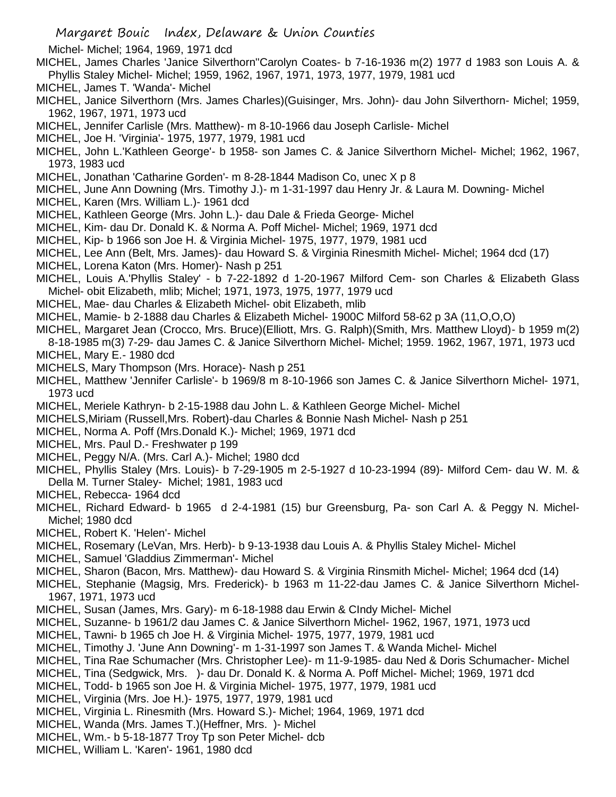Michel- Michel; 1964, 1969, 1971 dcd

- MICHEL, James Charles 'Janice Silverthorn''Carolyn Coates- b 7-16-1936 m(2) 1977 d 1983 son Louis A. & Phyllis Staley Michel- Michel; 1959, 1962, 1967, 1971, 1973, 1977, 1979, 1981 ucd
- MICHEL, James T. 'Wanda'- Michel
- MICHEL, Janice Silverthorn (Mrs. James Charles)(Guisinger, Mrs. John)- dau John Silverthorn- Michel; 1959, 1962, 1967, 1971, 1973 ucd
- MICHEL, Jennifer Carlisle (Mrs. Matthew)- m 8-10-1966 dau Joseph Carlisle- Michel
- MICHEL, Joe H. 'Virginia'- 1975, 1977, 1979, 1981 ucd
- MICHEL, John L.'Kathleen George'- b 1958- son James C. & Janice Silverthorn Michel- Michel; 1962, 1967, 1973, 1983 ucd
- MICHEL, Jonathan 'Catharine Gorden'- m 8-28-1844 Madison Co, unec X p 8
- MICHEL, June Ann Downing (Mrs. Timothy J.)- m 1-31-1997 dau Henry Jr. & Laura M. Downing- Michel
- MICHEL, Karen (Mrs. William L.)- 1961 dcd
- MICHEL, Kathleen George (Mrs. John L.)- dau Dale & Frieda George- Michel
- MICHEL, Kim- dau Dr. Donald K. & Norma A. Poff Michel- Michel; 1969, 1971 dcd
- MICHEL, Kip- b 1966 son Joe H. & Virginia Michel- 1975, 1977, 1979, 1981 ucd
- MICHEL, Lee Ann (Belt, Mrs. James)- dau Howard S. & Virginia Rinesmith Michel- Michel; 1964 dcd (17)
- MICHEL, Lorena Katon (Mrs. Homer)- Nash p 251
- MICHEL, Louis A.'Phyllis Staley' b 7-22-1892 d 1-20-1967 Milford Cem- son Charles & Elizabeth Glass Michel- obit Elizabeth, mlib; Michel; 1971, 1973, 1975, 1977, 1979 ucd
- MICHEL, Mae- dau Charles & Elizabeth Michel- obit Elizabeth, mlib
- MICHEL, Mamie- b 2-1888 dau Charles & Elizabeth Michel- 1900C Milford 58-62 p 3A (11,O,O,O)
- MICHEL, Margaret Jean (Crocco, Mrs. Bruce)(Elliott, Mrs. G. Ralph)(Smith, Mrs. Matthew Lloyd)- b 1959 m(2) 8-18-1985 m(3) 7-29- dau James C. & Janice Silverthorn Michel- Michel; 1959. 1962, 1967, 1971, 1973 ucd
- MICHEL, Mary E.- 1980 dcd
- MICHELS, Mary Thompson (Mrs. Horace)- Nash p 251
- MICHEL, Matthew 'Jennifer Carlisle'- b 1969/8 m 8-10-1966 son James C. & Janice Silverthorn Michel- 1971, 1973 ucd
- MICHEL, Meriele Kathryn- b 2-15-1988 dau John L. & Kathleen George Michel- Michel
- MICHELS,Miriam (Russell,Mrs. Robert)-dau Charles & Bonnie Nash Michel- Nash p 251
- MICHEL, Norma A. Poff (Mrs.Donald K.)- Michel; 1969, 1971 dcd
- MICHEL, Mrs. Paul D.- Freshwater p 199
- MICHEL, Peggy N/A. (Mrs. Carl A.)- Michel; 1980 dcd
- MICHEL, Phyllis Staley (Mrs. Louis)- b 7-29-1905 m 2-5-1927 d 10-23-1994 (89)- Milford Cem- dau W. M. & Della M. Turner Staley- Michel; 1981, 1983 ucd
- MICHEL, Rebecca- 1964 dcd
- MICHEL, Richard Edward- b 1965 d 2-4-1981 (15) bur Greensburg, Pa- son Carl A. & Peggy N. Michel-Michel; 1980 dcd
- MICHEL, Robert K. 'Helen'- Michel
- MICHEL, Rosemary (LeVan, Mrs. Herb)- b 9-13-1938 dau Louis A. & Phyllis Staley Michel- Michel
- MICHEL, Samuel 'Gladdius Zimmerman'- Michel
- MICHEL, Sharon (Bacon, Mrs. Matthew)- dau Howard S. & Virginia Rinsmith Michel- Michel; 1964 dcd (14)
- MICHEL, Stephanie (Magsig, Mrs. Frederick)- b 1963 m 11-22-dau James C. & Janice Silverthorn Michel-1967, 1971, 1973 ucd
- MICHEL, Susan (James, Mrs. Gary)- m 6-18-1988 dau Erwin & CIndy Michel- Michel
- MICHEL, Suzanne- b 1961/2 dau James C. & Janice Silverthorn Michel- 1962, 1967, 1971, 1973 ucd
- MICHEL, Tawni- b 1965 ch Joe H. & Virginia Michel- 1975, 1977, 1979, 1981 ucd
- MICHEL, Timothy J. 'June Ann Downing'- m 1-31-1997 son James T. & Wanda Michel- Michel
- MICHEL, Tina Rae Schumacher (Mrs. Christopher Lee)- m 11-9-1985- dau Ned & Doris Schumacher- Michel
- MICHEL, Tina (Sedgwick, Mrs. )- dau Dr. Donald K. & Norma A. Poff Michel- Michel; 1969, 1971 dcd
- MICHEL, Todd- b 1965 son Joe H. & Virginia Michel- 1975, 1977, 1979, 1981 ucd
- MICHEL, Virginia (Mrs. Joe H.)- 1975, 1977, 1979, 1981 ucd
- MICHEL, Virginia L. Rinesmith (Mrs. Howard S.)- Michel; 1964, 1969, 1971 dcd
- MICHEL, Wanda (Mrs. James T.)(Heffner, Mrs. )- Michel
- MICHEL, Wm.- b 5-18-1877 Troy Tp son Peter Michel- dcb
- MICHEL, William L. 'Karen'- 1961, 1980 dcd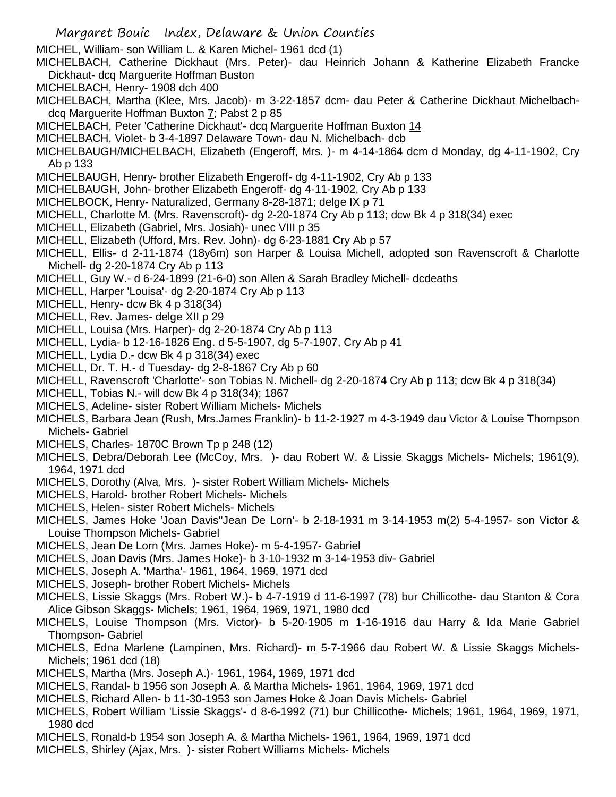- Margaret Bouic Index, Delaware & Union Counties
- MICHEL, William- son William L. & Karen Michel- 1961 dcd (1)
- MICHELBACH, Catherine Dickhaut (Mrs. Peter)- dau Heinrich Johann & Katherine Elizabeth Francke Dickhaut- dcq Marguerite Hoffman Buston
- MICHELBACH, Henry- 1908 dch 400
- MICHELBACH, Martha (Klee, Mrs. Jacob)- m 3-22-1857 dcm- dau Peter & Catherine Dickhaut Michelbachdcq Marguerite Hoffman Buxton 7; Pabst 2 p 85
- MICHELBACH, Peter 'Catherine Dickhaut'- dcq Marguerite Hoffman Buxton 14
- MICHELBACH, Violet- b 3-4-1897 Delaware Town- dau N. Michelbach- dcb
- MICHELBAUGH/MICHELBACH, Elizabeth (Engeroff, Mrs. )- m 4-14-1864 dcm d Monday, dg 4-11-1902, Cry Ab p 133
- MICHELBAUGH, Henry- brother Elizabeth Engeroff- dg 4-11-1902, Cry Ab p 133
- MICHELBAUGH, John- brother Elizabeth Engeroff- dg 4-11-1902, Cry Ab p 133
- MICHELBOCK, Henry- Naturalized, Germany 8-28-1871; delge IX p 71
- MICHELL, Charlotte M. (Mrs. Ravenscroft)- dg 2-20-1874 Cry Ab p 113; dcw Bk 4 p 318(34) exec
- MICHELL, Elizabeth (Gabriel, Mrs. Josiah)- unec VIII p 35
- MICHELL, Elizabeth (Ufford, Mrs. Rev. John)- dg 6-23-1881 Cry Ab p 57
- MICHELL, Ellis- d 2-11-1874 (18y6m) son Harper & Louisa Michell, adopted son Ravenscroft & Charlotte Michell- dg 2-20-1874 Cry Ab p 113
- MICHELL, Guy W.- d 6-24-1899 (21-6-0) son Allen & Sarah Bradley Michell- dcdeaths
- MICHELL, Harper 'Louisa'- dg 2-20-1874 Cry Ab p 113
- MICHELL, Henry- dcw Bk 4 p 318(34)
- MICHELL, Rev. James- delge XII p 29
- MICHELL, Louisa (Mrs. Harper)- dg 2-20-1874 Cry Ab p 113
- MICHELL, Lydia- b 12-16-1826 Eng. d 5-5-1907, dg 5-7-1907, Cry Ab p 41
- MICHELL, Lydia D.- dcw Bk 4 p 318(34) exec
- MICHELL, Dr. T. H.- d Tuesday- dg 2-8-1867 Cry Ab p 60
- MICHELL, Ravenscroft 'Charlotte'- son Tobias N. Michell- dg 2-20-1874 Cry Ab p 113; dcw Bk 4 p 318(34)
- MICHELL, Tobias N.- will dcw Bk 4 p 318(34); 1867
- MICHELS, Adeline- sister Robert William Michels- Michels
- MICHELS, Barbara Jean (Rush, Mrs.James Franklin)- b 11-2-1927 m 4-3-1949 dau Victor & Louise Thompson Michels- Gabriel
- MICHELS, Charles- 1870C Brown Tp p 248 (12)
- MICHELS, Debra/Deborah Lee (McCoy, Mrs. )- dau Robert W. & Lissie Skaggs Michels- Michels; 1961(9), 1964, 1971 dcd
- MICHELS, Dorothy (Alva, Mrs. )- sister Robert William Michels- Michels
- MICHELS, Harold- brother Robert Michels- Michels
- MICHELS, Helen- sister Robert Michels- Michels
- MICHELS, James Hoke 'Joan Davis''Jean De Lorn'- b 2-18-1931 m 3-14-1953 m(2) 5-4-1957- son Victor & Louise Thompson Michels- Gabriel
- MICHELS, Jean De Lorn (Mrs. James Hoke)- m 5-4-1957- Gabriel
- MICHELS, Joan Davis (Mrs. James Hoke)- b 3-10-1932 m 3-14-1953 div- Gabriel
- MICHELS, Joseph A. 'Martha'- 1961, 1964, 1969, 1971 dcd
- MICHELS, Joseph- brother Robert Michels- Michels
- MICHELS, Lissie Skaggs (Mrs. Robert W.)- b 4-7-1919 d 11-6-1997 (78) bur Chillicothe- dau Stanton & Cora Alice Gibson Skaggs- Michels; 1961, 1964, 1969, 1971, 1980 dcd
- MICHELS, Louise Thompson (Mrs. Victor)- b 5-20-1905 m 1-16-1916 dau Harry & Ida Marie Gabriel Thompson- Gabriel
- MICHELS, Edna Marlene (Lampinen, Mrs. Richard)- m 5-7-1966 dau Robert W. & Lissie Skaggs Michels-Michels; 1961 dcd (18)
- MICHELS, Martha (Mrs. Joseph A.)- 1961, 1964, 1969, 1971 dcd
- MICHELS, Randal- b 1956 son Joseph A. & Martha Michels- 1961, 1964, 1969, 1971 dcd
- MICHELS, Richard Allen- b 11-30-1953 son James Hoke & Joan Davis Michels- Gabriel
- MICHELS, Robert William 'Lissie Skaggs'- d 8-6-1992 (71) bur Chillicothe- Michels; 1961, 1964, 1969, 1971, 1980 dcd
- MICHELS, Ronald-b 1954 son Joseph A. & Martha Michels- 1961, 1964, 1969, 1971 dcd
- MICHELS, Shirley (Ajax, Mrs. )- sister Robert Williams Michels- Michels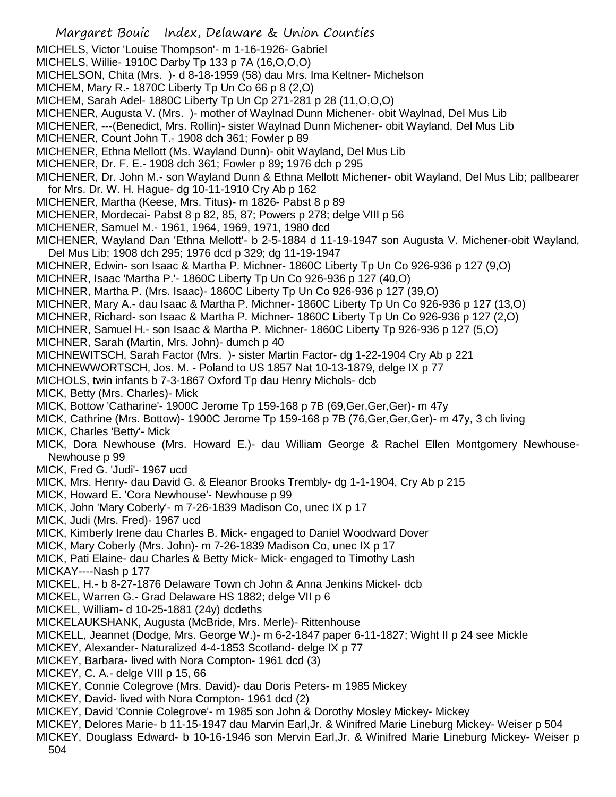Margaret Bouic Index, Delaware & Union Counties MICHELS, Victor 'Louise Thompson'- m 1-16-1926- Gabriel MICHELS, Willie- 1910C Darby Tp 133 p 7A (16,O,O,O) MICHELSON, Chita (Mrs. )- d 8-18-1959 (58) dau Mrs. Ima Keltner- Michelson MICHEM, Mary R.- 1870C Liberty Tp Un Co 66 p 8 (2,O) MICHEM, Sarah Adel- 1880C Liberty Tp Un Cp 271-281 p 28 (11,O,O,O) MICHENER, Augusta V. (Mrs. )- mother of Waylnad Dunn Michener- obit Waylnad, Del Mus Lib MICHENER, ---(Benedict, Mrs. Rollin)- sister Waylnad Dunn Michener- obit Wayland, Del Mus Lib MICHENER, Count John T.- 1908 dch 361; Fowler p 89 MICHENER, Ethna Mellott (Ms. Wayland Dunn)- obit Wayland, Del Mus Lib MICHENER, Dr. F. E.- 1908 dch 361; Fowler p 89; 1976 dch p 295 MICHENER, Dr. John M.- son Wayland Dunn & Ethna Mellott Michener- obit Wayland, Del Mus Lib; pallbearer for Mrs. Dr. W. H. Hague- dg 10-11-1910 Cry Ab p 162 MICHENER, Martha (Keese, Mrs. Titus)- m 1826- Pabst 8 p 89 MICHENER, Mordecai- Pabst 8 p 82, 85, 87; Powers p 278; delge VIII p 56 MICHENER, Samuel M.- 1961, 1964, 1969, 1971, 1980 dcd MICHENER, Wayland Dan 'Ethna Mellott'- b 2-5-1884 d 11-19-1947 son Augusta V. Michener-obit Wayland, Del Mus Lib; 1908 dch 295; 1976 dcd p 329; dg 11-19-1947 MICHNER, Edwin- son Isaac & Martha P. Michner- 1860C Liberty Tp Un Co 926-936 p 127 (9,O) MICHNER, Isaac 'Martha P.'- 1860C Liberty Tp Un Co 926-936 p 127 (40,O) MICHNER, Martha P. (Mrs. Isaac)- 1860C Liberty Tp Un Co 926-936 p 127 (39,O) MICHNER, Mary A.- dau Isaac & Martha P. Michner- 1860C Liberty Tp Un Co 926-936 p 127 (13,O) MICHNER, Richard- son Isaac & Martha P. Michner- 1860C Liberty Tp Un Co 926-936 p 127 (2,O) MICHNER, Samuel H.- son Isaac & Martha P. Michner- 1860C Liberty Tp 926-936 p 127 (5,O) MICHNER, Sarah (Martin, Mrs. John)- dumch p 40 MICHNEWITSCH, Sarah Factor (Mrs. )- sister Martin Factor- dg 1-22-1904 Cry Ab p 221 MICHNEWWORTSCH, Jos. M. - Poland to US 1857 Nat 10-13-1879, delge IX p 77 MICHOLS, twin infants b 7-3-1867 Oxford Tp dau Henry Michols- dcb MICK, Betty (Mrs. Charles)- Mick MICK, Bottow 'Catharine'- 1900C Jerome Tp 159-168 p 7B (69,Ger,Ger,Ger)- m 47y MICK, Cathrine (Mrs. Bottow)- 1900C Jerome Tp 159-168 p 7B (76,Ger,Ger,Ger)- m 47y, 3 ch living MICK, Charles 'Betty'- Mick MICK, Dora Newhouse (Mrs. Howard E.)- dau William George & Rachel Ellen Montgomery Newhouse-Newhouse p 99 MICK, Fred G. 'Judi'- 1967 ucd MICK, Mrs. Henry- dau David G. & Eleanor Brooks Trembly- dg 1-1-1904, Cry Ab p 215 MICK, Howard E. 'Cora Newhouse'- Newhouse p 99 MICK, John 'Mary Coberly'- m 7-26-1839 Madison Co, unec IX p 17 MICK, Judi (Mrs. Fred)- 1967 ucd MICK, Kimberly Irene dau Charles B. Mick- engaged to Daniel Woodward Dover MICK, Mary Coberly (Mrs. John)- m 7-26-1839 Madison Co, unec IX p 17 MICK, Pati Elaine- dau Charles & Betty Mick- Mick- engaged to Timothy Lash MICKAY----Nash p 177 MICKEL, H.- b 8-27-1876 Delaware Town ch John & Anna Jenkins Mickel- dcb MICKEL, Warren G.- Grad Delaware HS 1882; delge VII p 6 MICKEL, William- d 10-25-1881 (24y) dcdeths MICKELAUKSHANK, Augusta (McBride, Mrs. Merle)- Rittenhouse MICKELL, Jeannet (Dodge, Mrs. George W.)- m 6-2-1847 paper 6-11-1827; Wight II p 24 see Mickle MICKEY, Alexander- Naturalized 4-4-1853 Scotland- delge IX p 77 MICKEY, Barbara- lived with Nora Compton- 1961 dcd (3) MICKEY, C. A.- delge VIII p 15, 66 MICKEY, Connie Colegrove (Mrs. David)- dau Doris Peters- m 1985 Mickey MICKEY, David- lived with Nora Compton- 1961 dcd (2) MICKEY, David 'Connie Colegrove'- m 1985 son John & Dorothy Mosley Mickey- Mickey MICKEY, Delores Marie- b 11-15-1947 dau Marvin Earl,Jr. & Winifred Marie Lineburg Mickey- Weiser p 504 MICKEY, Douglass Edward- b 10-16-1946 son Mervin Earl,Jr. & Winifred Marie Lineburg Mickey- Weiser p 504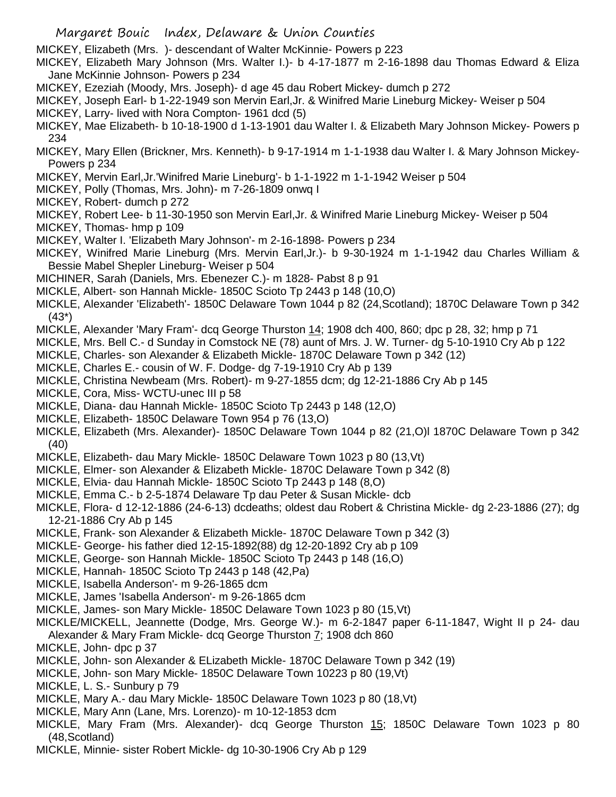MICKEY, Elizabeth (Mrs. )- descendant of Walter McKinnie- Powers p 223

- MICKEY, Elizabeth Mary Johnson (Mrs. Walter I.)- b 4-17-1877 m 2-16-1898 dau Thomas Edward & Eliza Jane McKinnie Johnson- Powers p 234
- MICKEY, Ezeziah (Moody, Mrs. Joseph)- d age 45 dau Robert Mickey- dumch p 272
- MICKEY, Joseph Earl- b 1-22-1949 son Mervin Earl,Jr. & Winifred Marie Lineburg Mickey- Weiser p 504
- MICKEY, Larry- lived with Nora Compton- 1961 dcd (5)
- MICKEY, Mae Elizabeth- b 10-18-1900 d 1-13-1901 dau Walter I. & Elizabeth Mary Johnson Mickey- Powers p 234
- MICKEY, Mary Ellen (Brickner, Mrs. Kenneth)- b 9-17-1914 m 1-1-1938 dau Walter I. & Mary Johnson Mickey-Powers p 234
- MICKEY, Mervin Earl,Jr.'Winifred Marie Lineburg'- b 1-1-1922 m 1-1-1942 Weiser p 504
- MICKEY, Polly (Thomas, Mrs. John)- m 7-26-1809 onwq I
- MICKEY, Robert- dumch p 272
- MICKEY, Robert Lee- b 11-30-1950 son Mervin Earl,Jr. & Winifred Marie Lineburg Mickey- Weiser p 504
- MICKEY, Thomas- hmp p 109
- MICKEY, Walter I. 'Elizabeth Mary Johnson'- m 2-16-1898- Powers p 234
- MICKEY, Winifred Marie Lineburg (Mrs. Mervin Earl,Jr.)- b 9-30-1924 m 1-1-1942 dau Charles William & Bessie Mabel Shepler Lineburg- Weiser p 504
- MICHINER, Sarah (Daniels, Mrs. Ebenezer C.)- m 1828- Pabst 8 p 91
- MICKLE, Albert- son Hannah Mickle- 1850C Scioto Tp 2443 p 148 (10,O)
- MICKLE, Alexander 'Elizabeth'- 1850C Delaware Town 1044 p 82 (24,Scotland); 1870C Delaware Town p 342 (43\*)
- MICKLE, Alexander 'Mary Fram'- dcq George Thurston 14; 1908 dch 400, 860; dpc p 28, 32; hmp p 71
- MICKLE, Mrs. Bell C.- d Sunday in Comstock NE (78) aunt of Mrs. J. W. Turner- dg 5-10-1910 Cry Ab p 122
- MICKLE, Charles- son Alexander & Elizabeth Mickle- 1870C Delaware Town p 342 (12)
- MICKLE, Charles E.- cousin of W. F. Dodge- dg 7-19-1910 Cry Ab p 139
- MICKLE, Christina Newbeam (Mrs. Robert)- m 9-27-1855 dcm; dg 12-21-1886 Cry Ab p 145
- MICKLE, Cora, Miss- WCTU-unec III p 58
- MICKLE, Diana- dau Hannah Mickle- 1850C Scioto Tp 2443 p 148 (12,O)
- MICKLE, Elizabeth- 1850C Delaware Town 954 p 76 (13,O)
- MICKLE, Elizabeth (Mrs. Alexander)- 1850C Delaware Town 1044 p 82 (21,O)l 1870C Delaware Town p 342 (40)
- MICKLE, Elizabeth- dau Mary Mickle- 1850C Delaware Town 1023 p 80 (13,Vt)
- MICKLE, Elmer- son Alexander & Elizabeth Mickle- 1870C Delaware Town p 342 (8)
- MICKLE, Elvia- dau Hannah Mickle- 1850C Scioto Tp 2443 p 148 (8,O)
- MICKLE, Emma C.- b 2-5-1874 Delaware Tp dau Peter & Susan Mickle- dcb
- MICKLE, Flora- d 12-12-1886 (24-6-13) dcdeaths; oldest dau Robert & Christina Mickle- dg 2-23-1886 (27); dg 12-21-1886 Cry Ab p 145
- MICKLE, Frank- son Alexander & Elizabeth Mickle- 1870C Delaware Town p 342 (3)
- MICKLE- George- his father died 12-15-1892(88) dg 12-20-1892 Cry ab p 109
- MICKLE, George- son Hannah Mickle- 1850C Scioto Tp 2443 p 148 (16,O)
- MICKLE, Hannah- 1850C Scioto Tp 2443 p 148 (42,Pa)
- MICKLE, Isabella Anderson'- m 9-26-1865 dcm
- MICKLE, James 'Isabella Anderson'- m 9-26-1865 dcm
- MICKLE, James- son Mary Mickle- 1850C Delaware Town 1023 p 80 (15,Vt)
- MICKLE/MICKELL, Jeannette (Dodge, Mrs. George W.)- m 6-2-1847 paper 6-11-1847, Wight II p 24- dau
- Alexander & Mary Fram Mickle- dcq George Thurston 7; 1908 dch 860
- MICKLE, John- dpc p 37
- MICKLE, John- son Alexander & ELizabeth Mickle- 1870C Delaware Town p 342 (19)
- MICKLE, John- son Mary Mickle- 1850C Delaware Town 10223 p 80 (19,Vt)
- MICKLE, L. S.- Sunbury p 79
- MICKLE, Mary A.- dau Mary Mickle- 1850C Delaware Town 1023 p 80 (18,Vt)
- MICKLE, Mary Ann (Lane, Mrs. Lorenzo)- m 10-12-1853 dcm
- MICKLE, Mary Fram (Mrs. Alexander)- dcq George Thurston 15; 1850C Delaware Town 1023 p 80 (48,Scotland)
- MICKLE, Minnie- sister Robert Mickle- dg 10-30-1906 Cry Ab p 129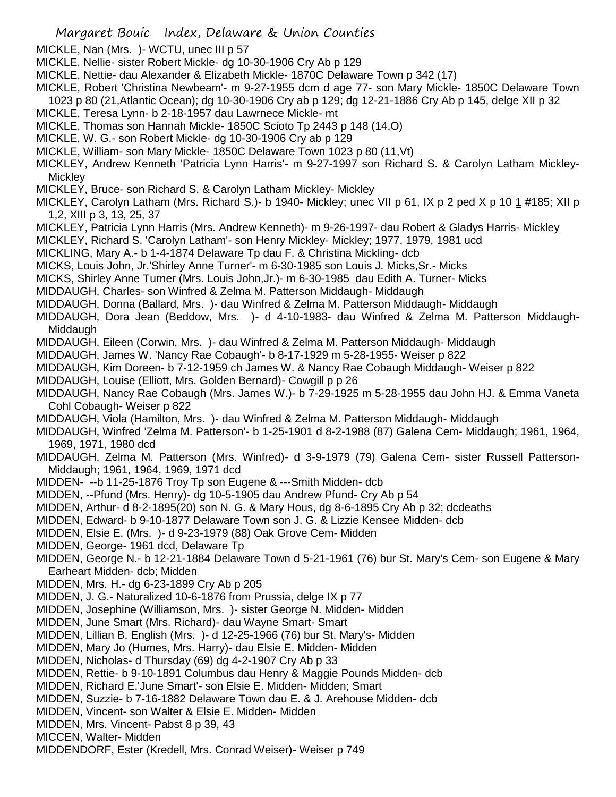- MICKLE, Nan (Mrs. )- WCTU, unec III p 57
- MICKLE, Nellie- sister Robert Mickle- dg 10-30-1906 Cry Ab p 129
- MICKLE, Nettie- dau Alexander & Elizabeth Mickle- 1870C Delaware Town p 342 (17)
- MICKLE, Robert 'Christina Newbeam'- m 9-27-1955 dcm d age 77- son Mary Mickle- 1850C Delaware Town
- 1023 p 80 (21,Atlantic Ocean); dg 10-30-1906 Cry ab p 129; dg 12-21-1886 Cry Ab p 145, delge XII p 32
- MICKLE, Teresa Lynn- b 2-18-1957 dau Lawrnece Mickle- mt
- MICKLE, Thomas son Hannah Mickle- 1850C Scioto Tp 2443 p 148 (14,O)
- MICKLE, W. G.- son Robert Mickle- dg 10-30-1906 Cry ab p 129
- MICKLE, William- son Mary Mickle- 1850C Delaware Town 1023 p 80 (11,Vt)
- MICKLEY, Andrew Kenneth 'Patricia Lynn Harris'- m 9-27-1997 son Richard S. & Carolyn Latham Mickley-**Mickley**
- MICKLEY, Bruce- son Richard S. & Carolyn Latham Mickley- Mickley
- MICKLEY, Carolyn Latham (Mrs. Richard S.)- b 1940- Mickley; unec VII p 61, IX p 2 ped X p 10 1 #185; XII p 1,2, XIII p 3, 13, 25, 37
- MICKLEY, Patricia Lynn Harris (Mrs. Andrew Kenneth)- m 9-26-1997- dau Robert & Gladys Harris- Mickley
- MICKLEY, Richard S. 'Carolyn Latham'- son Henry Mickley- Mickley; 1977, 1979, 1981 ucd
- MICKLING, Mary A.- b 1-4-1874 Delaware Tp dau F. & Christina Mickling- dcb
- MICKS, Louis John, Jr.'Shirley Anne Turner'- m 6-30-1985 son Louis J. Micks,Sr.- Micks
- MICKS, Shirley Anne Turner (Mrs. Louis John,Jr.)- m 6-30-1985 dau Edith A. Turner- Micks
- MIDDAUGH, Charles- son Winfred & Zelma M. Patterson Middaugh- Middaugh
- MIDDAUGH, Donna (Ballard, Mrs. )- dau Winfred & Zelma M. Patterson Middaugh- Middaugh
- MIDDAUGH, Dora Jean (Beddow, Mrs. )- d 4-10-1983- dau Winfred & Zelma M. Patterson Middaugh-Middaugh
- MIDDAUGH, Eileen (Corwin, Mrs. )- dau Winfred & Zelma M. Patterson Middaugh- Middaugh
- MIDDAUGH, James W. 'Nancy Rae Cobaugh'- b 8-17-1929 m 5-28-1955- Weiser p 822
- MIDDAUGH, Kim Doreen- b 7-12-1959 ch James W. & Nancy Rae Cobaugh Middaugh- Weiser p 822
- MIDDAUGH, Louise (Elliott, Mrs. Golden Bernard)- Cowgill p p 26
- MIDDAUGH, Nancy Rae Cobaugh (Mrs. James W.)- b 7-29-1925 m 5-28-1955 dau John HJ. & Emma Vaneta Cohl Cobaugh- Weiser p 822
- MIDDAUGH, Viola (Hamilton, Mrs. )- dau Winfred & Zelma M. Patterson Middaugh- Middaugh
- MIDDAUGH, Winfred 'Zelma M. Patterson'- b 1-25-1901 d 8-2-1988 (87) Galena Cem- Middaugh; 1961, 1964, 1969, 1971, 1980 dcd
- MIDDAUGH, Zelma M. Patterson (Mrs. Winfred)- d 3-9-1979 (79) Galena Cem- sister Russell Patterson-Middaugh; 1961, 1964, 1969, 1971 dcd
- MIDDEN- --b 11-25-1876 Troy Tp son Eugene & ---Smith Midden- dcb
- MIDDEN, --Pfund (Mrs. Henry)- dg 10-5-1905 dau Andrew Pfund- Cry Ab p 54
- MIDDEN, Arthur- d 8-2-1895(20) son N. G. & Mary Hous, dg 8-6-1895 Cry Ab p 32; dcdeaths
- MIDDEN, Edward- b 9-10-1877 Delaware Town son J. G. & Lizzie Kensee Midden- dcb
- MIDDEN, Elsie E. (Mrs. )- d 9-23-1979 (88) Oak Grove Cem- Midden
- MIDDEN, George- 1961 dcd, Delaware Tp
- MIDDEN, George N.- b 12-21-1884 Delaware Town d 5-21-1961 (76) bur St. Mary's Cem- son Eugene & Mary Earheart Midden- dcb; Midden
- MIDDEN, Mrs. H.- dg 6-23-1899 Cry Ab p 205
- MIDDEN, J. G.- Naturalized 10-6-1876 from Prussia, delge IX p 77
- MIDDEN, Josephine (Williamson, Mrs. )- sister George N. Midden- Midden
- MIDDEN, June Smart (Mrs. Richard)- dau Wayne Smart- Smart
- MIDDEN, Lillian B. English (Mrs. )- d 12-25-1966 (76) bur St. Mary's- Midden
- MIDDEN, Mary Jo (Humes, Mrs. Harry)- dau Elsie E. Midden- Midden
- MIDDEN, Nicholas- d Thursday (69) dg 4-2-1907 Cry Ab p 33
- MIDDEN, Rettie- b 9-10-1891 Columbus dau Henry & Maggie Pounds Midden- dcb
- MIDDEN, Richard E.'June Smart'- son Elsie E. Midden- Midden; Smart
- MIDDEN, Suzzie- b 7-16-1882 Delaware Town dau E. & J. Arehouse Midden- dcb
- MIDDEN, Vincent- son Walter & Elsie E. Midden- Midden
- MIDDEN, Mrs. Vincent- Pabst 8 p 39, 43
- MICCEN, Walter- Midden
- MIDDENDORF, Ester (Kredell, Mrs. Conrad Weiser)- Weiser p 749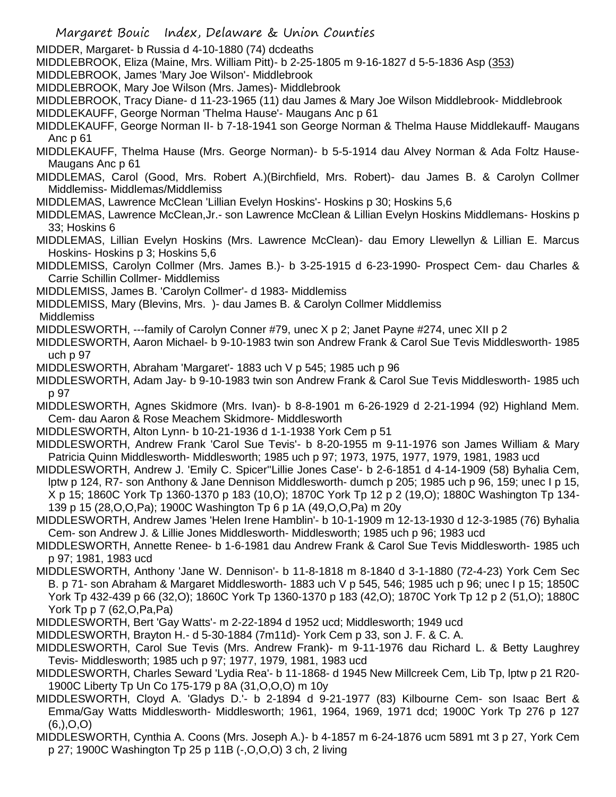- Margaret Bouic Index, Delaware & Union Counties
- MIDDER, Margaret- b Russia d 4-10-1880 (74) dcdeaths
- MIDDLEBROOK, Eliza (Maine, Mrs. William Pitt)- b 2-25-1805 m 9-16-1827 d 5-5-1836 Asp (353)
- MIDDLEBROOK, James 'Mary Joe Wilson'- Middlebrook
- MIDDLEBROOK, Mary Joe Wilson (Mrs. James)- Middlebrook
- MIDDLEBROOK, Tracy Diane- d 11-23-1965 (11) dau James & Mary Joe Wilson Middlebrook- Middlebrook
- MIDDLEKAUFF, George Norman 'Thelma Hause'- Maugans Anc p 61
- MIDDLEKAUFF, George Norman II- b 7-18-1941 son George Norman & Thelma Hause Middlekauff- Maugans Anc p 61
- MIDDLEKAUFF, Thelma Hause (Mrs. George Norman)- b 5-5-1914 dau Alvey Norman & Ada Foltz Hause-Maugans Anc p 61
- MIDDLEMAS, Carol (Good, Mrs. Robert A.)(Birchfield, Mrs. Robert)- dau James B. & Carolyn Collmer Middlemiss- Middlemas/Middlemiss
- MIDDLEMAS, Lawrence McClean 'Lillian Evelyn Hoskins'- Hoskins p 30; Hoskins 5,6
- MIDDLEMAS, Lawrence McClean,Jr.- son Lawrence McClean & Lillian Evelyn Hoskins Middlemans- Hoskins p 33; Hoskins 6
- MIDDLEMAS, Lillian Evelyn Hoskins (Mrs. Lawrence McClean)- dau Emory Llewellyn & Lillian E. Marcus Hoskins- Hoskins p 3; Hoskins 5,6
- MIDDLEMISS, Carolyn Collmer (Mrs. James B.)- b 3-25-1915 d 6-23-1990- Prospect Cem- dau Charles & Carrie Schillin Collmer- Middlemiss
- MIDDLEMISS, James B. 'Carolyn Collmer'- d 1983- Middlemiss
- MIDDLEMISS, Mary (Blevins, Mrs. )- dau James B. & Carolyn Collmer Middlemiss

**Middlemiss** 

- MIDDLESWORTH, ---family of Carolyn Conner #79, unec X p 2; Janet Payne #274, unec XII p 2
- MIDDLESWORTH, Aaron Michael- b 9-10-1983 twin son Andrew Frank & Carol Sue Tevis Middlesworth- 1985 uch p 97
- MIDDLESWORTH, Abraham 'Margaret'- 1883 uch V p 545; 1985 uch p 96
- MIDDLESWORTH, Adam Jay- b 9-10-1983 twin son Andrew Frank & Carol Sue Tevis Middlesworth- 1985 uch p 97
- MIDDLESWORTH, Agnes Skidmore (Mrs. Ivan)- b 8-8-1901 m 6-26-1929 d 2-21-1994 (92) Highland Mem. Cem- dau Aaron & Rose Meachem Skidmore- Middlesworth
- MIDDLESWORTH, Alton Lynn- b 10-21-1936 d 1-1-1938 York Cem p 51
- MIDDLESWORTH, Andrew Frank 'Carol Sue Tevis'- b 8-20-1955 m 9-11-1976 son James William & Mary Patricia Quinn Middlesworth- Middlesworth; 1985 uch p 97; 1973, 1975, 1977, 1979, 1981, 1983 ucd
- MIDDLESWORTH, Andrew J. 'Emily C. Spicer''Lillie Jones Case'- b 2-6-1851 d 4-14-1909 (58) Byhalia Cem, lptw p 124, R7- son Anthony & Jane Dennison Middlesworth- dumch p 205; 1985 uch p 96, 159; unec I p 15, X p 15; 1860C York Tp 1360-1370 p 183 (10,O); 1870C York Tp 12 p 2 (19,O); 1880C Washington Tp 134- 139 p 15 (28,O,O,Pa); 1900C Washington Tp 6 p 1A (49,O,O,Pa) m 20y
- MIDDLESWORTH, Andrew James 'Helen Irene Hamblin'- b 10-1-1909 m 12-13-1930 d 12-3-1985 (76) Byhalia Cem- son Andrew J. & Lillie Jones Middlesworth- Middlesworth; 1985 uch p 96; 1983 ucd
- MIDDLESWORTH, Annette Renee- b 1-6-1981 dau Andrew Frank & Carol Sue Tevis Middlesworth- 1985 uch p 97; 1981, 1983 ucd
- MIDDLESWORTH, Anthony 'Jane W. Dennison'- b 11-8-1818 m 8-1840 d 3-1-1880 (72-4-23) York Cem Sec B. p 71- son Abraham & Margaret Middlesworth- 1883 uch V p 545, 546; 1985 uch p 96; unec I p 15; 1850C York Tp 432-439 p 66 (32,O); 1860C York Tp 1360-1370 p 183 (42,O); 1870C York Tp 12 p 2 (51,O); 1880C York Tp p 7 (62,O,Pa,Pa)
- MIDDLESWORTH, Bert 'Gay Watts'- m 2-22-1894 d 1952 ucd; Middlesworth; 1949 ucd
- MIDDLESWORTH, Brayton H.- d 5-30-1884 (7m11d)- York Cem p 33, son J. F. & C. A.
- MIDDLESWORTH, Carol Sue Tevis (Mrs. Andrew Frank)- m 9-11-1976 dau Richard L. & Betty Laughrey Tevis- Middlesworth; 1985 uch p 97; 1977, 1979, 1981, 1983 ucd
- MIDDLESWORTH, Charles Seward 'Lydia Rea'- b 11-1868- d 1945 New Millcreek Cem, Lib Tp, lptw p 21 R20- 1900C Liberty Tp Un Co 175-179 p 8A (31,O,O,O) m 10y
- MIDDLESWORTH, Cloyd A. 'Gladys D.'- b 2-1894 d 9-21-1977 (83) Kilbourne Cem- son Isaac Bert & Emma/Gay Watts Middlesworth- Middlesworth; 1961, 1964, 1969, 1971 dcd; 1900C York Tp 276 p 127  $(6,),O,O)$
- MIDDLESWORTH, Cynthia A. Coons (Mrs. Joseph A.)- b 4-1857 m 6-24-1876 ucm 5891 mt 3 p 27, York Cem p 27; 1900C Washington Tp 25 p 11B (-,O,O,O) 3 ch, 2 living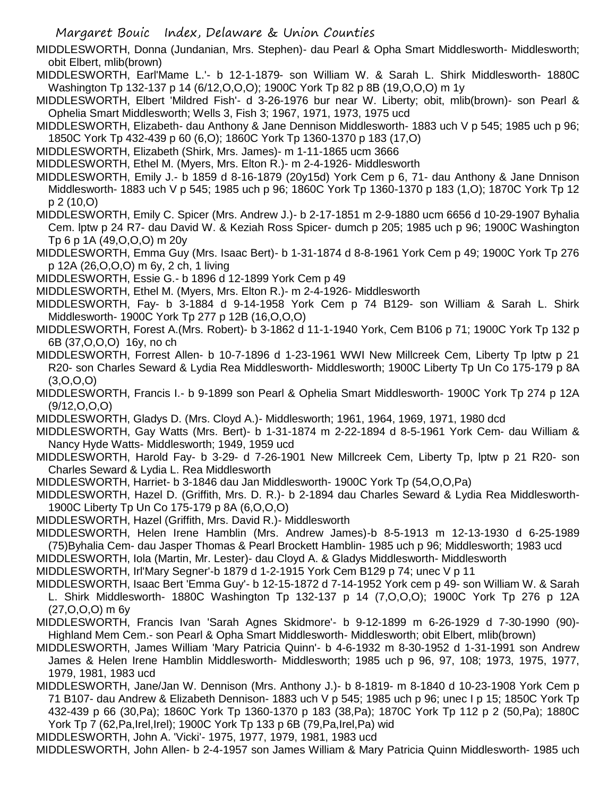MIDDLESWORTH, Donna (Jundanian, Mrs. Stephen)- dau Pearl & Opha Smart Middlesworth- Middlesworth; obit Elbert, mlib(brown)

MIDDLESWORTH, Earl'Mame L.'- b 12-1-1879- son William W. & Sarah L. Shirk Middlesworth- 1880C Washington Tp 132-137 p 14 (6/12,O,O,O); 1900C York Tp 82 p 8B (19,O,O,O) m 1y

MIDDLESWORTH, Elbert 'Mildred Fish'- d 3-26-1976 bur near W. Liberty; obit, mlib(brown)- son Pearl & Ophelia Smart Middlesworth; Wells 3, Fish 3; 1967, 1971, 1973, 1975 ucd

MIDDLESWORTH, Elizabeth- dau Anthony & Jane Dennison Middlesworth- 1883 uch V p 545; 1985 uch p 96; 1850C York Tp 432-439 p 60 (6,O); 1860C York Tp 1360-1370 p 183 (17,O)

MIDDLESWORTH, Elizabeth (Shirk, Mrs. James)- m 1-11-1865 ucm 3666

MIDDLESWORTH, Ethel M. (Myers, Mrs. Elton R.)- m 2-4-1926- Middlesworth

MIDDLESWORTH, Emily J.- b 1859 d 8-16-1879 (20y15d) York Cem p 6, 71- dau Anthony & Jane Dnnison Middlesworth- 1883 uch V p 545; 1985 uch p 96; 1860C York Tp 1360-1370 p 183 (1,O); 1870C York Tp 12 p 2 (10,O)

MIDDLESWORTH, Emily C. Spicer (Mrs. Andrew J.)- b 2-17-1851 m 2-9-1880 ucm 6656 d 10-29-1907 Byhalia Cem. lptw p 24 R7- dau David W. & Keziah Ross Spicer- dumch p 205; 1985 uch p 96; 1900C Washington Tp 6 p 1A (49,O,O,O) m 20y

MIDDLESWORTH, Emma Guy (Mrs. Isaac Bert)- b 1-31-1874 d 8-8-1961 York Cem p 49; 1900C York Tp 276 p 12A (26,O,O,O) m 6y, 2 ch, 1 living

MIDDLESWORTH, Essie G.- b 1896 d 12-1899 York Cem p 49

MIDDLESWORTH, Ethel M. (Myers, Mrs. Elton R.)- m 2-4-1926- Middlesworth

MIDDLESWORTH, Fay- b 3-1884 d 9-14-1958 York Cem p 74 B129- son William & Sarah L. Shirk Middlesworth- 1900C York Tp 277 p 12B (16,O,O,O)

MIDDLESWORTH, Forest A.(Mrs. Robert)- b 3-1862 d 11-1-1940 York, Cem B106 p 71; 1900C York Tp 132 p 6B (37,O,O,O) 16y, no ch

MIDDLESWORTH, Forrest Allen- b 10-7-1896 d 1-23-1961 WWI New Millcreek Cem, Liberty Tp lptw p 21 R20- son Charles Seward & Lydia Rea Middlesworth- Middlesworth; 1900C Liberty Tp Un Co 175-179 p 8A (3,O,O,O)

MIDDLESWORTH, Francis I.- b 9-1899 son Pearl & Ophelia Smart Middlesworth- 1900C York Tp 274 p 12A  $(9/12, 0, 0, 0)$ 

MIDDLESWORTH, Gladys D. (Mrs. Cloyd A.)- Middlesworth; 1961, 1964, 1969, 1971, 1980 dcd

MIDDLESWORTH, Gay Watts (Mrs. Bert)- b 1-31-1874 m 2-22-1894 d 8-5-1961 York Cem- dau William & Nancy Hyde Watts- Middlesworth; 1949, 1959 ucd

MIDDLESWORTH, Harold Fay- b 3-29- d 7-26-1901 New Millcreek Cem, Liberty Tp, lptw p 21 R20- son Charles Seward & Lydia L. Rea Middlesworth

MIDDLESWORTH, Harriet- b 3-1846 dau Jan Middlesworth- 1900C York Tp (54,O,O,Pa)

MIDDLESWORTH, Hazel D. (Griffith, Mrs. D. R.)- b 2-1894 dau Charles Seward & Lydia Rea Middlesworth-1900C Liberty Tp Un Co 175-179 p 8A (6,O,O,O)

MIDDLESWORTH, Hazel (Griffith, Mrs. David R.)- Middlesworth

MIDDLESWORTH, Helen Irene Hamblin (Mrs. Andrew James)-b 8-5-1913 m 12-13-1930 d 6-25-1989 (75)Byhalia Cem- dau Jasper Thomas & Pearl Brockett Hamblin- 1985 uch p 96; Middlesworth; 1983 ucd

MIDDLESWORTH, Iola (Martin, Mr. Lester)- dau Cloyd A. & Gladys Middlesworth- Middlesworth

MIDDLESWORTH, Irl'Mary Segner'-b 1879 d 1-2-1915 York Cem B129 p 74; unec V p 11

MIDDLESWORTH, Isaac Bert 'Emma Guy'- b 12-15-1872 d 7-14-1952 York cem p 49- son William W. & Sarah L. Shirk Middlesworth- 1880C Washington Tp 132-137 p 14 (7,O,O,O); 1900C York Tp 276 p 12A (27,O,O,O) m 6y

- MIDDLESWORTH, Francis Ivan 'Sarah Agnes Skidmore'- b 9-12-1899 m 6-26-1929 d 7-30-1990 (90)- Highland Mem Cem.- son Pearl & Opha Smart Middlesworth- Middlesworth; obit Elbert, mlib(brown)
- MIDDLESWORTH, James William 'Mary Patricia Quinn'- b 4-6-1932 m 8-30-1952 d 1-31-1991 son Andrew James & Helen Irene Hamblin Middlesworth- Middlesworth; 1985 uch p 96, 97, 108; 1973, 1975, 1977, 1979, 1981, 1983 ucd

MIDDLESWORTH, Jane/Jan W. Dennison (Mrs. Anthony J.)- b 8-1819- m 8-1840 d 10-23-1908 York Cem p 71 B107- dau Andrew & Elizabeth Dennison- 1883 uch V p 545; 1985 uch p 96; unec I p 15; 1850C York Tp 432-439 p 66 (30,Pa); 1860C York Tp 1360-1370 p 183 (38,Pa); 1870C York Tp 112 p 2 (50,Pa); 1880C York Tp 7 (62, Pa, Irel, Irel); 1900C York Tp 133 p 6B (79, Pa, Irel, Pa) wid

MIDDLESWORTH, John A. 'Vicki'- 1975, 1977, 1979, 1981, 1983 ucd

MIDDLESWORTH, John Allen- b 2-4-1957 son James William & Mary Patricia Quinn Middlesworth- 1985 uch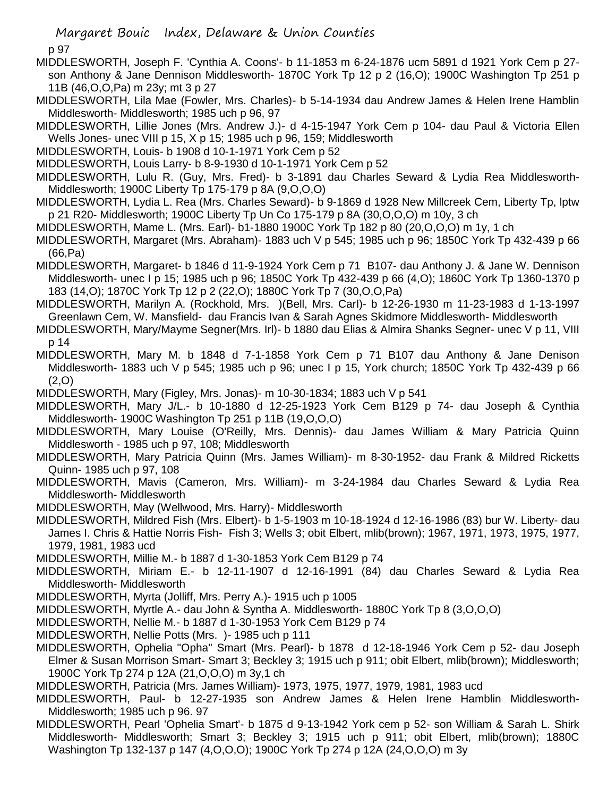p 97

- MIDDLESWORTH, Joseph F. 'Cynthia A. Coons'- b 11-1853 m 6-24-1876 ucm 5891 d 1921 York Cem p 27 son Anthony & Jane Dennison Middlesworth- 1870C York Tp 12 p 2 (16,O); 1900C Washington Tp 251 p 11B (46,O,O,Pa) m 23y; mt 3 p 27
- MIDDLESWORTH, Lila Mae (Fowler, Mrs. Charles)- b 5-14-1934 dau Andrew James & Helen Irene Hamblin Middlesworth- Middlesworth; 1985 uch p 96, 97
- MIDDLESWORTH, Lillie Jones (Mrs. Andrew J.)- d 4-15-1947 York Cem p 104- dau Paul & Victoria Ellen Wells Jones- unec VIII p 15, X p 15; 1985 uch p 96, 159; Middlesworth
- MIDDLESWORTH, Louis- b 1908 d 10-1-1971 York Cem p 52

MIDDLESWORTH, Louis Larry- b 8-9-1930 d 10-1-1971 York Cem p 52

- MIDDLESWORTH, Lulu R. (Guy, Mrs. Fred)- b 3-1891 dau Charles Seward & Lydia Rea Middlesworth-Middlesworth; 1900C Liberty Tp 175-179 p 8A (9,O,O,O)
- MIDDLESWORTH, Lydia L. Rea (Mrs. Charles Seward)- b 9-1869 d 1928 New Millcreek Cem, Liberty Tp, lptw p 21 R20- Middlesworth; 1900C Liberty Tp Un Co 175-179 p 8A (30,O,O,O) m 10y, 3 ch
- MIDDLESWORTH, Mame L. (Mrs. Earl)- b1-1880 1900C York Tp 182 p 80 (20,O,O,O) m 1y, 1 ch
- MIDDLESWORTH, Margaret (Mrs. Abraham)- 1883 uch V p 545; 1985 uch p 96; 1850C York Tp 432-439 p 66 (66,Pa)
- MIDDLESWORTH, Margaret- b 1846 d 11-9-1924 York Cem p 71 B107- dau Anthony J. & Jane W. Dennison Middlesworth- unec I p 15; 1985 uch p 96; 1850C York Tp 432-439 p 66 (4,O); 1860C York Tp 1360-1370 p 183 (14,O); 1870C York Tp 12 p 2 (22,O); 1880C York Tp 7 (30,O,O,Pa)
- MIDDLESWORTH, Marilyn A. (Rockhold, Mrs. )(Bell, Mrs. Carl)- b 12-26-1930 m 11-23-1983 d 1-13-1997 Greenlawn Cem, W. Mansfield- dau Francis Ivan & Sarah Agnes Skidmore Middlesworth- Middlesworth
- MIDDLESWORTH, Mary/Mayme Segner(Mrs. Irl)- b 1880 dau Elias & Almira Shanks Segner- unec V p 11, VIII p 14
- MIDDLESWORTH, Mary M. b 1848 d 7-1-1858 York Cem p 71 B107 dau Anthony & Jane Denison Middlesworth- 1883 uch V p 545; 1985 uch p 96; unec I p 15, York church; 1850C York Tp 432-439 p 66 (2,O)
- MIDDLESWORTH, Mary (Figley, Mrs. Jonas)- m 10-30-1834; 1883 uch V p 541
- MIDDLESWORTH, Mary J/L.- b 10-1880 d 12-25-1923 York Cem B129 p 74- dau Joseph & Cynthia Middlesworth- 1900C Washington Tp 251 p 11B (19,O,O,O)
- MIDDLESWORTH, Mary Louise (O'Reilly, Mrs. Dennis)- dau James William & Mary Patricia Quinn Middlesworth - 1985 uch p 97, 108; Middlesworth
- MIDDLESWORTH, Mary Patricia Quinn (Mrs. James William)- m 8-30-1952- dau Frank & Mildred Ricketts Quinn- 1985 uch p 97, 108
- MIDDLESWORTH, Mavis (Cameron, Mrs. William)- m 3-24-1984 dau Charles Seward & Lydia Rea Middlesworth- Middlesworth
- MIDDLESWORTH, May (Wellwood, Mrs. Harry)- Middlesworth
- MIDDLESWORTH, Mildred Fish (Mrs. Elbert)- b 1-5-1903 m 10-18-1924 d 12-16-1986 (83) bur W. Liberty- dau James I. Chris & Hattie Norris Fish- Fish 3; Wells 3; obit Elbert, mlib(brown); 1967, 1971, 1973, 1975, 1977, 1979, 1981, 1983 ucd
- MIDDLESWORTH, Millie M.- b 1887 d 1-30-1853 York Cem B129 p 74
- MIDDLESWORTH, Miriam E.- b 12-11-1907 d 12-16-1991 (84) dau Charles Seward & Lydia Rea Middlesworth- Middlesworth
- MIDDLESWORTH, Myrta (Jolliff, Mrs. Perry A.)- 1915 uch p 1005
- MIDDLESWORTH, Myrtle A.- dau John & Syntha A. Middlesworth- 1880C York Tp 8 (3,O,O,O)
- MIDDLESWORTH, Nellie M.- b 1887 d 1-30-1953 York Cem B129 p 74
- MIDDLESWORTH, Nellie Potts (Mrs. )- 1985 uch p 111
- MIDDLESWORTH, Ophelia "Opha" Smart (Mrs. Pearl)- b 1878 d 12-18-1946 York Cem p 52- dau Joseph Elmer & Susan Morrison Smart- Smart 3; Beckley 3; 1915 uch p 911; obit Elbert, mlib(brown); Middlesworth; 1900C York Tp 274 p 12A (21,O,O,O) m 3y,1 ch
- MIDDLESWORTH, Patricia (Mrs. James William)- 1973, 1975, 1977, 1979, 1981, 1983 ucd
- MIDDLESWORTH, Paul- b 12-27-1935 son Andrew James & Helen Irene Hamblin Middlesworth-Middlesworth; 1985 uch p 96. 97
- MIDDLESWORTH, Pearl 'Ophelia Smart'- b 1875 d 9-13-1942 York cem p 52- son William & Sarah L. Shirk Middlesworth- Middlesworth; Smart 3; Beckley 3; 1915 uch p 911; obit Elbert, mlib(brown); 1880C Washington Tp 132-137 p 147 (4,O,O,O); 1900C York Tp 274 p 12A (24,O,O,O) m 3y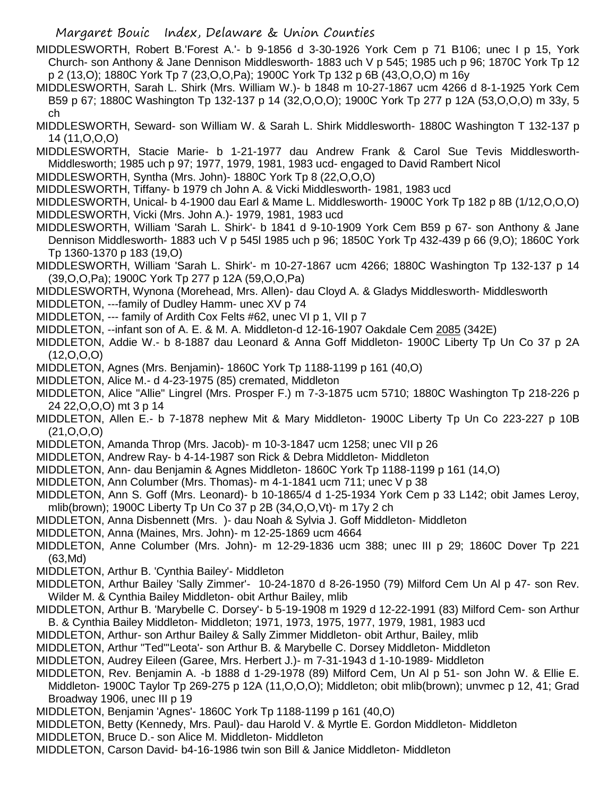MIDDLESWORTH, Robert B.'Forest A.'- b 9-1856 d 3-30-1926 York Cem p 71 B106; unec I p 15, York Church- son Anthony & Jane Dennison Middlesworth- 1883 uch V p 545; 1985 uch p 96; 1870C York Tp 12 p 2 (13,O); 1880C York Tp 7 (23,O,O,Pa); 1900C York Tp 132 p 6B (43,O,O,O) m 16y

- MIDDLESWORTH, Sarah L. Shirk (Mrs. William W.)- b 1848 m 10-27-1867 ucm 4266 d 8-1-1925 York Cem B59 p 67; 1880C Washington Tp 132-137 p 14 (32,O,O,O); 1900C York Tp 277 p 12A (53,O,O,O) m 33y, 5 ch
- MIDDLESWORTH, Seward- son William W. & Sarah L. Shirk Middlesworth- 1880C Washington T 132-137 p 14 (11,O,O,O)

MIDDLESWORTH, Stacie Marie- b 1-21-1977 dau Andrew Frank & Carol Sue Tevis Middlesworth-Middlesworth; 1985 uch p 97; 1977, 1979, 1981, 1983 ucd- engaged to David Rambert Nicol

- MIDDLESWORTH, Syntha (Mrs. John)- 1880C York Tp 8 (22,O,O,O)
- MIDDLESWORTH, Tiffany- b 1979 ch John A. & Vicki Middlesworth- 1981, 1983 ucd
- MIDDLESWORTH, Unical- b 4-1900 dau Earl & Mame L. Middlesworth- 1900C York Tp 182 p 8B (1/12,O,O,O) MIDDLESWORTH, Vicki (Mrs. John A.)- 1979, 1981, 1983 ucd
- MIDDLESWORTH, William 'Sarah L. Shirk'- b 1841 d 9-10-1909 York Cem B59 p 67- son Anthony & Jane Dennison Middlesworth- 1883 uch V p 545l 1985 uch p 96; 1850C York Tp 432-439 p 66 (9,O); 1860C York Tp 1360-1370 p 183 (19,O)
- MIDDLESWORTH, William 'Sarah L. Shirk'- m 10-27-1867 ucm 4266; 1880C Washington Tp 132-137 p 14 (39,O,O,Pa); 1900C York Tp 277 p 12A (59,O,O,Pa)
- MIDDLESWORTH, Wynona (Morehead, Mrs. Allen)- dau Cloyd A. & Gladys Middlesworth- Middlesworth
- MIDDLETON, ---family of Dudley Hamm- unec XV p 74
- MIDDLETON, --- family of Ardith Cox Felts #62, unec VI p 1, VII p 7
- MIDDLETON, --infant son of A. E. & M. A. Middleton-d 12-16-1907 Oakdale Cem 2085 (342E)
- MIDDLETON, Addie W.- b 8-1887 dau Leonard & Anna Goff Middleton- 1900C Liberty Tp Un Co 37 p 2A (12,O,O,O)
- MIDDLETON, Agnes (Mrs. Benjamin)- 1860C York Tp 1188-1199 p 161 (40,O)
- MIDDLETON, Alice M.- d 4-23-1975 (85) cremated, Middleton
- MIDDLETON, Alice "Allie" Lingrel (Mrs. Prosper F.) m 7-3-1875 ucm 5710; 1880C Washington Tp 218-226 p 24 22,O,O,O) mt 3 p 14
- MIDDLETON, Allen E.- b 7-1878 nephew Mit & Mary Middleton- 1900C Liberty Tp Un Co 223-227 p 10B (21,O,O,O)
- MIDDLETON, Amanda Throp (Mrs. Jacob)- m 10-3-1847 ucm 1258; unec VII p 26
- MIDDLETON, Andrew Ray- b 4-14-1987 son Rick & Debra Middleton- Middleton
- MIDDLETON, Ann- dau Benjamin & Agnes Middleton- 1860C York Tp 1188-1199 p 161 (14,O)
- MIDDLETON, Ann Columber (Mrs. Thomas)- m 4-1-1841 ucm 711; unec V p 38
- MIDDLETON, Ann S. Goff (Mrs. Leonard)- b 10-1865/4 d 1-25-1934 York Cem p 33 L142; obit James Leroy, mlib(brown); 1900C Liberty Tp Un Co 37 p 2B (34,O,O,Vt)- m 17y 2 ch
- MIDDLETON, Anna Disbennett (Mrs. )- dau Noah & Sylvia J. Goff Middleton- Middleton
- MIDDLETON, Anna (Maines, Mrs. John)- m 12-25-1869 ucm 4664
- MIDDLETON, Anne Columber (Mrs. John)- m 12-29-1836 ucm 388; unec III p 29; 1860C Dover Tp 221 (63,Md)
- MIDDLETON, Arthur B. 'Cynthia Bailey'- Middleton
- MIDDLETON, Arthur Bailey 'Sally Zimmer'- 10-24-1870 d 8-26-1950 (79) Milford Cem Un Al p 47- son Rev. Wilder M. & Cynthia Bailey Middleton- obit Arthur Bailey, mlib
- MIDDLETON, Arthur B. 'Marybelle C. Dorsey'- b 5-19-1908 m 1929 d 12-22-1991 (83) Milford Cem- son Arthur B. & Cynthia Bailey Middleton- Middleton; 1971, 1973, 1975, 1977, 1979, 1981, 1983 ucd
- MIDDLETON, Arthur- son Arthur Bailey & Sally Zimmer Middleton- obit Arthur, Bailey, mlib
- MIDDLETON, Arthur "Ted"'Leota'- son Arthur B. & Marybelle C. Dorsey Middleton- Middleton
- MIDDLETON, Audrey Eileen (Garee, Mrs. Herbert J.)- m 7-31-1943 d 1-10-1989- Middleton
- MIDDLETON, Rev. Benjamin A. -b 1888 d 1-29-1978 (89) Milford Cem, Un Al p 51- son John W. & Ellie E. Middleton- 1900C Taylor Tp 269-275 p 12A (11,O,O,O); Middleton; obit mlib(brown); unvmec p 12, 41; Grad Broadway 1906, unec III p 19
- MIDDLETON, Benjamin 'Agnes'- 1860C York Tp 1188-1199 p 161 (40,O)
- MIDDLETON, Betty (Kennedy, Mrs. Paul)- dau Harold V. & Myrtle E. Gordon Middleton- Middleton
- MIDDLETON, Bruce D.- son Alice M. Middleton- Middleton
- MIDDLETON, Carson David- b4-16-1986 twin son Bill & Janice Middleton- Middleton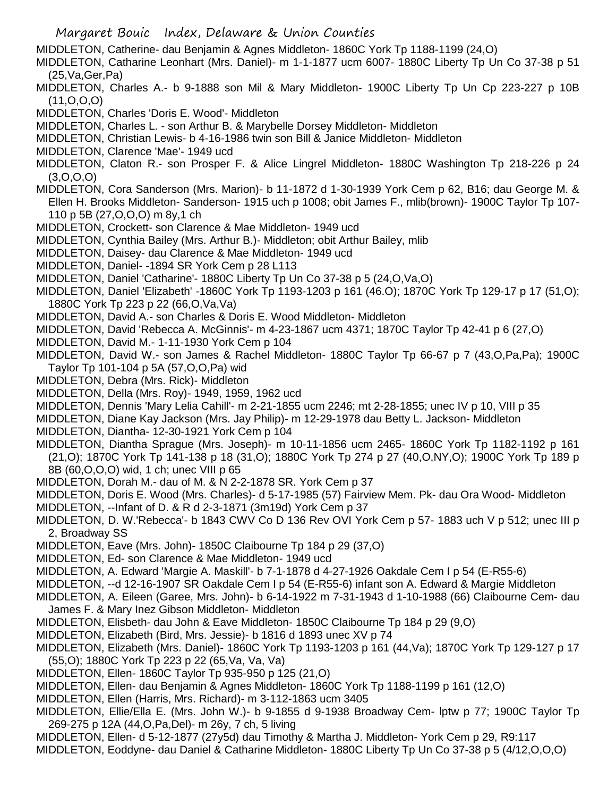- Margaret Bouic Index, Delaware & Union Counties
- MIDDLETON, Catherine- dau Benjamin & Agnes Middleton- 1860C York Tp 1188-1199 (24,O)
- MIDDLETON, Catharine Leonhart (Mrs. Daniel)- m 1-1-1877 ucm 6007- 1880C Liberty Tp Un Co 37-38 p 51 (25,Va,Ger,Pa)
- MIDDLETON, Charles A.- b 9-1888 son Mil & Mary Middleton- 1900C Liberty Tp Un Cp 223-227 p 10B (11,O,O,O)
- MIDDLETON, Charles 'Doris E. Wood'- Middleton
- MIDDLETON, Charles L. son Arthur B. & Marybelle Dorsey Middleton- Middleton
- MIDDLETON, Christian Lewis- b 4-16-1986 twin son Bill & Janice Middleton- Middleton
- MIDDLETON, Clarence 'Mae'- 1949 ucd
- MIDDLETON, Claton R.- son Prosper F. & Alice Lingrel Middleton- 1880C Washington Tp 218-226 p 24 (3,O,O,O)
- MIDDLETON, Cora Sanderson (Mrs. Marion)- b 11-1872 d 1-30-1939 York Cem p 62, B16; dau George M. & Ellen H. Brooks Middleton- Sanderson- 1915 uch p 1008; obit James F., mlib(brown)- 1900C Taylor Tp 107- 110 p 5B (27,O,O,O) m 8y,1 ch
- MIDDLETON, Crockett- son Clarence & Mae Middleton- 1949 ucd
- MIDDLETON, Cynthia Bailey (Mrs. Arthur B.)- Middleton; obit Arthur Bailey, mlib
- MIDDLETON, Daisey- dau Clarence & Mae Middleton- 1949 ucd
- MIDDLETON, Daniel- -1894 SR York Cem p 28 L113
- MIDDLETON, Daniel 'Catharine'- 1880C Liberty Tp Un Co 37-38 p 5 (24,O,Va,O)
- MIDDLETON, Daniel 'Elizabeth' -1860C York Tp 1193-1203 p 161 (46.O); 1870C York Tp 129-17 p 17 (51,O); 1880C York Tp 223 p 22 (66,O,Va,Va)
- MIDDLETON, David A.- son Charles & Doris E. Wood Middleton- Middleton
- MIDDLETON, David 'Rebecca A. McGinnis'- m 4-23-1867 ucm 4371; 1870C Taylor Tp 42-41 p 6 (27,O)
- MIDDLETON, David M.- 1-11-1930 York Cem p 104
- MIDDLETON, David W.- son James & Rachel Middleton- 1880C Taylor Tp 66-67 p 7 (43,O,Pa,Pa); 1900C Taylor Tp 101-104 p 5A (57,O,O,Pa) wid
- MIDDLETON, Debra (Mrs. Rick)- Middleton
- MIDDLETON, Della (Mrs. Roy)- 1949, 1959, 1962 ucd
- MIDDLETON, Dennis 'Mary Lelia Cahill'- m 2-21-1855 ucm 2246; mt 2-28-1855; unec IV p 10, VIII p 35
- MIDDLETON, Diane Kay Jackson (Mrs. Jay Philip)- m 12-29-1978 dau Betty L. Jackson- Middleton
- MIDDLETON, Diantha- 12-30-1921 York Cem p 104
- MIDDLETON, Diantha Sprague (Mrs. Joseph)- m 10-11-1856 ucm 2465- 1860C York Tp 1182-1192 p 161 (21,O); 1870C York Tp 141-138 p 18 (31,O); 1880C York Tp 274 p 27 (40,O,NY,O); 1900C York Tp 189 p 8B (60,O,O,O) wid, 1 ch; unec VIII p 65
- MIDDLETON, Dorah M.- dau of M. & N 2-2-1878 SR. York Cem p 37
- MIDDLETON, Doris E. Wood (Mrs. Charles)- d 5-17-1985 (57) Fairview Mem. Pk- dau Ora Wood- Middleton
- MIDDLETON, --Infant of D. & R d 2-3-1871 (3m19d) York Cem p 37
- MIDDLETON, D. W.'Rebecca'- b 1843 CWV Co D 136 Rev OVI York Cem p 57- 1883 uch V p 512; unec III p 2, Broadway SS
- MIDDLETON, Eave (Mrs. John)- 1850C Claibourne Tp 184 p 29 (37,O)
- MIDDLETON, Ed- son Clarence & Mae Middleton- 1949 ucd
- MIDDLETON, A. Edward 'Margie A. Maskill'- b 7-1-1878 d 4-27-1926 Oakdale Cem I p 54 (E-R55-6)
- MIDDLETON, --d 12-16-1907 SR Oakdale Cem I p 54 (E-R55-6) infant son A. Edward & Margie Middleton
- MIDDLETON, A. Eileen (Garee, Mrs. John)- b 6-14-1922 m 7-31-1943 d 1-10-1988 (66) Claibourne Cem- dau James F. & Mary Inez Gibson Middleton- Middleton
- MIDDLETON, Elisbeth- dau John & Eave Middleton- 1850C Claibourne Tp 184 p 29 (9,O)
- MIDDLETON, Elizabeth (Bird, Mrs. Jessie)- b 1816 d 1893 unec XV p 74
- MIDDLETON, Elizabeth (Mrs. Daniel)- 1860C York Tp 1193-1203 p 161 (44,Va); 1870C York Tp 129-127 p 17 (55,O); 1880C York Tp 223 p 22 (65,Va, Va, Va)
- MIDDLETON, Ellen- 1860C Taylor Tp 935-950 p 125 (21,O)
- MIDDLETON, Ellen- dau Benjamin & Agnes Middleton- 1860C York Tp 1188-1199 p 161 (12,O)
- MIDDLETON, Ellen (Harris, Mrs. Richard)- m 3-112-1863 ucm 3405
- MIDDLETON, Ellie/Ella E. (Mrs. John W.)- b 9-1855 d 9-1938 Broadway Cem- lptw p 77; 1900C Taylor Tp 269-275 p 12A (44,O,Pa,Del)- m 26y, 7 ch, 5 living
- MIDDLETON, Ellen- d 5-12-1877 (27y5d) dau Timothy & Martha J. Middleton- York Cem p 29, R9:117
- MIDDLETON, Eoddyne- dau Daniel & Catharine Middleton- 1880C Liberty Tp Un Co 37-38 p 5 (4/12,O,O,O)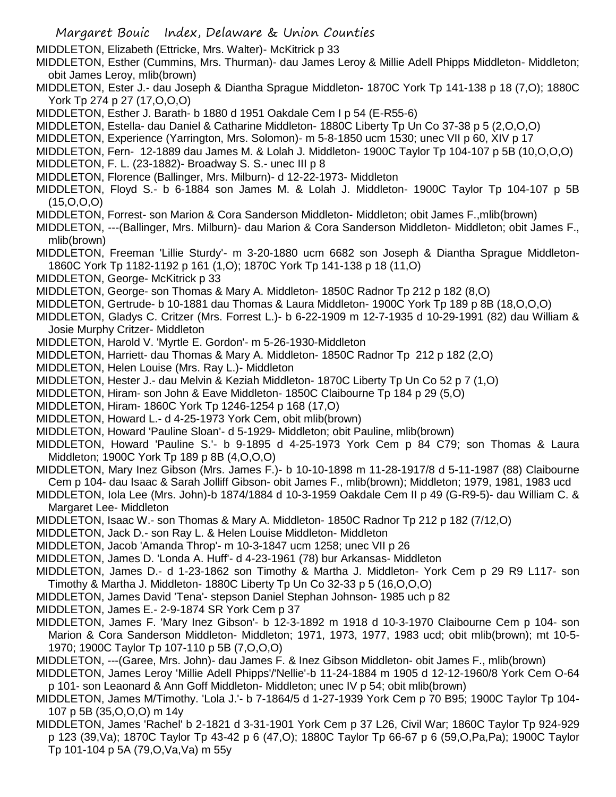- Margaret Bouic Index, Delaware & Union Counties
- MIDDLETON, Elizabeth (Ettricke, Mrs. Walter)- McKitrick p 33
- MIDDLETON, Esther (Cummins, Mrs. Thurman)- dau James Leroy & Millie Adell Phipps Middleton- Middleton; obit James Leroy, mlib(brown)
- MIDDLETON, Ester J.- dau Joseph & Diantha Sprague Middleton- 1870C York Tp 141-138 p 18 (7,O); 1880C York Tp 274 p 27 (17,O,O,O)
- MIDDLETON, Esther J. Barath- b 1880 d 1951 Oakdale Cem I p 54 (E-R55-6)
- MIDDLETON, Estella- dau Daniel & Catharine Middleton- 1880C Liberty Tp Un Co 37-38 p 5 (2,O,O,O)
- MIDDLETON, Experience (Yarrington, Mrs. Solomon)- m 5-8-1850 ucm 1530; unec VII p 60, XIV p 17
- MIDDLETON, Fern- 12-1889 dau James M. & Lolah J. Middleton- 1900C Taylor Tp 104-107 p 5B (10,O,O,O)
- MIDDLETON, F. L. (23-1882)- Broadway S. S.- unec III p 8
- MIDDLETON, Florence (Ballinger, Mrs. Milburn)- d 12-22-1973- Middleton
- MIDDLETON, Floyd S.- b 6-1884 son James M. & Lolah J. Middleton- 1900C Taylor Tp 104-107 p 5B (15,O,O,O)
- MIDDLETON, Forrest- son Marion & Cora Sanderson Middleton- Middleton; obit James F.,mlib(brown)
- MIDDLETON, ---(Ballinger, Mrs. Milburn)- dau Marion & Cora Sanderson Middleton- Middleton; obit James F., mlib(brown)
- MIDDLETON, Freeman 'Lillie Sturdy'- m 3-20-1880 ucm 6682 son Joseph & Diantha Sprague Middleton-1860C York Tp 1182-1192 p 161 (1,O); 1870C York Tp 141-138 p 18 (11,O)
- MIDDLETON, George- McKitrick p 33
- MIDDLETON, George- son Thomas & Mary A. Middleton- 1850C Radnor Tp 212 p 182 (8,O)
- MIDDLETON, Gertrude- b 10-1881 dau Thomas & Laura Middleton- 1900C York Tp 189 p 8B (18,O,O,O)
- MIDDLETON, Gladys C. Critzer (Mrs. Forrest L.)- b 6-22-1909 m 12-7-1935 d 10-29-1991 (82) dau William & Josie Murphy Critzer- Middleton
- MIDDLETON, Harold V. 'Myrtle E. Gordon'- m 5-26-1930-Middleton
- MIDDLETON, Harriett- dau Thomas & Mary A. Middleton- 1850C Radnor Tp 212 p 182 (2,O)
- MIDDLETON, Helen Louise (Mrs. Ray L.)- Middleton
- MIDDLETON, Hester J.- dau Melvin & Keziah Middleton- 1870C Liberty Tp Un Co 52 p 7 (1,O)
- MIDDLETON, Hiram- son John & Eave Middleton- 1850C Claibourne Tp 184 p 29 (5,O)
- MIDDLETON, Hiram- 1860C York Tp 1246-1254 p 168 (17,O)
- MIDDLETON, Howard L.- d 4-25-1973 York Cem, obit mlib(brown)
- MIDDLETON, Howard 'Pauline Sloan'- d 5-1929- Middleton; obit Pauline, mlib(brown)
- MIDDLETON, Howard 'Pauline S.'- b 9-1895 d 4-25-1973 York Cem p 84 C79; son Thomas & Laura Middleton; 1900C York Tp 189 p 8B (4,O,O,O)
- MIDDLETON, Mary Inez Gibson (Mrs. James F.)- b 10-10-1898 m 11-28-1917/8 d 5-11-1987 (88) Claibourne Cem p 104- dau Isaac & Sarah Jolliff Gibson- obit James F., mlib(brown); Middleton; 1979, 1981, 1983 ucd
- MIDDLETON, Iola Lee (Mrs. John)-b 1874/1884 d 10-3-1959 Oakdale Cem II p 49 (G-R9-5)- dau William C. & Margaret Lee- Middleton
- MIDDLETON, Isaac W.- son Thomas & Mary A. Middleton- 1850C Radnor Tp 212 p 182 (7/12,O)
- MIDDLETON, Jack D.- son Ray L. & Helen Louise Middleton- Middleton
- MIDDLETON, Jacob 'Amanda Throp'- m 10-3-1847 ucm 1258; unec VII p 26
- MIDDLETON, James D. 'Londa A. Huff'- d 4-23-1961 (78) bur Arkansas- Middleton
- MIDDLETON, James D.- d 1-23-1862 son Timothy & Martha J. Middleton- York Cem p 29 R9 L117- son Timothy & Martha J. Middleton- 1880C Liberty Tp Un Co 32-33 p 5 (16,O,O,O)
- MIDDLETON, James David 'Tena'- stepson Daniel Stephan Johnson- 1985 uch p 82
- MIDDLETON, James E.- 2-9-1874 SR York Cem p 37
- MIDDLETON, James F. 'Mary Inez Gibson'- b 12-3-1892 m 1918 d 10-3-1970 Claibourne Cem p 104- son Marion & Cora Sanderson Middleton- Middleton; 1971, 1973, 1977, 1983 ucd; obit mlib(brown); mt 10-5- 1970; 1900C Taylor Tp 107-110 p 5B (7,O,O,O)
- MIDDLETON, ---(Garee, Mrs. John)- dau James F. & Inez Gibson Middleton- obit James F., mlib(brown)
- MIDDLETON, James Leroy 'Millie Adell Phipps'/'Nellie'-b 11-24-1884 m 1905 d 12-12-1960/8 York Cem O-64 p 101- son Leaonard & Ann Goff Middleton- Middleton; unec IV p 54; obit mlib(brown)
- MIDDLETON, James M/Timothy. 'Lola J.'- b 7-1864/5 d 1-27-1939 York Cem p 70 B95; 1900C Taylor Tp 104- 107 p 5B (35,O,O,O) m 14y
- MIDDLETON, James 'Rachel' b 2-1821 d 3-31-1901 York Cem p 37 L26, Civil War; 1860C Taylor Tp 924-929 p 123 (39,Va); 1870C Taylor Tp 43-42 p 6 (47,O); 1880C Taylor Tp 66-67 p 6 (59,O,Pa,Pa); 1900C Taylor Tp 101-104 p 5A (79,O,Va,Va) m 55y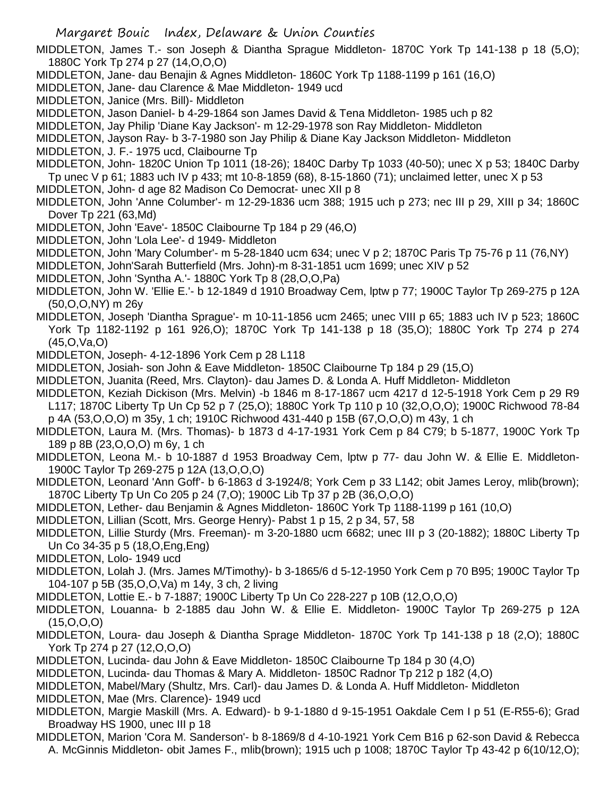MIDDLETON, James T.- son Joseph & Diantha Sprague Middleton- 1870C York Tp 141-138 p 18 (5,O); 1880C York Tp 274 p 27 (14,O,O,O)

- MIDDLETON, Jane- dau Benajin & Agnes Middleton- 1860C York Tp 1188-1199 p 161 (16,O)
- MIDDLETON, Jane- dau Clarence & Mae Middleton- 1949 ucd
- MIDDLETON, Janice (Mrs. Bill)- Middleton
- MIDDLETON, Jason Daniel- b 4-29-1864 son James David & Tena Middleton- 1985 uch p 82

MIDDLETON, Jay Philip 'Diane Kay Jackson'- m 12-29-1978 son Ray Middleton- Middleton

MIDDLETON, Jayson Ray- b 3-7-1980 son Jay Philip & Diane Kay Jackson Middleton- Middleton

MIDDLETON, J. F.- 1975 ucd, Claibourne Tp

MIDDLETON, John- 1820C Union Tp 1011 (18-26); 1840C Darby Tp 1033 (40-50); unec X p 53; 1840C Darby Tp unec V p 61; 1883 uch IV p 433; mt 10-8-1859 (68), 8-15-1860 (71); unclaimed letter, unec X p 53 MIDDLETON, John- d age 82 Madison Co Democrat- unec XII p 8

MIDDLETON, John 'Anne Columber'- m 12-29-1836 ucm 388; 1915 uch p 273; nec III p 29, XIII p 34; 1860C Dover Tp 221 (63,Md)

- MIDDLETON, John 'Eave'- 1850C Claibourne Tp 184 p 29 (46,O)
- MIDDLETON, John 'Lola Lee'- d 1949- Middleton

MIDDLETON, John 'Mary Columber'- m 5-28-1840 ucm 634; unec V p 2; 1870C Paris Tp 75-76 p 11 (76,NY)

- MIDDLETON, John'Sarah Butterfield (Mrs. John)-m 8-31-1851 ucm 1699; unec XIV p 52
- MIDDLETON, John 'Syntha A.'- 1880C York Tp 8 (28,O,O,Pa)
- MIDDLETON, John W. 'Ellie E.'- b 12-1849 d 1910 Broadway Cem, lptw p 77; 1900C Taylor Tp 269-275 p 12A (50,O,O,NY) m 26y
- MIDDLETON, Joseph 'Diantha Sprague'- m 10-11-1856 ucm 2465; unec VIII p 65; 1883 uch IV p 523; 1860C York Tp 1182-1192 p 161 926,O); 1870C York Tp 141-138 p 18 (35,O); 1880C York Tp 274 p 274 (45,O,Va,O)
- MIDDLETON, Joseph- 4-12-1896 York Cem p 28 L118
- MIDDLETON, Josiah- son John & Eave Middleton- 1850C Claibourne Tp 184 p 29 (15,O)
- MIDDLETON, Juanita (Reed, Mrs. Clayton)- dau James D. & Londa A. Huff Middleton- Middleton
- MIDDLETON, Keziah Dickison (Mrs. Melvin) -b 1846 m 8-17-1867 ucm 4217 d 12-5-1918 York Cem p 29 R9 L117; 1870C Liberty Tp Un Cp 52 p 7 (25,O); 1880C York Tp 110 p 10 (32,O,O,O); 1900C Richwood 78-84 p 4A (53,O,O,O) m 35y, 1 ch; 1910C Richwood 431-440 p 15B (67,O,O,O) m 43y, 1 ch
- MIDDLETON, Laura M. (Mrs. Thomas)- b 1873 d 4-17-1931 York Cem p 84 C79; b 5-1877, 1900C York Tp 189 p 8B (23,O,O,O) m 6y, 1 ch
- MIDDLETON, Leona M.- b 10-1887 d 1953 Broadway Cem, lptw p 77- dau John W. & Ellie E. Middleton-1900C Taylor Tp 269-275 p 12A (13,O,O,O)
- MIDDLETON, Leonard 'Ann Goff'- b 6-1863 d 3-1924/8; York Cem p 33 L142; obit James Leroy, mlib(brown); 1870C Liberty Tp Un Co 205 p 24 (7,O); 1900C Lib Tp 37 p 2B (36,O,O,O)
- MIDDLETON, Lether- dau Benjamin & Agnes Middleton- 1860C York Tp 1188-1199 p 161 (10,O)
- MIDDLETON, Lillian (Scott, Mrs. George Henry)- Pabst 1 p 15, 2 p 34, 57, 58
- MIDDLETON, Lillie Sturdy (Mrs. Freeman)- m 3-20-1880 ucm 6682; unec III p 3 (20-1882); 1880C Liberty Tp Un Co 34-35 p 5 (18,O,Eng,Eng)
- MIDDLETON, Lolo- 1949 ucd
- MIDDLETON, Lolah J. (Mrs. James M/Timothy)- b 3-1865/6 d 5-12-1950 York Cem p 70 B95; 1900C Taylor Tp 104-107 p 5B (35,O,O,Va) m 14y, 3 ch, 2 living
- MIDDLETON, Lottie E.- b 7-1887; 1900C Liberty Tp Un Co 228-227 p 10B (12,O,O,O)
- MIDDLETON, Louanna- b 2-1885 dau John W. & Ellie E. Middleton- 1900C Taylor Tp 269-275 p 12A (15,O,O,O)
- MIDDLETON, Loura- dau Joseph & Diantha Sprage Middleton- 1870C York Tp 141-138 p 18 (2,O); 1880C York Tp 274 p 27 (12,O,O,O)
- MIDDLETON, Lucinda- dau John & Eave Middleton- 1850C Claibourne Tp 184 p 30 (4,O)
- MIDDLETON, Lucinda- dau Thomas & Mary A. Middleton- 1850C Radnor Tp 212 p 182 (4,O)
- MIDDLETON, Mabel/Mary (Shultz, Mrs. Carl)- dau James D. & Londa A. Huff Middleton- Middleton
- MIDDLETON, Mae (Mrs. Clarence)- 1949 ucd
- MIDDLETON, Margie Maskill (Mrs. A. Edward)- b 9-1-1880 d 9-15-1951 Oakdale Cem I p 51 (E-R55-6); Grad Broadway HS 1900, unec III p 18
- MIDDLETON, Marion 'Cora M. Sanderson'- b 8-1869/8 d 4-10-1921 York Cem B16 p 62-son David & Rebecca A. McGinnis Middleton- obit James F., mlib(brown); 1915 uch p 1008; 1870C Taylor Tp 43-42 p 6(10/12,O);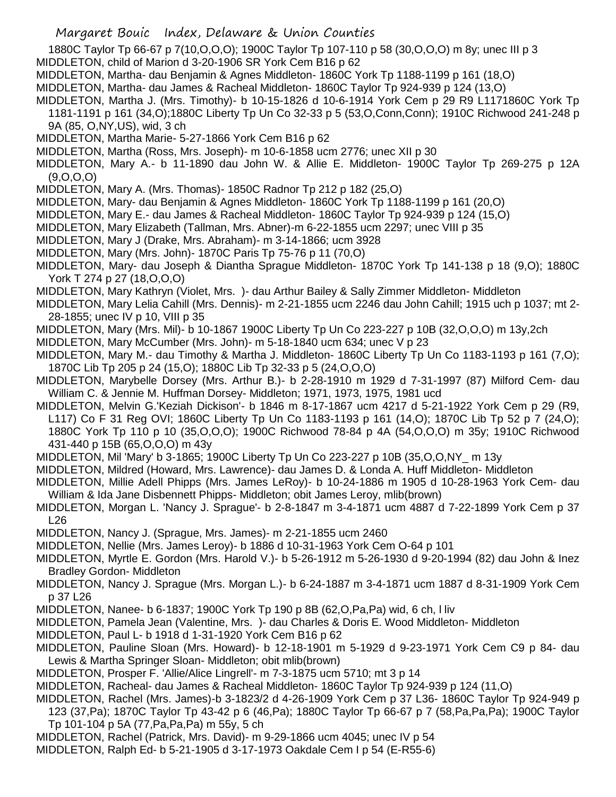1880C Taylor Tp 66-67 p 7(10,O,O,O); 1900C Taylor Tp 107-110 p 58 (30,O,O,O) m 8y; unec III p 3

- MIDDLETON, child of Marion d 3-20-1906 SR York Cem B16 p 62
- MIDDLETON, Martha- dau Benjamin & Agnes Middleton- 1860C York Tp 1188-1199 p 161 (18,O)
- MIDDLETON, Martha- dau James & Racheal Middleton- 1860C Taylor Tp 924-939 p 124 (13,O)
- MIDDLETON, Martha J. (Mrs. Timothy)- b 10-15-1826 d 10-6-1914 York Cem p 29 R9 L1171860C York Tp 1181-1191 p 161 (34,O);1880C Liberty Tp Un Co 32-33 p 5 (53,O,Conn,Conn); 1910C Richwood 241-248 p 9A (85, O,NY,US), wid, 3 ch
- MIDDLETON, Martha Marie- 5-27-1866 York Cem B16 p 62
- MIDDLETON, Martha (Ross, Mrs. Joseph)- m 10-6-1858 ucm 2776; unec XII p 30
- MIDDLETON, Mary A.- b 11-1890 dau John W. & Allie E. Middleton- 1900C Taylor Tp 269-275 p 12A (9,O,O,O)
- MIDDLETON, Mary A. (Mrs. Thomas)- 1850C Radnor Tp 212 p 182 (25,O)
- MIDDLETON, Mary- dau Benjamin & Agnes Middleton- 1860C York Tp 1188-1199 p 161 (20,O)
- MIDDLETON, Mary E.- dau James & Racheal Middleton- 1860C Taylor Tp 924-939 p 124 (15,O)
- MIDDLETON, Mary Elizabeth (Tallman, Mrs. Abner)-m 6-22-1855 ucm 2297; unec VIII p 35
- MIDDLETON, Mary J (Drake, Mrs. Abraham)- m 3-14-1866; ucm 3928
- MIDDLETON, Mary (Mrs. John)- 1870C Paris Tp 75-76 p 11 (70,O)
- MIDDLETON, Mary- dau Joseph & Diantha Sprague Middleton- 1870C York Tp 141-138 p 18 (9,O); 1880C York T 274 p 27 (18,O,O,O)
- MIDDLETON, Mary Kathryn (Violet, Mrs. )- dau Arthur Bailey & Sally Zimmer Middleton- Middleton
- MIDDLETON, Mary Lelia Cahill (Mrs. Dennis)- m 2-21-1855 ucm 2246 dau John Cahill; 1915 uch p 1037; mt 2- 28-1855; unec IV p 10, VIII p 35
- MIDDLETON, Mary (Mrs. Mil)- b 10-1867 1900C Liberty Tp Un Co 223-227 p 10B (32,O,O,O) m 13y,2ch
- MIDDLETON, Mary McCumber (Mrs. John)- m 5-18-1840 ucm 634; unec V p 23
- MIDDLETON, Mary M.- dau Timothy & Martha J. Middleton- 1860C Liberty Tp Un Co 1183-1193 p 161 (7,O); 1870C Lib Tp 205 p 24 (15,O); 1880C Lib Tp 32-33 p 5 (24,O,O,O)
- MIDDLETON, Marybelle Dorsey (Mrs. Arthur B.)- b 2-28-1910 m 1929 d 7-31-1997 (87) Milford Cem- dau William C. & Jennie M. Huffman Dorsey- Middleton; 1971, 1973, 1975, 1981 ucd
- MIDDLETON, Melvin G.'Keziah Dickison'- b 1846 m 8-17-1867 ucm 4217 d 5-21-1922 York Cem p 29 (R9, L117) Co F 31 Reg OVI; 1860C Liberty Tp Un Co 1183-1193 p 161 (14,O); 1870C Lib Tp 52 p 7 (24,O); 1880C York Tp 110 p 10 (35,O,O,O); 1900C Richwood 78-84 p 4A (54,O,O,O) m 35y; 1910C Richwood 431-440 p 15B (65,O,O,O) m 43y
- MIDDLETON, Mil 'Mary' b 3-1865; 1900C Liberty Tp Un Co 223-227 p 10B (35,O,O,NY\_ m 13y
- MIDDLETON, Mildred (Howard, Mrs. Lawrence)- dau James D. & Londa A. Huff Middleton- Middleton
- MIDDLETON, Millie Adell Phipps (Mrs. James LeRoy)- b 10-24-1886 m 1905 d 10-28-1963 York Cem- dau William & Ida Jane Disbennett Phipps- Middleton; obit James Leroy, mlib(brown)
- MIDDLETON, Morgan L. 'Nancy J. Sprague'- b 2-8-1847 m 3-4-1871 ucm 4887 d 7-22-1899 York Cem p 37 L26
- MIDDLETON, Nancy J. (Sprague, Mrs. James)- m 2-21-1855 ucm 2460
- MIDDLETON, Nellie (Mrs. James Leroy)- b 1886 d 10-31-1963 York Cem O-64 p 101
- MIDDLETON, Myrtle E. Gordon (Mrs. Harold V.)- b 5-26-1912 m 5-26-1930 d 9-20-1994 (82) dau John & Inez Bradley Gordon- Middleton
- MIDDLETON, Nancy J. Sprague (Mrs. Morgan L.)- b 6-24-1887 m 3-4-1871 ucm 1887 d 8-31-1909 York Cem p 37 L26
- MIDDLETON, Nanee- b 6-1837; 1900C York Tp 190 p 8B (62,O,Pa,Pa) wid, 6 ch, l liv
- MIDDLETON, Pamela Jean (Valentine, Mrs. )- dau Charles & Doris E. Wood Middleton- Middleton
- MIDDLETON, Paul L- b 1918 d 1-31-1920 York Cem B16 p 62
- MIDDLETON, Pauline Sloan (Mrs. Howard)- b 12-18-1901 m 5-1929 d 9-23-1971 York Cem C9 p 84- dau Lewis & Martha Springer Sloan- Middleton; obit mlib(brown)
- MIDDLETON, Prosper F. 'Allie/Alice Lingrell'- m 7-3-1875 ucm 5710; mt 3 p 14
- MIDDLETON, Racheal- dau James & Racheal Middleton- 1860C Taylor Tp 924-939 p 124 (11,O)
- MIDDLETON, Rachel (Mrs. James)-b 3-1823/2 d 4-26-1909 York Cem p 37 L36- 1860C Taylor Tp 924-949 p 123 (37,Pa); 1870C Taylor Tp 43-42 p 6 (46,Pa); 1880C Taylor Tp 66-67 p 7 (58,Pa,Pa,Pa); 1900C Taylor Tp 101-104 p 5A (77,Pa,Pa,Pa) m 55y, 5 ch
- MIDDLETON, Rachel (Patrick, Mrs. David)- m 9-29-1866 ucm 4045; unec IV p 54
- MIDDLETON, Ralph Ed- b 5-21-1905 d 3-17-1973 Oakdale Cem I p 54 (E-R55-6)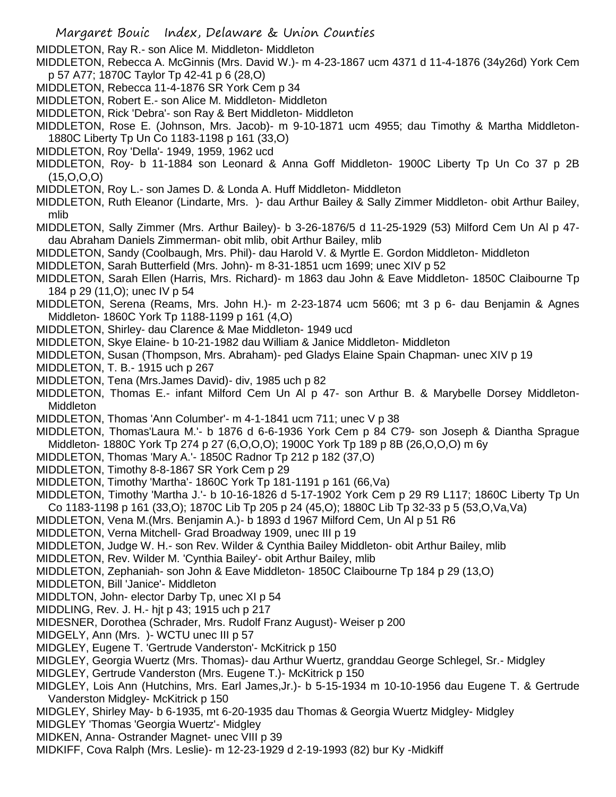- Margaret Bouic Index, Delaware & Union Counties
- MIDDLETON, Ray R.- son Alice M. Middleton- Middleton
- MIDDLETON, Rebecca A. McGinnis (Mrs. David W.)- m 4-23-1867 ucm 4371 d 11-4-1876 (34y26d) York Cem p 57 A77; 1870C Taylor Tp 42-41 p 6 (28,O)
- MIDDLETON, Rebecca 11-4-1876 SR York Cem p 34
- MIDDLETON, Robert E.- son Alice M. Middleton- Middleton
- MIDDLETON, Rick 'Debra'- son Ray & Bert Middleton- Middleton
- MIDDLETON, Rose E. (Johnson, Mrs. Jacob)- m 9-10-1871 ucm 4955; dau Timothy & Martha Middleton-1880C Liberty Tp Un Co 1183-1198 p 161 (33,O)
- MIDDLETON, Roy 'Della'- 1949, 1959, 1962 ucd
- MIDDLETON, Roy- b 11-1884 son Leonard & Anna Goff Middleton- 1900C Liberty Tp Un Co 37 p 2B (15,O,O,O)
- MIDDLETON, Roy L.- son James D. & Londa A. Huff Middleton- Middleton
- MIDDLETON, Ruth Eleanor (Lindarte, Mrs. )- dau Arthur Bailey & Sally Zimmer Middleton- obit Arthur Bailey, mlib
- MIDDLETON, Sally Zimmer (Mrs. Arthur Bailey)- b 3-26-1876/5 d 11-25-1929 (53) Milford Cem Un Al p 47 dau Abraham Daniels Zimmerman- obit mlib, obit Arthur Bailey, mlib
- MIDDLETON, Sandy (Coolbaugh, Mrs. Phil)- dau Harold V. & Myrtle E. Gordon Middleton- Middleton
- MIDDLETON, Sarah Butterfield (Mrs. John)- m 8-31-1851 ucm 1699; unec XIV p 52
- MIDDLETON, Sarah Ellen (Harris, Mrs. Richard)- m 1863 dau John & Eave Middleton- 1850C Claibourne Tp 184 p 29 (11,O); unec IV p 54
- MIDDLETON, Serena (Reams, Mrs. John H.)- m 2-23-1874 ucm 5606; mt 3 p 6- dau Benjamin & Agnes Middleton- 1860C York Tp 1188-1199 p 161 (4,O)
- MIDDLETON, Shirley- dau Clarence & Mae Middleton- 1949 ucd
- MIDDLETON, Skye Elaine- b 10-21-1982 dau William & Janice Middleton- Middleton
- MIDDLETON, Susan (Thompson, Mrs. Abraham)- ped Gladys Elaine Spain Chapman- unec XIV p 19
- MIDDLETON, T. B.- 1915 uch p 267
- MIDDLETON, Tena (Mrs.James David)- div, 1985 uch p 82
- MIDDLETON, Thomas E.- infant Milford Cem Un Al p 47- son Arthur B. & Marybelle Dorsey Middleton-**Middleton**
- MIDDLETON, Thomas 'Ann Columber'- m 4-1-1841 ucm 711; unec V p 38
- MIDDLETON, Thomas'Laura M.'- b 1876 d 6-6-1936 York Cem p 84 C79- son Joseph & Diantha Sprague Middleton- 1880C York Tp 274 p 27 (6,O,O,O); 1900C York Tp 189 p 8B (26,O,O,O) m 6y
- MIDDLETON, Thomas 'Mary A.'- 1850C Radnor Tp 212 p 182 (37,O)
- MIDDLETON, Timothy 8-8-1867 SR York Cem p 29
- MIDDLETON, Timothy 'Martha'- 1860C York Tp 181-1191 p 161 (66,Va)
- MIDDLETON, Timothy 'Martha J.'- b 10-16-1826 d 5-17-1902 York Cem p 29 R9 L117; 1860C Liberty Tp Un
- Co 1183-1198 p 161 (33,O); 1870C Lib Tp 205 p 24 (45,O); 1880C Lib Tp 32-33 p 5 (53,O,Va,Va)
- MIDDLETON, Vena M.(Mrs. Benjamin A.)- b 1893 d 1967 Milford Cem, Un Al p 51 R6
- MIDDLETON, Verna Mitchell- Grad Broadway 1909, unec III p 19
- MIDDLETON, Judge W. H.- son Rev. Wilder & Cynthia Bailey Middleton- obit Arthur Bailey, mlib
- MIDDLETON, Rev. Wilder M. 'Cynthia Bailey'- obit Arthur Bailey, mlib
- MIDDLETON, Zephaniah- son John & Eave Middleton- 1850C Claibourne Tp 184 p 29 (13,O)
- MIDDLETON, Bill 'Janice'- Middleton
- MIDDLTON, John- elector Darby Tp, unec XI p 54
- MIDDLING, Rev. J. H.- hjt p 43; 1915 uch p 217
- MIDESNER, Dorothea (Schrader, Mrs. Rudolf Franz August)- Weiser p 200
- MIDGELY, Ann (Mrs. )- WCTU unec III p 57
- MIDGLEY, Eugene T. 'Gertrude Vanderston'- McKitrick p 150
- MIDGLEY, Georgia Wuertz (Mrs. Thomas)- dau Arthur Wuertz, granddau George Schlegel, Sr.- Midgley
- MIDGLEY, Gertrude Vanderston (Mrs. Eugene T.)- McKitrick p 150
- MIDGLEY, Lois Ann (Hutchins, Mrs. Earl James,Jr.)- b 5-15-1934 m 10-10-1956 dau Eugene T. & Gertrude Vanderston Midgley- McKitrick p 150
- MIDGLEY, Shirley May- b 6-1935, mt 6-20-1935 dau Thomas & Georgia Wuertz Midgley- Midgley
- MIDGLEY 'Thomas 'Georgia Wuertz'- Midgley
- MIDKEN, Anna- Ostrander Magnet- unec VIII p 39
- MIDKIFF, Cova Ralph (Mrs. Leslie)- m 12-23-1929 d 2-19-1993 (82) bur Ky -Midkiff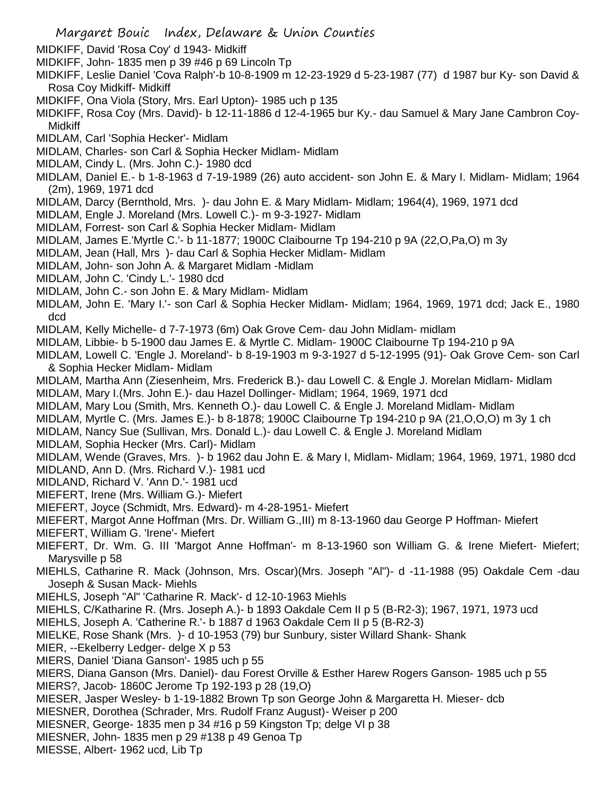- Margaret Bouic Index, Delaware & Union Counties
- MIDKIFF, David 'Rosa Coy' d 1943- Midkiff
- MIDKIFF, John- 1835 men p 39 #46 p 69 Lincoln Tp
- MIDKIFF, Leslie Daniel 'Cova Ralph'-b 10-8-1909 m 12-23-1929 d 5-23-1987 (77) d 1987 bur Ky- son David & Rosa Coy Midkiff- Midkiff
- MIDKIFF, Ona Viola (Story, Mrs. Earl Upton)- 1985 uch p 135
- MIDKIFF, Rosa Coy (Mrs. David)- b 12-11-1886 d 12-4-1965 bur Ky.- dau Samuel & Mary Jane Cambron Coy-**Midkiff**
- MIDLAM, Carl 'Sophia Hecker'- Midlam
- MIDLAM, Charles- son Carl & Sophia Hecker Midlam- Midlam
- MIDLAM, Cindy L. (Mrs. John C.)- 1980 dcd
- MIDLAM, Daniel E.- b 1-8-1963 d 7-19-1989 (26) auto accident- son John E. & Mary I. Midlam- Midlam; 1964 (2m), 1969, 1971 dcd
- MIDLAM, Darcy (Bernthold, Mrs. )- dau John E. & Mary Midlam- Midlam; 1964(4), 1969, 1971 dcd
- MIDLAM, Engle J. Moreland (Mrs. Lowell C.)- m 9-3-1927- Midlam
- MIDLAM, Forrest- son Carl & Sophia Hecker Midlam- Midlam
- MIDLAM, James E.'Myrtle C.'- b 11-1877; 1900C Claibourne Tp 194-210 p 9A (22,O,Pa,O) m 3y
- MIDLAM, Jean (Hall, Mrs )- dau Carl & Sophia Hecker Midlam- Midlam
- MIDLAM, John- son John A. & Margaret Midlam -Midlam
- MIDLAM, John C. 'Cindy L.'- 1980 dcd
- MIDLAM, John C.- son John E. & Mary Midlam- Midlam
- MIDLAM, John E. 'Mary I.'- son Carl & Sophia Hecker Midlam- Midlam; 1964, 1969, 1971 dcd; Jack E., 1980 dcd
- MIDLAM, Kelly Michelle- d 7-7-1973 (6m) Oak Grove Cem- dau John Midlam- midlam
- MIDLAM, Libbie- b 5-1900 dau James E. & Myrtle C. Midlam- 1900C Claibourne Tp 194-210 p 9A
- MIDLAM, Lowell C. 'Engle J. Moreland'- b 8-19-1903 m 9-3-1927 d 5-12-1995 (91)- Oak Grove Cem- son Carl & Sophia Hecker Midlam- Midlam
- MIDLAM, Martha Ann (Ziesenheim, Mrs. Frederick B.)- dau Lowell C. & Engle J. Morelan Midlam- Midlam
- MIDLAM, Mary I.(Mrs. John E.)- dau Hazel Dollinger- Midlam; 1964, 1969, 1971 dcd
- MIDLAM, Mary Lou (Smith, Mrs. Kenneth O.)- dau Lowell C. & Engle J. Moreland Midlam- Midlam
- MIDLAM, Myrtle C. (Mrs. James E.)- b 8-1878; 1900C Claibourne Tp 194-210 p 9A (21,O,O,O) m 3y 1 ch
- MIDLAM, Nancy Sue (Sullivan, Mrs. Donald L.)- dau Lowell C. & Engle J. Moreland Midlam
- MIDLAM, Sophia Hecker (Mrs. Carl)- Midlam
- MIDLAM, Wende (Graves, Mrs. )- b 1962 dau John E. & Mary I, Midlam- Midlam; 1964, 1969, 1971, 1980 dcd
- MIDLAND, Ann D. (Mrs. Richard V.)- 1981 ucd
- MIDLAND, Richard V. 'Ann D.'- 1981 ucd
- MIEFERT, Irene (Mrs. William G.)- Miefert
- MIEFERT, Joyce (Schmidt, Mrs. Edward)- m 4-28-1951- Miefert
- MIEFERT, Margot Anne Hoffman (Mrs. Dr. William G.,III) m 8-13-1960 dau George P Hoffman- Miefert
- MIEFERT, William G. 'Irene'- Miefert
- MIEFERT, Dr. Wm. G. III 'Margot Anne Hoffman'- m 8-13-1960 son William G. & Irene Miefert- Miefert; Marysville p 58
- MIEHLS, Catharine R. Mack (Johnson, Mrs. Oscar)(Mrs. Joseph "Al")- d -11-1988 (95) Oakdale Cem -dau Joseph & Susan Mack- Miehls
- MIEHLS, Joseph "Al" 'Catharine R. Mack'- d 12-10-1963 Miehls
- MIEHLS, C/Katharine R. (Mrs. Joseph A.)- b 1893 Oakdale Cem II p 5 (B-R2-3); 1967, 1971, 1973 ucd
- MIEHLS, Joseph A. 'Catherine R.'- b 1887 d 1963 Oakdale Cem II p 5 (B-R2-3)
- MIELKE, Rose Shank (Mrs. )- d 10-1953 (79) bur Sunbury, sister Willard Shank- Shank
- MIER, --Ekelberry Ledger- delge X p 53
- MIERS, Daniel 'Diana Ganson'- 1985 uch p 55
- MIERS, Diana Ganson (Mrs. Daniel)- dau Forest Orville & Esther Harew Rogers Ganson- 1985 uch p 55 MIERS?, Jacob- 1860C Jerome Tp 192-193 p 28 (19,O)
- MIESER, Jasper Wesley- b 1-19-1882 Brown Tp son George John & Margaretta H. Mieser- dcb
- MIESNER, Dorothea (Schrader, Mrs. Rudolf Franz August)- Weiser p 200
- MIESNER, George- 1835 men p 34 #16 p 59 Kingston Tp; delge VI p 38
- MIESNER, John- 1835 men p 29 #138 p 49 Genoa Tp
- MIESSE, Albert- 1962 ucd, Lib Tp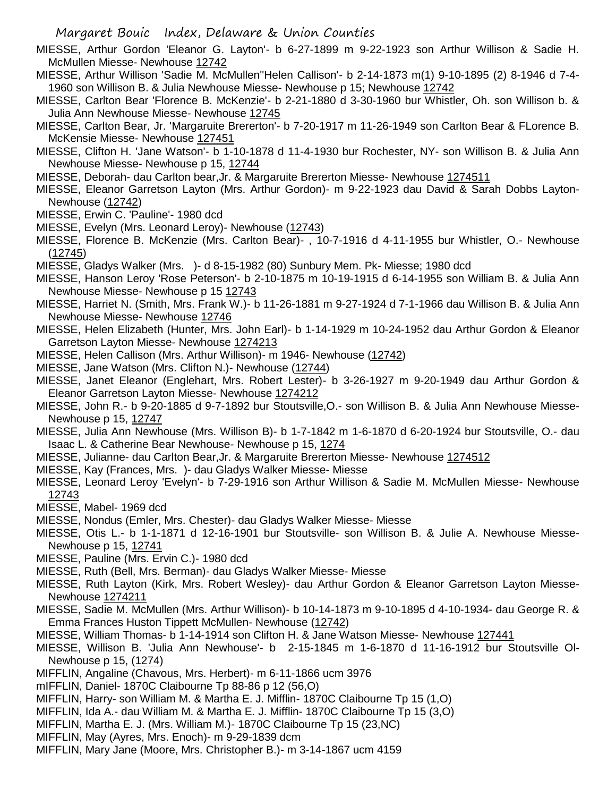- MIESSE, Arthur Gordon 'Eleanor G. Layton'- b 6-27-1899 m 9-22-1923 son Arthur Willison & Sadie H. McMullen Miesse- Newhouse 12742
- MIESSE, Arthur Willison 'Sadie M. McMullen''Helen Callison'- b 2-14-1873 m(1) 9-10-1895 (2) 8-1946 d 7-4- 1960 son Willison B. & Julia Newhouse Miesse- Newhouse p 15; Newhouse 12742
- MIESSE, Carlton Bear 'Florence B. McKenzie'- b 2-21-1880 d 3-30-1960 bur Whistler, Oh. son Willison b. & Julia Ann Newhouse Miesse- Newhouse 12745
- MIESSE, Carlton Bear, Jr. 'Margaruite Brererton'- b 7-20-1917 m 11-26-1949 son Carlton Bear & FLorence B. McKensie Miesse- Newhouse 127451
- MIESSE, Clifton H. 'Jane Watson'- b 1-10-1878 d 11-4-1930 bur Rochester, NY- son Willison B. & Julia Ann Newhouse Miesse- Newhouse p 15, 12744
- MIESSE, Deborah- dau Carlton bear,Jr. & Margaruite Brererton Miesse- Newhouse 1274511
- MIESSE, Eleanor Garretson Layton (Mrs. Arthur Gordon)- m 9-22-1923 dau David & Sarah Dobbs Layton-Newhouse (12742)
- MIESSE, Erwin C. 'Pauline'- 1980 dcd
- MIESSE, Evelyn (Mrs. Leonard Leroy)- Newhouse (12743)
- MIESSE, Florence B. McKenzie (Mrs. Carlton Bear)- , 10-7-1916 d 4-11-1955 bur Whistler, O.- Newhouse (12745)
- MIESSE, Gladys Walker (Mrs. )- d 8-15-1982 (80) Sunbury Mem. Pk- Miesse; 1980 dcd
- MIESSE, Hanson Leroy 'Rose Peterson'- b 2-10-1875 m 10-19-1915 d 6-14-1955 son William B. & Julia Ann Newhouse Miesse- Newhouse p 15 12743
- MIESSE, Harriet N. (Smith, Mrs. Frank W.)- b 11-26-1881 m 9-27-1924 d 7-1-1966 dau Willison B. & Julia Ann Newhouse Miesse- Newhouse 12746
- MIESSE, Helen Elizabeth (Hunter, Mrs. John Earl)- b 1-14-1929 m 10-24-1952 dau Arthur Gordon & Eleanor Garretson Layton Miesse- Newhouse 1274213
- MIESSE, Helen Callison (Mrs. Arthur Willison)- m 1946- Newhouse (12742)
- MIESSE, Jane Watson (Mrs. Clifton N.)- Newhouse (12744)
- MIESSE, Janet Eleanor (Englehart, Mrs. Robert Lester)- b 3-26-1927 m 9-20-1949 dau Arthur Gordon & Eleanor Garretson Layton Miesse- Newhouse 1274212
- MIESSE, John R.- b 9-20-1885 d 9-7-1892 bur Stoutsville,O.- son Willison B. & Julia Ann Newhouse Miesse-Newhouse p 15, 12747
- MIESSE, Julia Ann Newhouse (Mrs. Willison B)- b 1-7-1842 m 1-6-1870 d 6-20-1924 bur Stoutsville, O.- dau Isaac L. & Catherine Bear Newhouse- Newhouse p 15, 1274
- MIESSE, Julianne- dau Carlton Bear,Jr. & Margaruite Brererton Miesse- Newhouse 1274512
- MIESSE, Kay (Frances, Mrs. )- dau Gladys Walker Miesse- Miesse
- MIESSE, Leonard Leroy 'Evelyn'- b 7-29-1916 son Arthur Willison & Sadie M. McMullen Miesse- Newhouse 12743
- MIESSE, Mabel- 1969 dcd
- MIESSE, Nondus (Emler, Mrs. Chester)- dau Gladys Walker Miesse- Miesse
- MIESSE, Otis L.- b 1-1-1871 d 12-16-1901 bur Stoutsville- son Willison B. & Julie A. Newhouse Miesse-Newhouse p 15, 12741
- MIESSE, Pauline (Mrs. Ervin C.)- 1980 dcd
- MIESSE, Ruth (Bell, Mrs. Berman)- dau Gladys Walker Miesse- Miesse
- MIESSE, Ruth Layton (Kirk, Mrs. Robert Wesley)- dau Arthur Gordon & Eleanor Garretson Layton Miesse-Newhouse 1274211
- MIESSE, Sadie M. McMullen (Mrs. Arthur Willison)- b 10-14-1873 m 9-10-1895 d 4-10-1934- dau George R. & Emma Frances Huston Tippett McMullen- Newhouse (12742)
- MIESSE, William Thomas- b 1-14-1914 son Clifton H. & Jane Watson Miesse- Newhouse 127441
- MIESSE, Willison B. 'Julia Ann Newhouse'- b 2-15-1845 m 1-6-1870 d 11-16-1912 bur Stoutsville Ol-Newhouse p 15, (1274)
- MIFFLIN, Angaline (Chavous, Mrs. Herbert)- m 6-11-1866 ucm 3976
- mIFFLIN, Daniel- 1870C Claibourne Tp 88-86 p 12 (56,O)
- MIFFLIN, Harry- son William M. & Martha E. J. Mifflin- 1870C Claibourne Tp 15 (1,O)
- MIFFLIN, Ida A.- dau William M. & Martha E. J. Mifflin- 1870C Claibourne Tp 15 (3,O)
- MIFFLIN, Martha E. J. (Mrs. William M.)- 1870C Claibourne Tp 15 (23,NC)
- MIFFLIN, May (Ayres, Mrs. Enoch)- m 9-29-1839 dcm
- MIFFLIN, Mary Jane (Moore, Mrs. Christopher B.)- m 3-14-1867 ucm 4159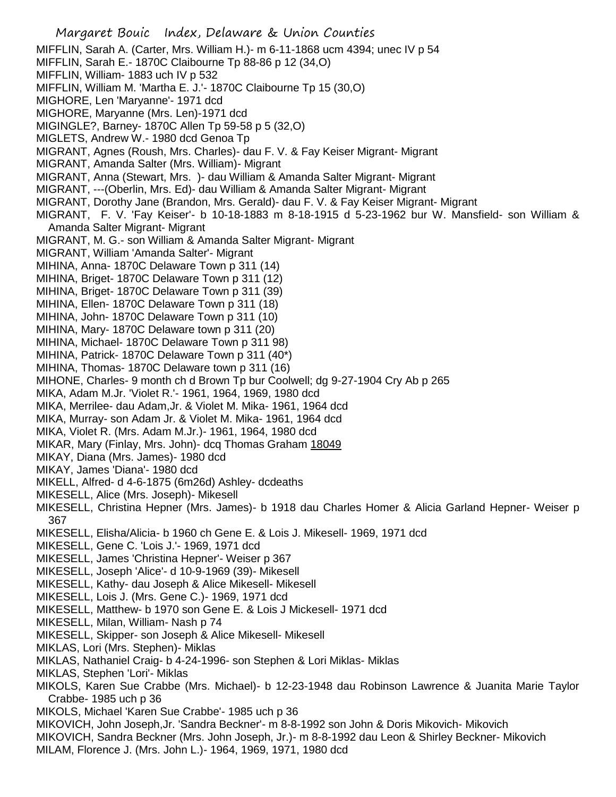Margaret Bouic Index, Delaware & Union Counties MIFFLIN, Sarah A. (Carter, Mrs. William H.)- m 6-11-1868 ucm 4394; unec IV p 54 MIFFLIN, Sarah E.- 1870C Claibourne Tp 88-86 p 12 (34,O) MIFFLIN, William- 1883 uch IV p 532 MIFFLIN, William M. 'Martha E. J.'- 1870C Claibourne Tp 15 (30,O) MIGHORE, Len 'Maryanne'- 1971 dcd MIGHORE, Maryanne (Mrs. Len)-1971 dcd MIGINGLE?, Barney- 1870C Allen Tp 59-58 p 5 (32,O) MIGLETS, Andrew W.- 1980 dcd Genoa Tp MIGRANT, Agnes (Roush, Mrs. Charles)- dau F. V. & Fay Keiser Migrant- Migrant MIGRANT, Amanda Salter (Mrs. William)- Migrant MIGRANT, Anna (Stewart, Mrs. )- dau William & Amanda Salter Migrant- Migrant MIGRANT, ---(Oberlin, Mrs. Ed)- dau William & Amanda Salter Migrant- Migrant MIGRANT, Dorothy Jane (Brandon, Mrs. Gerald)- dau F. V. & Fay Keiser Migrant- Migrant MIGRANT, F. V. 'Fay Keiser'- b 10-18-1883 m 8-18-1915 d 5-23-1962 bur W. Mansfield- son William & Amanda Salter Migrant- Migrant MIGRANT, M. G.- son William & Amanda Salter Migrant- Migrant MIGRANT, William 'Amanda Salter'- Migrant MIHINA, Anna- 1870C Delaware Town p 311 (14) MIHINA, Briget- 1870C Delaware Town p 311 (12) MIHINA, Briget- 1870C Delaware Town p 311 (39) MIHINA, Ellen- 1870C Delaware Town p 311 (18) MIHINA, John- 1870C Delaware Town p 311 (10) MIHINA, Mary- 1870C Delaware town p 311 (20) MIHINA, Michael- 1870C Delaware Town p 311 98) MIHINA, Patrick- 1870C Delaware Town p 311 (40\*) MIHINA, Thomas- 1870C Delaware town p 311 (16) MIHONE, Charles- 9 month ch d Brown Tp bur Coolwell; dg 9-27-1904 Cry Ab p 265 MIKA, Adam M.Jr. 'Violet R.'- 1961, 1964, 1969, 1980 dcd MIKA, Merrilee- dau Adam,Jr. & Violet M. Mika- 1961, 1964 dcd MIKA, Murray- son Adam Jr. & Violet M. Mika- 1961, 1964 dcd MIKA, Violet R. (Mrs. Adam M.Jr.)- 1961, 1964, 1980 dcd MIKAR, Mary (Finlay, Mrs. John)- dcq Thomas Graham 18049 MIKAY, Diana (Mrs. James)- 1980 dcd MIKAY, James 'Diana'- 1980 dcd MIKELL, Alfred- d 4-6-1875 (6m26d) Ashley- dcdeaths MIKESELL, Alice (Mrs. Joseph)- Mikesell MIKESELL, Christina Hepner (Mrs. James)- b 1918 dau Charles Homer & Alicia Garland Hepner- Weiser p 367 MIKESELL, Elisha/Alicia- b 1960 ch Gene E. & Lois J. Mikesell- 1969, 1971 dcd MIKESELL, Gene C. 'Lois J.'- 1969, 1971 dcd MIKESELL, James 'Christina Hepner'- Weiser p 367 MIKESELL, Joseph 'Alice'- d 10-9-1969 (39)- Mikesell MIKESELL, Kathy- dau Joseph & Alice Mikesell- Mikesell MIKESELL, Lois J. (Mrs. Gene C.)- 1969, 1971 dcd MIKESELL, Matthew- b 1970 son Gene E. & Lois J Mickesell- 1971 dcd MIKESELL, Milan, William- Nash p 74 MIKESELL, Skipper- son Joseph & Alice Mikesell- Mikesell MIKLAS, Lori (Mrs. Stephen)- Miklas MIKLAS, Nathaniel Craig- b 4-24-1996- son Stephen & Lori Miklas- Miklas MIKLAS, Stephen 'Lori'- Miklas MIKOLS, Karen Sue Crabbe (Mrs. Michael)- b 12-23-1948 dau Robinson Lawrence & Juanita Marie Taylor Crabbe- 1985 uch p 36 MIKOLS, Michael 'Karen Sue Crabbe'- 1985 uch p 36 MIKOVICH, John Joseph,Jr. 'Sandra Beckner'- m 8-8-1992 son John & Doris Mikovich- Mikovich MIKOVICH, Sandra Beckner (Mrs. John Joseph, Jr.)- m 8-8-1992 dau Leon & Shirley Beckner- Mikovich MILAM, Florence J. (Mrs. John L.)- 1964, 1969, 1971, 1980 dcd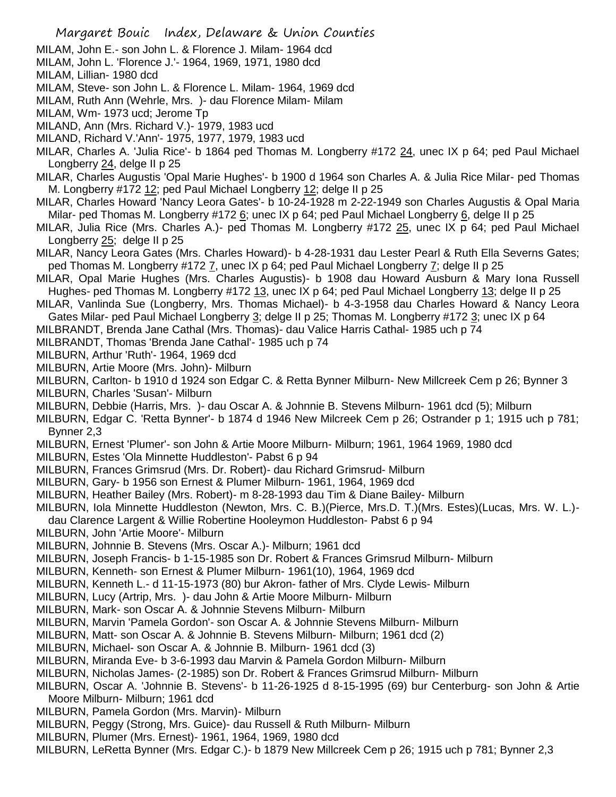- MILAM, John E.- son John L. & Florence J. Milam- 1964 dcd
- MILAM, John L. 'Florence J.'- 1964, 1969, 1971, 1980 dcd
- MILAM, Lillian- 1980 dcd
- MILAM, Steve- son John L. & Florence L. Milam- 1964, 1969 dcd
- MILAM, Ruth Ann (Wehrle, Mrs. )- dau Florence Milam- Milam
- MILAM, Wm- 1973 ucd; Jerome Tp
- MILAND, Ann (Mrs. Richard V.)- 1979, 1983 ucd
- MILAND, Richard V.'Ann'- 1975, 1977, 1979, 1983 ucd
- MILAR, Charles A. 'Julia Rice'- b 1864 ped Thomas M. Longberry #172 24, unec IX p 64; ped Paul Michael Longberry 24, delge II p 25
- MILAR, Charles Augustis 'Opal Marie Hughes'- b 1900 d 1964 son Charles A. & Julia Rice Milar- ped Thomas M. Longberry #172 12; ped Paul Michael Longberry 12; delge II p 25
- MILAR, Charles Howard 'Nancy Leora Gates'- b 10-24-1928 m 2-22-1949 son Charles Augustis & Opal Maria Milar- ped Thomas M. Longberry #172 6; unec IX p 64; ped Paul Michael Longberry 6, delge II p 25
- MILAR, Julia Rice (Mrs. Charles A.)- ped Thomas M. Longberry #172 25, unec IX p 64; ped Paul Michael Longberry 25; delge II p 25
- MILAR, Nancy Leora Gates (Mrs. Charles Howard)- b 4-28-1931 dau Lester Pearl & Ruth Ella Severns Gates; ped Thomas M. Longberry #172 7, unec IX p 64; ped Paul Michael Longberry 7; delge II p 25
- MILAR, Opal Marie Hughes (Mrs. Charles Augustis)- b 1908 dau Howard Ausburn & Mary Iona Russell Hughes- ped Thomas M. Longberry #172 13, unec IX p 64; ped Paul Michael Longberry 13; delge II p 25
- MILAR, Vanlinda Sue (Longberry, Mrs. Thomas Michael)- b 4-3-1958 dau Charles Howard & Nancy Leora Gates Milar- ped Paul Michael Longberry 3; delge II p 25; Thomas M. Longberry #172 3; unec IX p 64
- MILBRANDT, Brenda Jane Cathal (Mrs. Thomas)- dau Valice Harris Cathal- 1985 uch p 74
- MILBRANDT, Thomas 'Brenda Jane Cathal'- 1985 uch p 74
- MILBURN, Arthur 'Ruth'- 1964, 1969 dcd
- MILBURN, Artie Moore (Mrs. John)- Milburn
- MILBURN, Carlton- b 1910 d 1924 son Edgar C. & Retta Bynner Milburn- New Millcreek Cem p 26; Bynner 3
- MILBURN, Charles 'Susan'- Milburn
- MILBURN, Debbie (Harris, Mrs. )- dau Oscar A. & Johnnie B. Stevens Milburn- 1961 dcd (5); Milburn
- MILBURN, Edgar C. 'Retta Bynner'- b 1874 d 1946 New Milcreek Cem p 26; Ostrander p 1; 1915 uch p 781; Bynner 2,3
- MILBURN, Ernest 'Plumer'- son John & Artie Moore Milburn- Milburn; 1961, 1964 1969, 1980 dcd
- MILBURN, Estes 'Ola Minnette Huddleston'- Pabst 6 p 94
- MILBURN, Frances Grimsrud (Mrs. Dr. Robert)- dau Richard Grimsrud- Milburn
- MILBURN, Gary- b 1956 son Ernest & Plumer Milburn- 1961, 1964, 1969 dcd
- MILBURN, Heather Bailey (Mrs. Robert)- m 8-28-1993 dau Tim & Diane Bailey- Milburn
- MILBURN, Iola Minnette Huddleston (Newton, Mrs. C. B.)(Pierce, Mrs.D. T.)(Mrs. Estes)(Lucas, Mrs. W. L.)-
- dau Clarence Largent & Willie Robertine Hooleymon Huddleston- Pabst 6 p 94
- MILBURN, John 'Artie Moore'- Milburn
- MILBURN, Johnnie B. Stevens (Mrs. Oscar A.)- Milburn; 1961 dcd
- MILBURN, Joseph Francis- b 1-15-1985 son Dr. Robert & Frances Grimsrud Milburn- Milburn
- MILBURN, Kenneth- son Ernest & Plumer Milburn- 1961(10), 1964, 1969 dcd
- MILBURN, Kenneth L.- d 11-15-1973 (80) bur Akron- father of Mrs. Clyde Lewis- Milburn
- MILBURN, Lucy (Artrip, Mrs. )- dau John & Artie Moore Milburn- Milburn
- MILBURN, Mark- son Oscar A. & Johnnie Stevens Milburn- Milburn
- MILBURN, Marvin 'Pamela Gordon'- son Oscar A. & Johnnie Stevens Milburn- Milburn
- MILBURN, Matt- son Oscar A. & Johnnie B. Stevens Milburn- Milburn; 1961 dcd (2)
- MILBURN, Michael- son Oscar A. & Johnnie B. Milburn- 1961 dcd (3)
- MILBURN, Miranda Eve- b 3-6-1993 dau Marvin & Pamela Gordon Milburn- Milburn
- MILBURN, Nicholas James- (2-1985) son Dr. Robert & Frances Grimsrud Milburn- Milburn
- MILBURN, Oscar A. 'Johnnie B. Stevens'- b 11-26-1925 d 8-15-1995 (69) bur Centerburg- son John & Artie Moore Milburn- Milburn; 1961 dcd
- MILBURN, Pamela Gordon (Mrs. Marvin)- Milburn
- MILBURN, Peggy (Strong, Mrs. Guice)- dau Russell & Ruth Milburn- Milburn
- MILBURN, Plumer (Mrs. Ernest)- 1961, 1964, 1969, 1980 dcd
- MILBURN, LeRetta Bynner (Mrs. Edgar C.)- b 1879 New Millcreek Cem p 26; 1915 uch p 781; Bynner 2,3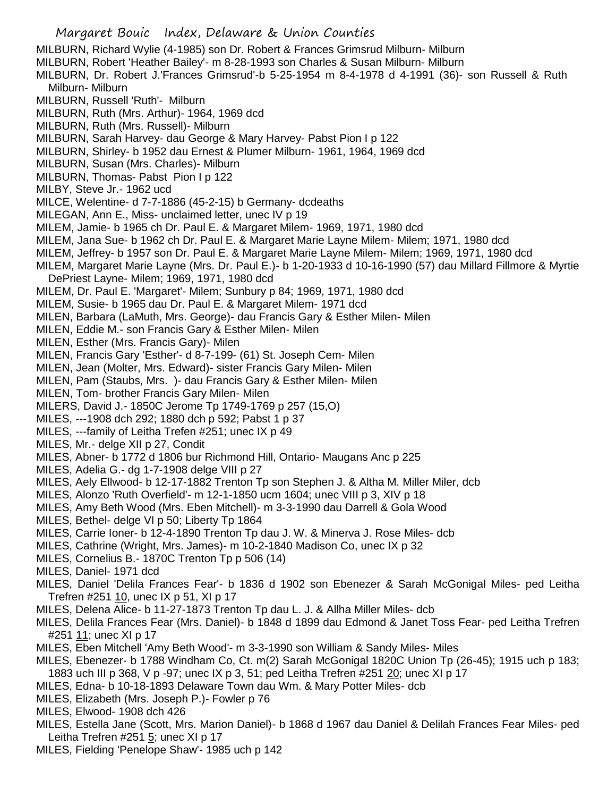- Margaret Bouic Index, Delaware & Union Counties MILBURN, Richard Wylie (4-1985) son Dr. Robert & Frances Grimsrud Milburn- Milburn MILBURN, Robert 'Heather Bailey'- m 8-28-1993 son Charles & Susan Milburn- Milburn MILBURN, Dr. Robert J.'Frances Grimsrud'-b 5-25-1954 m 8-4-1978 d 4-1991 (36)- son Russell & Ruth Milburn- Milburn MILBURN, Russell 'Ruth'- Milburn MILBURN, Ruth (Mrs. Arthur)- 1964, 1969 dcd MILBURN, Ruth (Mrs. Russell)- Milburn MILBURN, Sarah Harvey- dau George & Mary Harvey- Pabst Pion I p 122 MILBURN, Shirley- b 1952 dau Ernest & Plumer Milburn- 1961, 1964, 1969 dcd MILBURN, Susan (Mrs. Charles)- Milburn MILBURN, Thomas- Pabst Pion I p 122 MILBY, Steve Jr.- 1962 ucd MILCE, Welentine- d 7-7-1886 (45-2-15) b Germany- dcdeaths MILEGAN, Ann E., Miss- unclaimed letter, unec IV p 19 MILEM, Jamie- b 1965 ch Dr. Paul E. & Margaret Milem- 1969, 1971, 1980 dcd MILEM, Jana Sue- b 1962 ch Dr. Paul E. & Margaret Marie Layne Milem- Milem; 1971, 1980 dcd MILEM, Jeffrey- b 1957 son Dr. Paul E. & Margaret Marie Layne Milem- Milem; 1969, 1971, 1980 dcd MILEM, Margaret Marie Layne (Mrs. Dr. Paul E.)- b 1-20-1933 d 10-16-1990 (57) dau Millard Fillmore & Myrtie DePriest Layne- Milem; 1969, 1971, 1980 dcd MILEM, Dr. Paul E. 'Margaret'- Milem; Sunbury p 84; 1969, 1971, 1980 dcd MILEM, Susie- b 1965 dau Dr. Paul E. & Margaret Milem- 1971 dcd MILEN, Barbara (LaMuth, Mrs. George)- dau Francis Gary & Esther Milen- Milen MILEN, Eddie M.- son Francis Gary & Esther Milen- Milen MILEN, Esther (Mrs. Francis Gary)- Milen MILEN, Francis Gary 'Esther'- d 8-7-199- (61) St. Joseph Cem- Milen MILEN, Jean (Molter, Mrs. Edward)- sister Francis Gary Milen- Milen MILEN, Pam (Staubs, Mrs. )- dau Francis Gary & Esther Milen- Milen MILEN, Tom- brother Francis Gary Milen- Milen MILERS, David J.- 1850C Jerome Tp 1749-1769 p 257 (15,O) MILES, ---1908 dch 292; 1880 dch p 592; Pabst 1 p 37 MILES, ---family of Leitha Trefen #251; unec IX p 49 MILES, Mr.- delge XII p 27, Condit MILES, Abner- b 1772 d 1806 bur Richmond Hill, Ontario- Maugans Anc p 225 MILES, Adelia G.- dg 1-7-1908 delge VIII p 27 MILES, Aely Ellwood- b 12-17-1882 Trenton Tp son Stephen J. & Altha M. Miller Miler, dcb MILES, Alonzo 'Ruth Overfield'- m 12-1-1850 ucm 1604; unec VIII p 3, XIV p 18 MILES, Amy Beth Wood (Mrs. Eben Mitchell)- m 3-3-1990 dau Darrell & Gola Wood MILES, Bethel- delge VI p 50; Liberty Tp 1864 MILES, Carrie Ioner- b 12-4-1890 Trenton Tp dau J. W. & Minerva J. Rose Miles- dcb MILES, Cathrine (Wright, Mrs. James)- m 10-2-1840 Madison Co, unec IX p 32 MILES, Cornelius B.- 1870C Trenton Tp p 506 (14) MILES, Daniel- 1971 dcd MILES, Daniel 'Delila Frances Fear'- b 1836 d 1902 son Ebenezer & Sarah McGonigal Miles- ped Leitha Trefren #251 10, unec IX p 51, XI p 17 MILES, Delena Alice- b 11-27-1873 Trenton Tp dau L. J. & Allha Miller Miles- dcb MILES, Delila Frances Fear (Mrs. Daniel)- b 1848 d 1899 dau Edmond & Janet Toss Fear- ped Leitha Trefren #251 11; unec XI p 17 MILES, Eben Mitchell 'Amy Beth Wood'- m 3-3-1990 son William & Sandy Miles- Miles MILES, Ebenezer- b 1788 Windham Co, Ct. m(2) Sarah McGonigal 1820C Union Tp (26-45); 1915 uch p 183; 1883 uch III p 368, V p -97; unec IX p 3, 51; ped Leitha Trefren #251 20; unec XI p 17 MILES, Edna- b 10-18-1893 Delaware Town dau Wm. & Mary Potter Miles- dcb MILES, Elizabeth (Mrs. Joseph P.)- Fowler p 76 MILES, Elwood- 1908 dch 426 MILES, Estella Jane (Scott, Mrs. Marion Daniel)- b 1868 d 1967 dau Daniel & Delilah Frances Fear Miles- ped Leitha Trefren #251 5; unec XI p 17
- MILES, Fielding 'Penelope Shaw'- 1985 uch p 142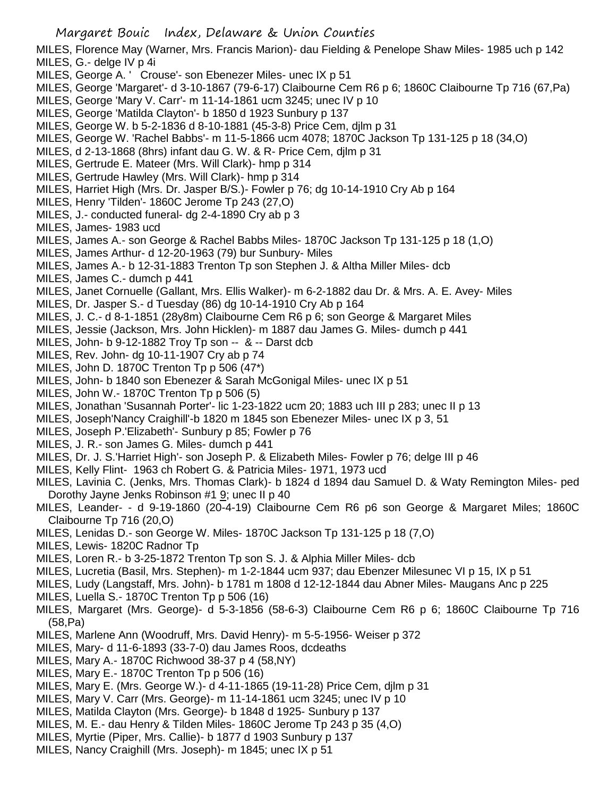MILES, Florence May (Warner, Mrs. Francis Marion)- dau Fielding & Penelope Shaw Miles- 1985 uch p 142 MILES, G.- delge IV p 4i

- MILES, George A. ' Crouse'- son Ebenezer Miles- unec IX p 51
- MILES, George 'Margaret'- d 3-10-1867 (79-6-17) Claibourne Cem R6 p 6; 1860C Claibourne Tp 716 (67,Pa)
- MILES, George 'Mary V. Carr'- m 11-14-1861 ucm 3245; unec IV p 10
- MILES, George 'Matilda Clayton'- b 1850 d 1923 Sunbury p 137
- MILES, George W. b 5-2-1836 d 8-10-1881 (45-3-8) Price Cem, djlm p 31
- MILES, George W. 'Rachel Babbs'- m 11-5-1866 ucm 4078; 1870C Jackson Tp 131-125 p 18 (34,O)
- MILES, d 2-13-1868 (8hrs) infant dau G. W. & R- Price Cem, djlm p 31
- MILES, Gertrude E. Mateer (Mrs. Will Clark)- hmp p 314
- MILES, Gertrude Hawley (Mrs. Will Clark)- hmp p 314
- MILES, Harriet High (Mrs. Dr. Jasper B/S.)- Fowler p 76; dg 10-14-1910 Cry Ab p 164
- MILES, Henry 'Tilden'- 1860C Jerome Tp 243 (27,O)
- MILES, J.- conducted funeral- dg 2-4-1890 Cry ab p 3
- MILES, James- 1983 ucd
- MILES, James A.- son George & Rachel Babbs Miles- 1870C Jackson Tp 131-125 p 18 (1,O)
- MILES, James Arthur- d 12-20-1963 (79) bur Sunbury- Miles
- MILES, James A.- b 12-31-1883 Trenton Tp son Stephen J. & Altha Miller Miles- dcb
- MILES, James C.- dumch p 441
- MILES, Janet Cornuelle (Gallant, Mrs. Ellis Walker)- m 6-2-1882 dau Dr. & Mrs. A. E. Avey- Miles
- MILES, Dr. Jasper S.- d Tuesday (86) dg 10-14-1910 Cry Ab p 164
- MILES, J. C.- d 8-1-1851 (28y8m) Claibourne Cem R6 p 6; son George & Margaret Miles
- MILES, Jessie (Jackson, Mrs. John Hicklen)- m 1887 dau James G. Miles- dumch p 441
- MILES, John- b 9-12-1882 Troy Tp son -- & -- Darst dcb
- MILES, Rev. John- dg 10-11-1907 Cry ab p 74
- MILES, John D. 1870C Trenton Tp p 506 (47\*)
- MILES, John- b 1840 son Ebenezer & Sarah McGonigal Miles- unec IX p 51
- MILES, John W.- 1870C Trenton Tp p 506 (5)
- MILES, Jonathan 'Susannah Porter'- lic 1-23-1822 ucm 20; 1883 uch III p 283; unec II p 13
- MILES, Joseph'Nancy Craighill'-b 1820 m 1845 son Ebenezer Miles- unec IX p 3, 51
- MILES, Joseph P.'Elizabeth'- Sunbury p 85; Fowler p 76
- MILES, J. R.- son James G. Miles- dumch p 441
- MILES, Dr. J. S.'Harriet High'- son Joseph P. & Elizabeth Miles- Fowler p 76; delge III p 46
- MILES, Kelly Flint- 1963 ch Robert G. & Patricia Miles- 1971, 1973 ucd
- MILES, Lavinia C. (Jenks, Mrs. Thomas Clark)- b 1824 d 1894 dau Samuel D. & Waty Remington Miles- ped Dorothy Jayne Jenks Robinson #1 9; unec II p 40
- MILES, Leander- d 9-19-1860 (20-4-19) Claibourne Cem R6 p6 son George & Margaret Miles; 1860C Claibourne Tp 716 (20,O)
- MILES, Lenidas D.- son George W. Miles- 1870C Jackson Tp 131-125 p 18 (7,O)
- MILES, Lewis- 1820C Radnor Tp
- MILES, Loren R.- b 3-25-1872 Trenton Tp son S. J. & Alphia Miller Miles- dcb
- MILES, Lucretia (Basil, Mrs. Stephen)- m 1-2-1844 ucm 937; dau Ebenzer Milesunec VI p 15, IX p 51
- MILES, Ludy (Langstaff, Mrs. John)- b 1781 m 1808 d 12-12-1844 dau Abner Miles- Maugans Anc p 225
- MILES, Luella S.- 1870C Trenton Tp p 506 (16)
- MILES, Margaret (Mrs. George)- d 5-3-1856 (58-6-3) Claibourne Cem R6 p 6; 1860C Claibourne Tp 716 (58,Pa)
- MILES, Marlene Ann (Woodruff, Mrs. David Henry)- m 5-5-1956- Weiser p 372
- MILES, Mary- d 11-6-1893 (33-7-0) dau James Roos, dcdeaths
- MILES, Mary A.- 1870C Richwood 38-37 p 4 (58,NY)
- MILES, Mary E.- 1870C Trenton Tp p 506 (16)
- MILES, Mary E. (Mrs. George W.)- d 4-11-1865 (19-11-28) Price Cem, djlm p 31
- MILES, Mary V. Carr (Mrs. George)- m 11-14-1861 ucm 3245; unec IV p 10
- MILES, Matilda Clayton (Mrs. George)- b 1848 d 1925- Sunbury p 137
- MILES, M. E.- dau Henry & Tilden Miles- 1860C Jerome Tp 243 p 35 (4,O)
- MILES, Myrtie (Piper, Mrs. Callie)- b 1877 d 1903 Sunbury p 137
- MILES, Nancy Craighill (Mrs. Joseph)- m 1845; unec IX p 51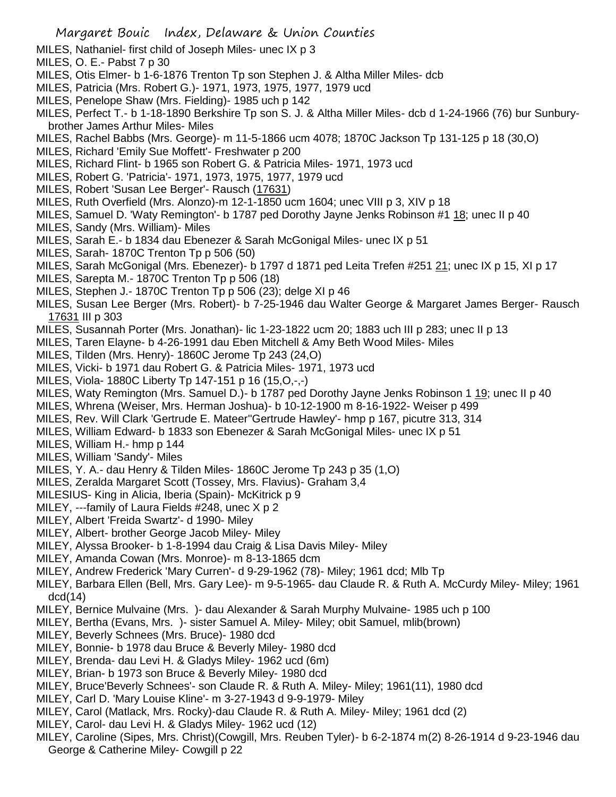MILES, Nathaniel- first child of Joseph Miles- unec IX p 3

MILES, O. E.- Pabst 7 p 30

- MILES, Otis Elmer- b 1-6-1876 Trenton Tp son Stephen J. & Altha Miller Miles- dcb
- MILES, Patricia (Mrs. Robert G.)- 1971, 1973, 1975, 1977, 1979 ucd
- MILES, Penelope Shaw (Mrs. Fielding)- 1985 uch p 142
- MILES, Perfect T.- b 1-18-1890 Berkshire Tp son S. J. & Altha Miller Miles- dcb d 1-24-1966 (76) bur Sunburybrother James Arthur Miles- Miles
- MILES, Rachel Babbs (Mrs. George)- m 11-5-1866 ucm 4078; 1870C Jackson Tp 131-125 p 18 (30,O)
- MILES, Richard 'Emily Sue Moffett'- Freshwater p 200
- MILES, Richard Flint- b 1965 son Robert G. & Patricia Miles- 1971, 1973 ucd
- MILES, Robert G. 'Patricia'- 1971, 1973, 1975, 1977, 1979 ucd
- MILES, Robert 'Susan Lee Berger'- Rausch (17631)
- MILES, Ruth Overfield (Mrs. Alonzo)-m 12-1-1850 ucm 1604; unec VIII p 3, XIV p 18
- MILES, Samuel D. 'Waty Remington'- b 1787 ped Dorothy Jayne Jenks Robinson #1 18; unec II p 40
- MILES, Sandy (Mrs. William)- Miles
- MILES, Sarah E.- b 1834 dau Ebenezer & Sarah McGonigal Miles- unec IX p 51
- MILES, Sarah- 1870C Trenton Tp p 506 (50)
- MILES, Sarah McGonigal (Mrs. Ebenezer)- b 1797 d 1871 ped Leita Trefen #251 21; unec IX p 15, XI p 17
- MILES, Sarepta M.- 1870C Trenton Tp p 506 (18)
- MILES, Stephen J.- 1870C Trenton Tp p 506 (23); delge XI p 46
- MILES, Susan Lee Berger (Mrs. Robert)- b 7-25-1946 dau Walter George & Margaret James Berger- Rausch 17631 III p 303
- MILES, Susannah Porter (Mrs. Jonathan)- lic 1-23-1822 ucm 20; 1883 uch III p 283; unec II p 13
- MILES, Taren Elayne- b 4-26-1991 dau Eben Mitchell & Amy Beth Wood Miles- Miles
- MILES, Tilden (Mrs. Henry)- 1860C Jerome Tp 243 (24,O)
- MILES, Vicki- b 1971 dau Robert G. & Patricia Miles- 1971, 1973 ucd
- MILES, Viola- 1880C Liberty Tp 147-151 p 16 (15,O,-,-)
- MILES, Waty Remington (Mrs. Samuel D.)- b 1787 ped Dorothy Jayne Jenks Robinson 1 19; unec II p 40
- MILES, Whrena (Weiser, Mrs. Herman Joshua)- b 10-12-1900 m 8-16-1922- Weiser p 499
- MILES, Rev. Will Clark 'Gertrude E. Mateer''Gertrude Hawley'- hmp p 167, picutre 313, 314
- MILES, William Edward- b 1833 son Ebenezer & Sarah McGonigal Miles- unec IX p 51
- MILES, William H.- hmp p 144
- MILES, William 'Sandy'- Miles
- MILES, Y. A.- dau Henry & Tilden Miles- 1860C Jerome Tp 243 p 35 (1,O)
- MILES, Zeralda Margaret Scott (Tossey, Mrs. Flavius)- Graham 3,4
- MILESIUS- King in Alicia, Iberia (Spain)- McKitrick p 9
- MILEY, ---family of Laura Fields #248, unec X p 2
- MILEY, Albert 'Freida Swartz'- d 1990- Miley
- MILEY, Albert- brother George Jacob Miley- Miley
- MILEY, Alyssa Brooker- b 1-8-1994 dau Craig & Lisa Davis Miley- Miley
- MILEY, Amanda Cowan (Mrs. Monroe)- m 8-13-1865 dcm
- MILEY, Andrew Frederick 'Mary Curren'- d 9-29-1962 (78)- Miley; 1961 dcd; Mlb Tp
- MILEY, Barbara Ellen (Bell, Mrs. Gary Lee)- m 9-5-1965- dau Claude R. & Ruth A. McCurdy Miley- Miley; 1961 dcd(14)
- MILEY, Bernice Mulvaine (Mrs. )- dau Alexander & Sarah Murphy Mulvaine- 1985 uch p 100
- MILEY, Bertha (Evans, Mrs. )- sister Samuel A. Miley- Miley; obit Samuel, mlib(brown)
- MILEY, Beverly Schnees (Mrs. Bruce)- 1980 dcd
- MILEY, Bonnie- b 1978 dau Bruce & Beverly Miley- 1980 dcd
- MILEY, Brenda- dau Levi H. & Gladys Miley- 1962 ucd (6m)
- MILEY, Brian- b 1973 son Bruce & Beverly Miley- 1980 dcd
- MILEY, Bruce'Beverly Schnees'- son Claude R. & Ruth A. Miley- Miley; 1961(11), 1980 dcd
- MILEY, Carl D. 'Mary Louise Kline'- m 3-27-1943 d 9-9-1979- Miley
- MILEY, Carol (Matlack, Mrs. Rocky)-dau Claude R. & Ruth A. Miley- Miley; 1961 dcd (2)
- MILEY, Carol- dau Levi H. & Gladys Miley- 1962 ucd (12)
- MILEY, Caroline (Sipes, Mrs. Christ)(Cowgill, Mrs. Reuben Tyler)- b 6-2-1874 m(2) 8-26-1914 d 9-23-1946 dau George & Catherine Miley- Cowgill p 22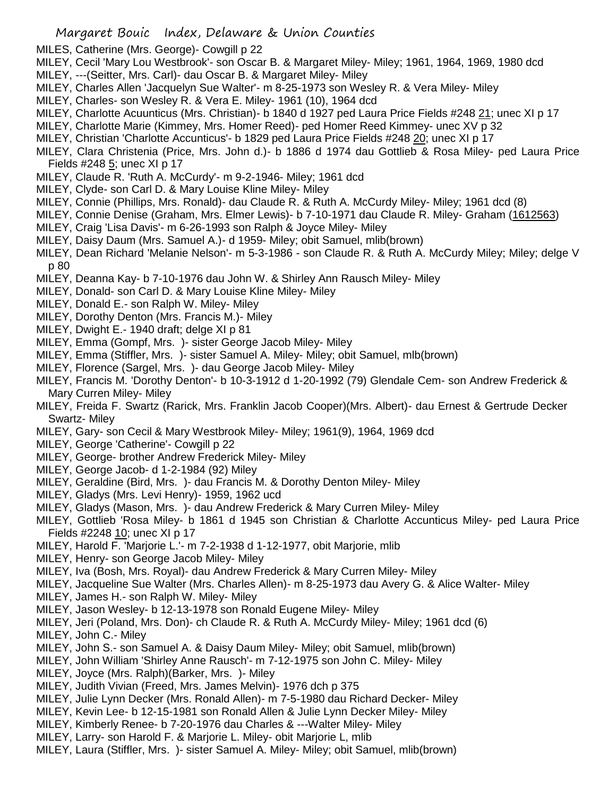- MILES, Catherine (Mrs. George)- Cowgill p 22
- MILEY, Cecil 'Mary Lou Westbrook'- son Oscar B. & Margaret Miley- Miley; 1961, 1964, 1969, 1980 dcd
- MILEY, ---(Seitter, Mrs. Carl)- dau Oscar B. & Margaret Miley- Miley
- MILEY, Charles Allen 'Jacquelyn Sue Walter'- m 8-25-1973 son Wesley R. & Vera Miley- Miley
- MILEY, Charles- son Wesley R. & Vera E. Miley- 1961 (10), 1964 dcd
- MILEY, Charlotte Acuunticus (Mrs. Christian)- b 1840 d 1927 ped Laura Price Fields #248 21; unec XI p 17
- MILEY, Charlotte Marie (Kimmey, Mrs. Homer Reed)- ped Homer Reed Kimmey- unec XV p 32
- MILEY, Christian 'Charlotte Accunticus'- b 1829 ped Laura Price Fields #248 20; unec XI p 17
- MILEY, Clara Christenia (Price, Mrs. John d.)- b 1886 d 1974 dau Gottlieb & Rosa Miley- ped Laura Price Fields #248 5; unec XI p 17
- MILEY, Claude R. 'Ruth A. McCurdy'- m 9-2-1946- Miley; 1961 dcd
- MILEY, Clyde- son Carl D. & Mary Louise Kline Miley- Miley
- MILEY, Connie (Phillips, Mrs. Ronald)- dau Claude R. & Ruth A. McCurdy Miley- Miley; 1961 dcd (8)
- MILEY, Connie Denise (Graham, Mrs. Elmer Lewis)- b 7-10-1971 dau Claude R. Miley- Graham (1612563)
- MILEY, Craig 'Lisa Davis'- m 6-26-1993 son Ralph & Joyce Miley- Miley
- MILEY, Daisy Daum (Mrs. Samuel A.)- d 1959- Miley; obit Samuel, mlib(brown)
- MILEY, Dean Richard 'Melanie Nelson'- m 5-3-1986 son Claude R. & Ruth A. McCurdy Miley; Miley; delge V p 80
- MILEY, Deanna Kay- b 7-10-1976 dau John W. & Shirley Ann Rausch Miley- Miley
- MILEY, Donald- son Carl D. & Mary Louise Kline Miley- Miley
- MILEY, Donald E.- son Ralph W. Miley- Miley
- MILEY, Dorothy Denton (Mrs. Francis M.)- Miley
- MILEY, Dwight E.- 1940 draft; delge XI p 81
- MILEY, Emma (Gompf, Mrs. )- sister George Jacob Miley- Miley
- MILEY, Emma (Stiffler, Mrs. )- sister Samuel A. Miley- Miley; obit Samuel, mlb(brown)
- MILEY, Florence (Sargel, Mrs. )- dau George Jacob Miley- Miley
- MILEY, Francis M. 'Dorothy Denton'- b 10-3-1912 d 1-20-1992 (79) Glendale Cem- son Andrew Frederick & Mary Curren Miley- Miley
- MILEY, Freida F. Swartz (Rarick, Mrs. Franklin Jacob Cooper)(Mrs. Albert)- dau Ernest & Gertrude Decker Swartz- Miley
- MILEY, Gary- son Cecil & Mary Westbrook Miley- Miley; 1961(9), 1964, 1969 dcd
- MILEY, George 'Catherine'- Cowgill p 22
- MILEY, George- brother Andrew Frederick Miley- Miley
- MILEY, George Jacob- d 1-2-1984 (92) Miley
- MILEY, Geraldine (Bird, Mrs. )- dau Francis M. & Dorothy Denton Miley- Miley
- MILEY, Gladys (Mrs. Levi Henry)- 1959, 1962 ucd
- MILEY, Gladys (Mason, Mrs. )- dau Andrew Frederick & Mary Curren Miley- Miley
- MILEY, Gottlieb 'Rosa Miley- b 1861 d 1945 son Christian & Charlotte Accunticus Miley- ped Laura Price Fields #2248 10; unec XI p 17
- MILEY, Harold F. 'Marjorie L.'- m 7-2-1938 d 1-12-1977, obit Marjorie, mlib
- MILEY, Henry- son George Jacob Miley- Miley
- MILEY, Iva (Bosh, Mrs. Royal)- dau Andrew Frederick & Mary Curren Miley- Miley
- MILEY, Jacqueline Sue Walter (Mrs. Charles Allen)- m 8-25-1973 dau Avery G. & Alice Walter- Miley
- MILEY, James H.- son Ralph W. Miley- Miley
- MILEY, Jason Wesley- b 12-13-1978 son Ronald Eugene Miley- Miley
- MILEY, Jeri (Poland, Mrs. Don)- ch Claude R. & Ruth A. McCurdy Miley- Miley; 1961 dcd (6)
- MILEY, John C.- Miley
- MILEY, John S.- son Samuel A. & Daisy Daum Miley- Miley; obit Samuel, mlib(brown)
- MILEY, John William 'Shirley Anne Rausch'- m 7-12-1975 son John C. Miley- Miley
- MILEY, Joyce (Mrs. Ralph)(Barker, Mrs. )- Miley
- MILEY, Judith Vivian (Freed, Mrs. James Melvin)- 1976 dch p 375
- MILEY, Julie Lynn Decker (Mrs. Ronald Allen)- m 7-5-1980 dau Richard Decker- Miley
- MILEY, Kevin Lee- b 12-15-1981 son Ronald Allen & Julie Lynn Decker Miley- Miley
- MILEY, Kimberly Renee- b 7-20-1976 dau Charles & ---Walter Miley- Miley
- MILEY, Larry- son Harold F. & Marjorie L. Miley- obit Marjorie L, mlib
- MILEY, Laura (Stiffler, Mrs. )- sister Samuel A. Miley- Miley; obit Samuel, mlib(brown)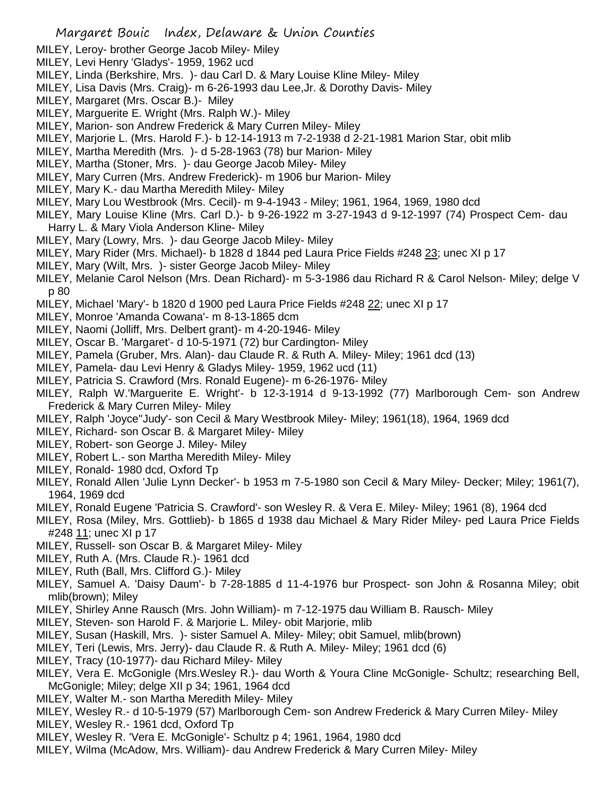- MILEY, Leroy- brother George Jacob Miley- Miley
- MILEY, Levi Henry 'Gladys'- 1959, 1962 ucd
- MILEY, Linda (Berkshire, Mrs. )- dau Carl D. & Mary Louise Kline Miley- Miley
- MILEY, Lisa Davis (Mrs. Craig)- m 6-26-1993 dau Lee,Jr. & Dorothy Davis- Miley
- MILEY, Margaret (Mrs. Oscar B.)- Miley
- MILEY, Marguerite E. Wright (Mrs. Ralph W.)- Miley
- MILEY, Marion- son Andrew Frederick & Mary Curren Miley- Miley
- MILEY, Marjorie L. (Mrs. Harold F.)- b 12-14-1913 m 7-2-1938 d 2-21-1981 Marion Star, obit mlib
- MILEY, Martha Meredith (Mrs. )- d 5-28-1963 (78) bur Marion- Miley
- MILEY, Martha (Stoner, Mrs. )- dau George Jacob Miley- Miley
- MILEY, Mary Curren (Mrs. Andrew Frederick)- m 1906 bur Marion- Miley
- MILEY, Mary K.- dau Martha Meredith Miley- Miley
- MILEY, Mary Lou Westbrook (Mrs. Cecil)- m 9-4-1943 Miley; 1961, 1964, 1969, 1980 dcd
- MILEY, Mary Louise Kline (Mrs. Carl D.)- b 9-26-1922 m 3-27-1943 d 9-12-1997 (74) Prospect Cem- dau Harry L. & Mary Viola Anderson Kline- Miley
- MILEY, Mary (Lowry, Mrs. )- dau George Jacob Miley- Miley
- MILEY, Mary Rider (Mrs. Michael)- b 1828 d 1844 ped Laura Price Fields #248 23; unec XI p 17
- MILEY, Mary (Wilt, Mrs. )- sister George Jacob Miley- Miley
- MILEY, Melanie Carol Nelson (Mrs. Dean Richard)- m 5-3-1986 dau Richard R & Carol Nelson- Miley; delge V p 80
- MILEY, Michael 'Mary'- b 1820 d 1900 ped Laura Price Fields #248 22; unec XI p 17
- MILEY, Monroe 'Amanda Cowana'- m 8-13-1865 dcm
- MILEY, Naomi (Jolliff, Mrs. Delbert grant)- m 4-20-1946- Miley
- MILEY, Oscar B. 'Margaret'- d 10-5-1971 (72) bur Cardington- Miley
- MILEY, Pamela (Gruber, Mrs. Alan)- dau Claude R. & Ruth A. Miley- Miley; 1961 dcd (13)
- MILEY, Pamela- dau Levi Henry & Gladys Miley- 1959, 1962 ucd (11)
- MILEY, Patricia S. Crawford (Mrs. Ronald Eugene)- m 6-26-1976- Miley
- MILEY, Ralph W.'Marguerite E. Wright'- b 12-3-1914 d 9-13-1992 (77) Marlborough Cem- son Andrew Frederick & Mary Curren Miley- Miley
- MILEY, Ralph 'Joyce''Judy'- son Cecil & Mary Westbrook Miley- Miley; 1961(18), 1964, 1969 dcd
- MILEY, Richard- son Oscar B. & Margaret Miley- Miley
- MILEY, Robert- son George J. Miley- Miley
- MILEY, Robert L.- son Martha Meredith Miley- Miley
- MILEY, Ronald- 1980 dcd, Oxford Tp
- MILEY, Ronald Allen 'Julie Lynn Decker'- b 1953 m 7-5-1980 son Cecil & Mary Miley- Decker; Miley; 1961(7), 1964, 1969 dcd
- MILEY, Ronald Eugene 'Patricia S. Crawford'- son Wesley R. & Vera E. Miley- Miley; 1961 (8), 1964 dcd
- MILEY, Rosa (Miley, Mrs. Gottlieb)- b 1865 d 1938 dau Michael & Mary Rider Miley- ped Laura Price Fields #248 11; unec XI p 17
- MILEY, Russell- son Oscar B. & Margaret Miley- Miley
- MILEY, Ruth A. (Mrs. Claude R.)- 1961 dcd
- MILEY, Ruth (Ball, Mrs. Clifford G.)- Miley
- MILEY, Samuel A. 'Daisy Daum'- b 7-28-1885 d 11-4-1976 bur Prospect- son John & Rosanna Miley; obit mlib(brown); Miley
- MILEY, Shirley Anne Rausch (Mrs. John William)- m 7-12-1975 dau William B. Rausch- Miley
- MILEY, Steven- son Harold F. & Marjorie L. Miley- obit Marjorie, mlib
- MILEY, Susan (Haskill, Mrs. )- sister Samuel A. Miley- Miley; obit Samuel, mlib(brown)
- MILEY, Teri (Lewis, Mrs. Jerry)- dau Claude R. & Ruth A. Miley- Miley; 1961 dcd (6)
- MILEY, Tracy (10-1977)- dau Richard Miley- Miley
- MILEY, Vera E. McGonigle (Mrs.Wesley R.)- dau Worth & Youra Cline McGonigle- Schultz; researching Bell, McGonigle; Miley; delge XII p 34; 1961, 1964 dcd
- MILEY, Walter M.- son Martha Meredith Miley- Miley
- MILEY, Wesley R.- d 10-5-1979 (57) Marlborough Cem- son Andrew Frederick & Mary Curren Miley- Miley
- MILEY, Wesley R.- 1961 dcd, Oxford Tp
- MILEY, Wesley R. 'Vera E. McGonigle'- Schultz p 4; 1961, 1964, 1980 dcd
- MILEY, Wilma (McAdow, Mrs. William)- dau Andrew Frederick & Mary Curren Miley- Miley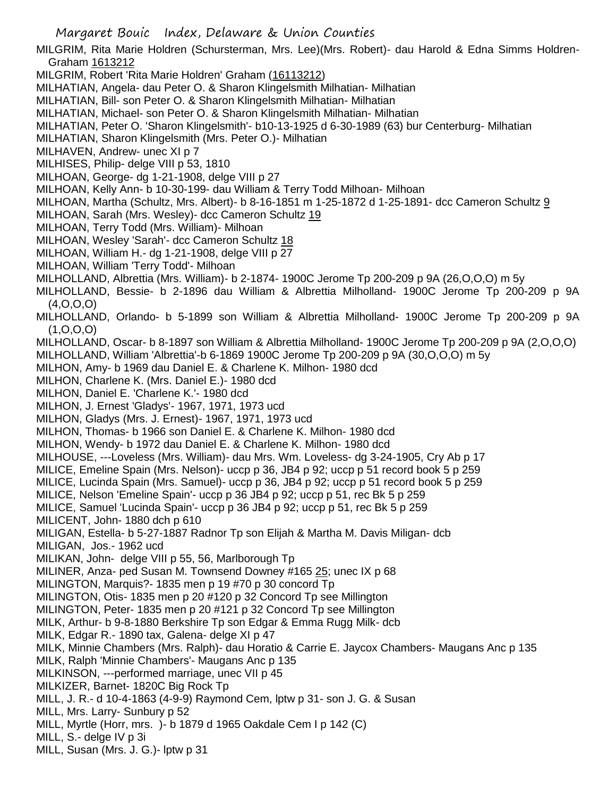MILGRIM, Rita Marie Holdren (Schursterman, Mrs. Lee)(Mrs. Robert)- dau Harold & Edna Simms Holdren-Graham 1613212

MILGRIM, Robert 'Rita Marie Holdren' Graham (16113212)

MILHATIAN, Angela- dau Peter O. & Sharon Klingelsmith Milhatian- Milhatian

MILHATIAN, Bill- son Peter O. & Sharon Klingelsmith Milhatian- Milhatian

MILHATIAN, Michael- son Peter O. & Sharon Klingelsmith Milhatian- Milhatian

MILHATIAN, Peter O. 'Sharon Klingelsmith'- b10-13-1925 d 6-30-1989 (63) bur Centerburg- Milhatian

MILHATIAN, Sharon Klingelsmith (Mrs. Peter O.)- Milhatian

MILHAVEN, Andrew- unec XI p 7

MILHISES, Philip- delge VIII p 53, 1810

MILHOAN, George- dg 1-21-1908, delge VIII p 27

MILHOAN, Kelly Ann- b 10-30-199- dau William & Terry Todd Milhoan- Milhoan

MILHOAN, Martha (Schultz, Mrs. Albert)- b 8-16-1851 m 1-25-1872 d 1-25-1891- dcc Cameron Schultz 9

MILHOAN, Sarah (Mrs. Wesley)- dcc Cameron Schultz 19

MILHOAN, Terry Todd (Mrs. William)- Milhoan

MILHOAN, Wesley 'Sarah'- dcc Cameron Schultz 18

MILHOAN, William H.- dg 1-21-1908, delge VIII p 27

MILHOAN, William 'Terry Todd'- Milhoan

MILHOLLAND, Albrettia (Mrs. William)- b 2-1874- 1900C Jerome Tp 200-209 p 9A (26,O,O,O) m 5y

MILHOLLAND, Bessie- b 2-1896 dau William & Albrettia Milholland- 1900C Jerome Tp 200-209 p 9A (4,O,O,O)

MILHOLLAND, Orlando- b 5-1899 son William & Albrettia Milholland- 1900C Jerome Tp 200-209 p 9A (1,O,O,O)

MILHOLLAND, Oscar- b 8-1897 son William & Albrettia Milholland- 1900C Jerome Tp 200-209 p 9A (2,O,O,O)

MILHOLLAND, William 'Albrettia'-b 6-1869 1900C Jerome Tp 200-209 p 9A (30,O,O,O) m 5y

MILHON, Amy- b 1969 dau Daniel E. & Charlene K. Milhon- 1980 dcd

MILHON, Charlene K. (Mrs. Daniel E.)- 1980 dcd

MILHON, Daniel E. 'Charlene K.'- 1980 dcd

MILHON, J. Ernest 'Gladys'- 1967, 1971, 1973 ucd

MILHON, Gladys (Mrs. J. Ernest)- 1967, 1971, 1973 ucd

MILHON, Thomas- b 1966 son Daniel E. & Charlene K. Milhon- 1980 dcd

MILHON, Wendy- b 1972 dau Daniel E. & Charlene K. Milhon- 1980 dcd

MILHOUSE, ---Loveless (Mrs. William)- dau Mrs. Wm. Loveless- dg 3-24-1905, Cry Ab p 17

MILICE, Emeline Spain (Mrs. Nelson)- uccp p 36, JB4 p 92; uccp p 51 record book 5 p 259

MILICE, Lucinda Spain (Mrs. Samuel)- uccp p 36, JB4 p 92; uccp p 51 record book 5 p 259

MILICE, Nelson 'Emeline Spain'- uccp p 36 JB4 p 92; uccp p 51, rec Bk 5 p 259

MILICE, Samuel 'Lucinda Spain'- uccp p 36 JB4 p 92; uccp p 51, rec Bk 5 p 259

MILICENT, John- 1880 dch p 610

MILIGAN, Estella- b 5-27-1887 Radnor Tp son Elijah & Martha M. Davis Miligan- dcb

MILIGAN, Jos.- 1962 ucd

MILIKAN, John- delge VIII p 55, 56, Marlborough Tp

MILINER, Anza- ped Susan M. Townsend Downey #165 25; unec IX p 68

MILINGTON, Marquis?- 1835 men p 19 #70 p 30 concord Tp

MILINGTON, Otis- 1835 men p 20 #120 p 32 Concord Tp see Millington

MILINGTON, Peter- 1835 men p 20 #121 p 32 Concord Tp see Millington

MILK, Arthur- b 9-8-1880 Berkshire Tp son Edgar & Emma Rugg Milk- dcb

MILK, Edgar R.- 1890 tax, Galena- delge XI p 47

MILK, Minnie Chambers (Mrs. Ralph)- dau Horatio & Carrie E. Jaycox Chambers- Maugans Anc p 135

MILK, Ralph 'Minnie Chambers'- Maugans Anc p 135

MILKINSON, ---performed marriage, unec VII p 45

MILKIZER, Barnet- 1820C Big Rock Tp

MILL, J. R.- d 10-4-1863 (4-9-9) Raymond Cem, lptw p 31- son J. G. & Susan

MILL, Mrs. Larry- Sunbury p 52

MILL, Myrtle (Horr, mrs. )- b 1879 d 1965 Oakdale Cem I p 142 (C)

MILL, S.- delge IV p 3i

MILL, Susan (Mrs. J. G.)- lptw p 31